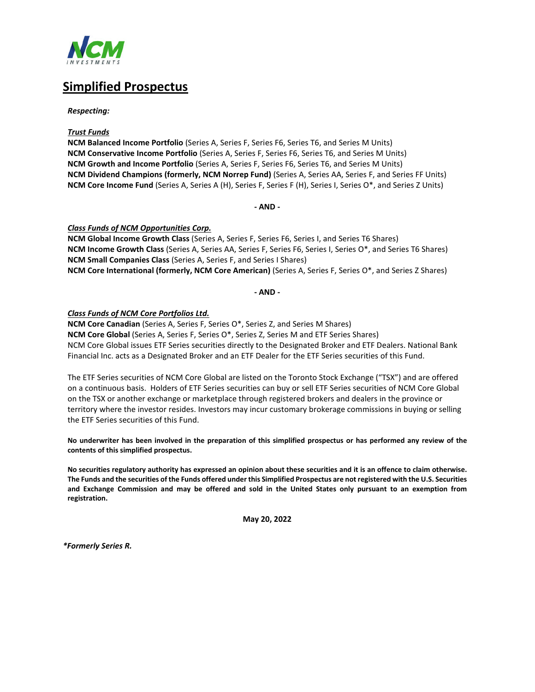

## **Simplified Prospectus**

*Respecting:*

#### *Trust Funds*

**NCM Balanced Income Portfolio** (Series A, Series F, Series F6, Series T6, and Series M Units) **NCM Conservative Income Portfolio** (Series A, Series F, Series F6, Series T6, and Series M Units) **NCM Growth and Income Portfolio** (Series A, Series F, Series F6, Series T6, and Series M Units) **NCM Dividend Champions (formerly, NCM Norrep Fund)** (Series A, Series AA, Series F, and Series FF Units) **NCM Core Income Fund** (Series A, Series A (H), Series F, Series F (H), Series I, Series O\*, and Series Z Units)

**- AND -**

#### *Class Funds of NCM Opportunities Corp.*

**NCM Global Income Growth Class** (Series A, Series F, Series F6, Series I, and Series T6 Shares) **NCM Income Growth Class** (Series A, Series AA, Series F, Series F6, Series I, Series O\*, and Series T6 Shares) **NCM Small Companies Class** (Series A, Series F, and Series I Shares) **NCM Core International (formerly, NCM Core American)** (Series A, Series F, Series O\*, and Series Z Shares)

**- AND -**

#### *Class Funds of NCM Core Portfolios Ltd.*

**NCM Core Canadian** (Series A, Series F, Series O\*, Series Z, and Series M Shares) **NCM Core Global** (Series A, Series F, Series O\*, Series Z, Series M and ETF Series Shares) NCM Core Global issues ETF Series securities directly to the Designated Broker and ETF Dealers. National Bank Financial Inc. acts as a Designated Broker and an ETF Dealer for the ETF Series securities of this Fund.

The ETF Series securities of NCM Core Global are listed on the Toronto Stock Exchange ("TSX") and are offered on a continuous basis. Holders of ETF Series securities can buy or sell ETF Series securities of NCM Core Global on the TSX or another exchange or marketplace through registered brokers and dealers in the province or territory where the investor resides. Investors may incur customary brokerage commissions in buying or selling the ETF Series securities of this Fund.

**No underwriter has been involved in the preparation of this simplified prospectus or has performed any review of the contents of this simplified prospectus.**

**No securities regulatory authority has expressed an opinion about these securities and it is an offence to claim otherwise. The Funds and the securities of the Funds offered under this Simplified Prospectus are not registered with the U.S. Securities and Exchange Commission and may be offered and sold in the United States only pursuant to an exemption from registration.**

**May 20, 2022**

*\*Formerly Series R.*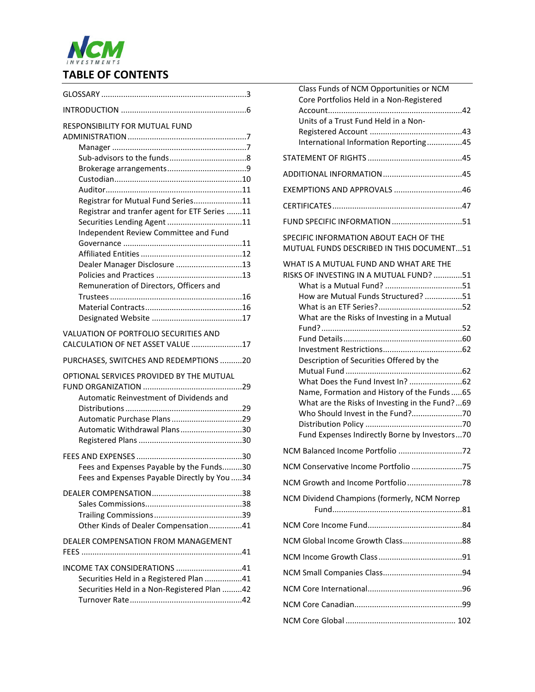# NCM **TABLE OF CONTENTS**

| <b>RESPONSIBILITY FOR MUTUAL FUND</b>                                               |  |
|-------------------------------------------------------------------------------------|--|
|                                                                                     |  |
|                                                                                     |  |
|                                                                                     |  |
| Registrar for Mutual Fund Series11                                                  |  |
| Registrar and tranfer agent for ETF Series 11                                       |  |
| Securities Lending Agent 11                                                         |  |
| Independent Review Committee and Fund                                               |  |
|                                                                                     |  |
|                                                                                     |  |
| Dealer Manager Disclosure 13                                                        |  |
|                                                                                     |  |
| Remuneration of Directors, Officers and                                             |  |
|                                                                                     |  |
|                                                                                     |  |
|                                                                                     |  |
| VALUATION OF PORTFOLIO SECURITIES AND<br>CALCULATION OF NET ASSET VALUE 17          |  |
| PURCHASES, SWITCHES AND REDEMPTIONS 20                                              |  |
| OPTIONAL SERVICES PROVIDED BY THE MUTUAL<br>Automatic Reinvestment of Dividends and |  |
|                                                                                     |  |
| Automatic Purchase Plans29                                                          |  |
| Automatic Withdrawal Plans30                                                        |  |
|                                                                                     |  |
|                                                                                     |  |
| Fees and Expenses Payable by the Funds30                                            |  |
| Fees and Expenses Payable Directly by You 34                                        |  |
|                                                                                     |  |
|                                                                                     |  |
|                                                                                     |  |
| Other Kinds of Dealer Compensation41                                                |  |
| DEALER COMPENSATION FROM MANAGEMENT                                                 |  |
| INCOME TAX CONSIDERATIONS 41                                                        |  |
| Securities Held in a Registered Plan 41                                             |  |
| Securities Held in a Non-Registered Plan 42                                         |  |
|                                                                                     |  |

| Class Funds of NCM Opportunities or NCM<br>Core Portfolios Held in a Non-Registered |
|-------------------------------------------------------------------------------------|
| Units of a Trust Fund Held in a Non-                                                |
| International Information Reporting45                                               |
|                                                                                     |
|                                                                                     |
| EXEMPTIONS AND APPROVALS 46                                                         |
|                                                                                     |
| FUND SPECIFIC INFORMATION 51                                                        |
| SPECIFIC INFORMATION ABOUT EACH OF THE<br>MUTUAL FUNDS DESCRIBED IN THIS DOCUMENT51 |
| WHAT IS A MUTUAL FUND AND WHAT ARE THE                                              |
| RISKS OF INVESTING IN A MUTUAL FUND? 51                                             |
| How are Mutual Funds Structured? 51                                                 |
|                                                                                     |
| What are the Risks of Investing in a Mutual                                         |
|                                                                                     |
|                                                                                     |
| Description of Securities Offered by the                                            |
|                                                                                     |
| Name, Formation and History of the Funds  65                                        |
| What are the Risks of Investing in the Fund?69                                      |
|                                                                                     |
| Fund Expenses Indirectly Borne by Investors70                                       |
|                                                                                     |
| NCM Conservative Income Portfolio 75                                                |
|                                                                                     |
| NCM Dividend Champions (formerly, NCM Norrep                                        |
|                                                                                     |
| NCM Global Income Growth Class88                                                    |
|                                                                                     |
|                                                                                     |
|                                                                                     |
|                                                                                     |
|                                                                                     |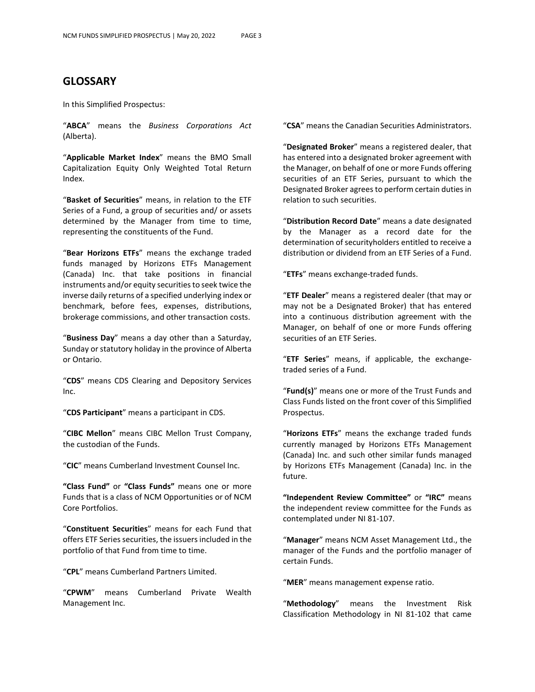## **GLOSSARY**

In this Simplified Prospectus:

"**ABCA**" means the *Business Corporations Act* (Alberta).

"**Applicable Market Index**" means the BMO Small Capitalization Equity Only Weighted Total Return Index.

"**Basket of Securities**" means, in relation to the ETF Series of a Fund, a group of securities and/ or assets determined by the Manager from time to time, representing the constituents of the Fund.

"**Bear Horizons ETFs**" means the exchange traded funds managed by Horizons ETFs Management (Canada) Inc. that take positions in financial instruments and/or equity securities to seek twice the inverse daily returns of a specified underlying index or benchmark, before fees, expenses, distributions, brokerage commissions, and other transaction costs.

"**Business Day**" means a day other than a Saturday, Sunday or statutory holiday in the province of Alberta or Ontario.

"**CDS**" means CDS Clearing and Depository Services Inc.

"**CDS Participant**" means a participant in CDS.

"**CIBC Mellon**" means CIBC Mellon Trust Company, the custodian of the Funds.

"**CIC**" means Cumberland Investment Counsel Inc.

**"Class Fund"** or **"Class Funds"** means one or more Funds that is a class of NCM Opportunities or of NCM Core Portfolios.

"**Constituent Securities**" means for each Fund that offers ETF Series securities, the issuers included in the portfolio of that Fund from time to time.

"**CPL**" means Cumberland Partners Limited.

"**CPWM**" means Cumberland Private Wealth Management Inc.

"**CSA**" means the Canadian Securities Administrators.

"**Designated Broker**" means a registered dealer, that has entered into a designated broker agreement with the Manager, on behalf of one or more Funds offering securities of an ETF Series, pursuant to which the Designated Broker agrees to perform certain duties in relation to such securities.

"**Distribution Record Date**" means a date designated by the Manager as a record date for the determination of securityholders entitled to receive a distribution or dividend from an ETF Series of a Fund.

"**ETFs**" means exchange-traded funds.

"**ETF Dealer**" means a registered dealer (that may or may not be a Designated Broker) that has entered into a continuous distribution agreement with the Manager, on behalf of one or more Funds offering securities of an ETF Series.

"**ETF Series**" means, if applicable, the exchangetraded series of a Fund.

"**Fund(s)**" means one or more of the Trust Funds and Class Funds listed on the front cover of this Simplified Prospectus.

"**Horizons ETFs**" means the exchange traded funds currently managed by Horizons ETFs Management (Canada) Inc. and such other similar funds managed by Horizons ETFs Management (Canada) Inc. in the future.

**"Independent Review Committee"** or **"IRC"** means the independent review committee for the Funds as contemplated under NI 81-107.

"**Manager**" means NCM Asset Management Ltd., the manager of the Funds and the portfolio manager of certain Funds.

"**MER**" means management expense ratio.

"**Methodology**" means the Investment Risk Classification Methodology in NI 81-102 that came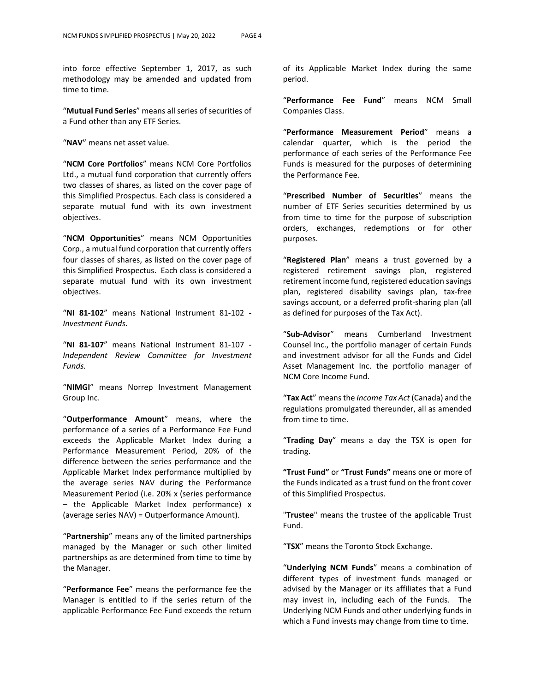into force effective September 1, 2017, as such methodology may be amended and updated from time to time.

"**Mutual Fund Series**" means all series of securities of a Fund other than any ETF Series.

"**NAV**" means net asset value.

"**NCM Core Portfolios**" means NCM Core Portfolios Ltd., a mutual fund corporation that currently offers two classes of shares, as listed on the cover page of this Simplified Prospectus. Each class is considered a separate mutual fund with its own investment objectives.

"**NCM Opportunities**" means NCM Opportunities Corp., a mutual fund corporation that currently offers four classes of shares, as listed on the cover page of this Simplified Prospectus. Each class is considered a separate mutual fund with its own investment objectives.

"**NI 81-102**" means National Instrument 81-102 - *Investment Funds*.

"**NI 81-107**" means National Instrument 81-107 - *Independent Review Committee for Investment Funds.*

"**NIMGI**" means Norrep Investment Management Group Inc.

"**Outperformance Amount**" means, where the performance of a series of a Performance Fee Fund exceeds the Applicable Market Index during a Performance Measurement Period, 20% of the difference between the series performance and the Applicable Market Index performance multiplied by the average series NAV during the Performance Measurement Period (i.e. 20% x (series performance – the Applicable Market Index performance) x (average series NAV) = Outperformance Amount).

"**Partnership**" means any of the limited partnerships managed by the Manager or such other limited partnerships as are determined from time to time by the Manager.

"**Performance Fee**" means the performance fee the Manager is entitled to if the series return of the applicable Performance Fee Fund exceeds the return

of its Applicable Market Index during the same period.

"**Performance Fee Fund**" means NCM Small Companies Class.

"**Performance Measurement Period**" means a calendar quarter, which is the period the performance of each series of the Performance Fee Funds is measured for the purposes of determining the Performance Fee.

"**Prescribed Number of Securities**" means the number of ETF Series securities determined by us from time to time for the purpose of subscription orders, exchanges, redemptions or for other purposes.

"**Registered Plan**" means a trust governed by a registered retirement savings plan, registered retirement income fund, registered education savings plan, registered disability savings plan, tax-free savings account, or a deferred profit-sharing plan (all as defined for purposes of the Tax Act).

"**Sub-Advisor**" means Cumberland Investment Counsel Inc., the portfolio manager of certain Funds and investment advisor for all the Funds and Cidel Asset Management Inc. the portfolio manager of NCM Core Income Fund.

"**Tax Act**" means the *Income Tax Act* (Canada) and the regulations promulgated thereunder, all as amended from time to time.

"**Trading Day**" means a day the TSX is open for trading.

**"Trust Fund"** or **"Trust Funds"** means one or more of the Funds indicated as a trust fund on the front cover of this Simplified Prospectus.

"**Trustee**" means the trustee of the applicable Trust Fund.

"**TSX**" means the Toronto Stock Exchange.

"**Underlying NCM Funds**" means a combination of different types of investment funds managed or advised by the Manager or its affiliates that a Fund may invest in, including each of the Funds. The Underlying NCM Funds and other underlying funds in which a Fund invests may change from time to time.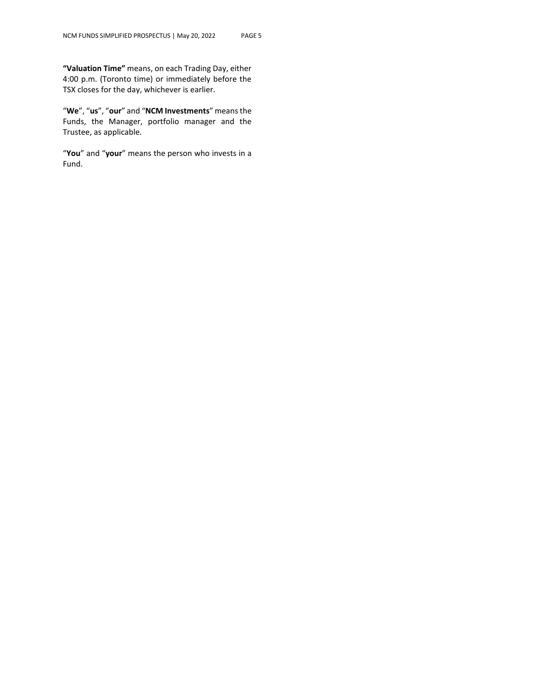**"Valuation Time"** means, on each Trading Day, either 4:00 p.m. (Toronto time) or immediately before the TSX closes for the day, whichever is earlier.

"**We**", "**us**", "**our**" and "**NCM Investments**" means the Funds, the Manager, portfolio manager and the Trustee, as applicable.

"**You**" and "**your**" means the person who invests in a Fund.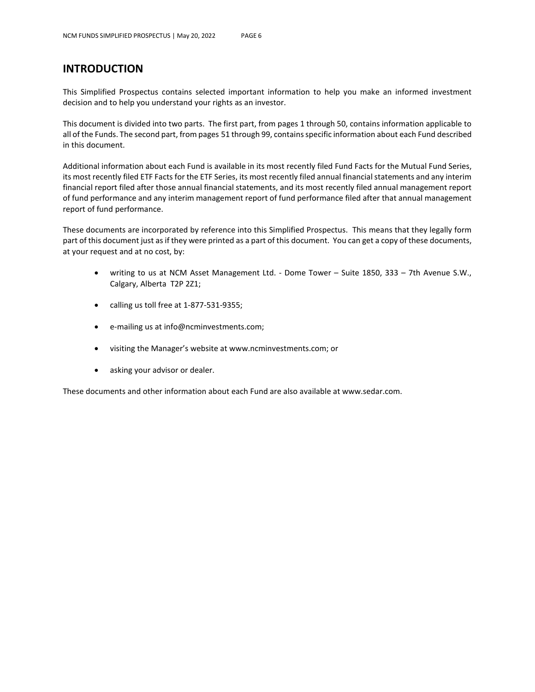## **INTRODUCTION**

This Simplified Prospectus contains selected important information to help you make an informed investment decision and to help you understand your rights as an investor.

This document is divided into two parts. The first part, from pages 1 through 50, contains information applicable to all of the Funds. The second part, from pages 51 through 99, contains specific information about each Fund described in this document.

Additional information about each Fund is available in its most recently filed Fund Facts for the Mutual Fund Series, its most recently filed ETF Facts for the ETF Series, its most recently filed annual financial statements and any interim financial report filed after those annual financial statements, and its most recently filed annual management report of fund performance and any interim management report of fund performance filed after that annual management report of fund performance.

These documents are incorporated by reference into this Simplified Prospectus. This means that they legally form part of this document just as if they were printed as a part of this document. You can get a copy of these documents, at your request and at no cost, by:

- writing to us at NCM Asset Management Ltd. Dome Tower Suite 1850, 333 7th Avenue S.W., Calgary, Alberta T2P 2Z1;
- calling us toll free at 1-877-531-9355;
- e-mailing us at info@ncminvestments.com;
- visiting the Manager's website at www.ncminvestments.com; or
- asking your advisor or dealer.

These documents and other information about each Fund are also available at www.sedar.com.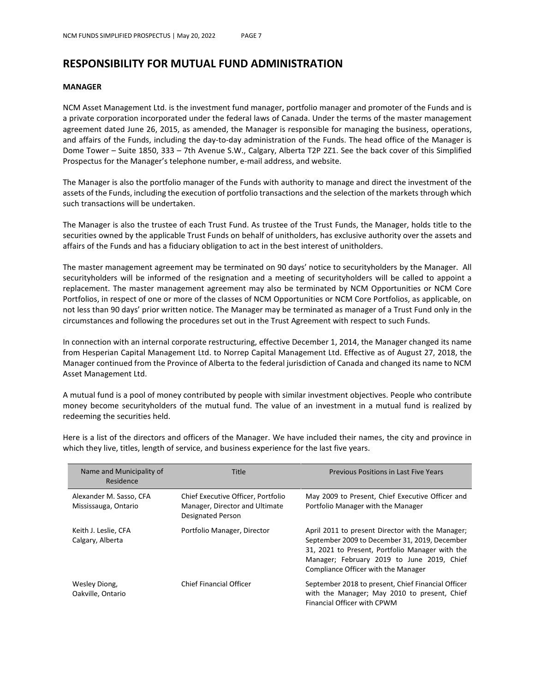## **RESPONSIBILITY FOR MUTUAL FUND ADMINISTRATION**

#### **MANAGER**

NCM Asset Management Ltd. is the investment fund manager, portfolio manager and promoter of the Funds and is a private corporation incorporated under the federal laws of Canada. Under the terms of the master management agreement dated June 26, 2015, as amended, the Manager is responsible for managing the business, operations, and affairs of the Funds, including the day-to-day administration of the Funds. The head office of the Manager is Dome Tower – Suite 1850, 333 – 7th Avenue S.W., Calgary, Alberta T2P 2Z1. See the back cover of this Simplified Prospectus for the Manager's telephone number, e-mail address, and website.

The Manager is also the portfolio manager of the Funds with authority to manage and direct the investment of the assets of the Funds, including the execution of portfolio transactions and the selection of the markets through which such transactions will be undertaken.

The Manager is also the trustee of each Trust Fund. As trustee of the Trust Funds, the Manager, holds title to the securities owned by the applicable Trust Funds on behalf of unitholders, has exclusive authority over the assets and affairs of the Funds and has a fiduciary obligation to act in the best interest of unitholders.

The master management agreement may be terminated on 90 days' notice to securityholders by the Manager. All securityholders will be informed of the resignation and a meeting of securityholders will be called to appoint a replacement. The master management agreement may also be terminated by NCM Opportunities or NCM Core Portfolios, in respect of one or more of the classes of NCM Opportunities or NCM Core Portfolios, as applicable, on not less than 90 days' prior written notice. The Manager may be terminated as manager of a Trust Fund only in the circumstances and following the procedures set out in the Trust Agreement with respect to such Funds.

In connection with an internal corporate restructuring, effective December 1, 2014, the Manager changed its name from Hesperian Capital Management Ltd. to Norrep Capital Management Ltd. Effective as of August 27, 2018, the Manager continued from the Province of Alberta to the federal jurisdiction of Canada and changed its name to NCM Asset Management Ltd.

A mutual fund is a pool of money contributed by people with similar investment objectives. People who contribute money become securityholders of the mutual fund. The value of an investment in a mutual fund is realized by redeeming the securities held.

| Name and Municipality of<br>Residence           | Title                                                                                     | <b>Previous Positions in Last Five Years</b>                                                                                                                                                                                              |
|-------------------------------------------------|-------------------------------------------------------------------------------------------|-------------------------------------------------------------------------------------------------------------------------------------------------------------------------------------------------------------------------------------------|
| Alexander M. Sasso, CFA<br>Mississauga, Ontario | Chief Executive Officer, Portfolio<br>Manager, Director and Ultimate<br>Designated Person | May 2009 to Present, Chief Executive Officer and<br>Portfolio Manager with the Manager                                                                                                                                                    |
| Keith J. Leslie, CFA<br>Calgary, Alberta        | Portfolio Manager, Director                                                               | April 2011 to present Director with the Manager;<br>September 2009 to December 31, 2019, December<br>31, 2021 to Present, Portfolio Manager with the<br>Manager; February 2019 to June 2019, Chief<br>Compliance Officer with the Manager |
| Wesley Diong,<br>Oakville, Ontario              | <b>Chief Financial Officer</b>                                                            | September 2018 to present, Chief Financial Officer<br>with the Manager; May 2010 to present, Chief<br>Financial Officer with CPWM                                                                                                         |

Here is a list of the directors and officers of the Manager. We have included their names, the city and province in which they live, titles, length of service, and business experience for the last five years.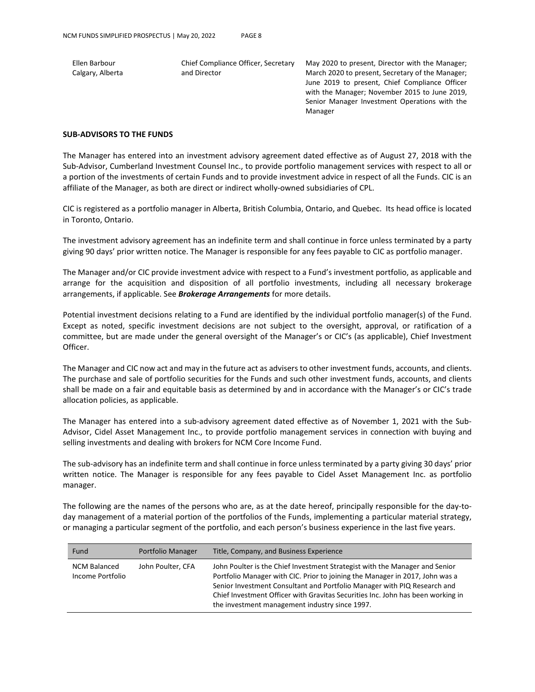Ellen Barbour Calgary, Alberta Chief Compliance Officer, Secretary and Director

May 2020 to present, Director with the Manager; March 2020 to present, Secretary of the Manager; June 2019 to present, Chief Compliance Officer with the Manager; November 2015 to June 2019, Senior Manager Investment Operations with the Manager

#### **SUB-ADVISORS TO THE FUNDS**

The Manager has entered into an investment advisory agreement dated effective as of August 27, 2018 with the Sub-Advisor, Cumberland Investment Counsel Inc., to provide portfolio management services with respect to all or a portion of the investments of certain Funds and to provide investment advice in respect of all the Funds. CIC is an affiliate of the Manager, as both are direct or indirect wholly-owned subsidiaries of CPL.

CIC is registered as a portfolio manager in Alberta, British Columbia, Ontario, and Quebec. Its head office is located in Toronto, Ontario.

The investment advisory agreement has an indefinite term and shall continue in force unless terminated by a party giving 90 days' prior written notice. The Manager is responsible for any fees payable to CIC as portfolio manager.

The Manager and/or CIC provide investment advice with respect to a Fund's investment portfolio, as applicable and arrange for the acquisition and disposition of all portfolio investments, including all necessary brokerage arrangements, if applicable. See *Brokerage Arrangements* for more details.

Potential investment decisions relating to a Fund are identified by the individual portfolio manager(s) of the Fund. Except as noted, specific investment decisions are not subject to the oversight, approval, or ratification of a committee, but are made under the general oversight of the Manager's or CIC's (as applicable), Chief Investment Officer.

The Manager and CIC now act and may in the future act as advisers to other investment funds, accounts, and clients. The purchase and sale of portfolio securities for the Funds and such other investment funds, accounts, and clients shall be made on a fair and equitable basis as determined by and in accordance with the Manager's or CIC's trade allocation policies, as applicable.

The Manager has entered into a sub-advisory agreement dated effective as of November 1, 2021 with the Sub-Advisor, Cidel Asset Management Inc., to provide portfolio management services in connection with buying and selling investments and dealing with brokers for NCM Core Income Fund.

The sub-advisory has an indefinite term and shall continue in force unless terminated by a party giving 30 days' prior written notice. The Manager is responsible for any fees payable to Cidel Asset Management Inc. as portfolio manager.

The following are the names of the persons who are, as at the date hereof, principally responsible for the day-today management of a material portion of the portfolios of the Funds, implementing a particular material strategy, or managing a particular segment of the portfolio, and each person's business experience in the last five years.

| Fund                                    | Portfolio Manager | Title, Company, and Business Experience                                                                                                                                                                                                                                                                                                                                      |
|-----------------------------------------|-------------------|------------------------------------------------------------------------------------------------------------------------------------------------------------------------------------------------------------------------------------------------------------------------------------------------------------------------------------------------------------------------------|
| <b>NCM Balanced</b><br>Income Portfolio | John Poulter, CFA | John Poulter is the Chief Investment Strategist with the Manager and Senior<br>Portfolio Manager with CIC. Prior to joining the Manager in 2017, John was a<br>Senior Investment Consultant and Portfolio Manager with PIQ Research and<br>Chief Investment Officer with Gravitas Securities Inc. John has been working in<br>the investment management industry since 1997. |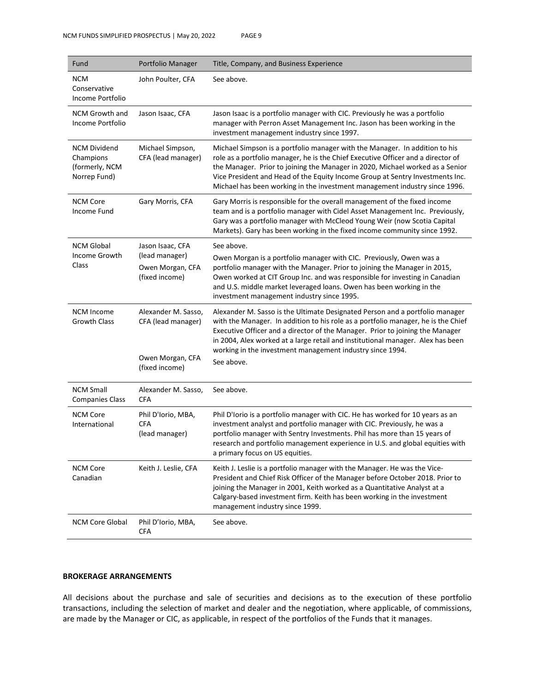| Fund                                                               | Portfolio Manager                                                               | Title, Company, and Business Experience                                                                                                                                                                                                                                                                                                                                                                          |
|--------------------------------------------------------------------|---------------------------------------------------------------------------------|------------------------------------------------------------------------------------------------------------------------------------------------------------------------------------------------------------------------------------------------------------------------------------------------------------------------------------------------------------------------------------------------------------------|
| <b>NCM</b><br>Conservative<br>Income Portfolio                     | John Poulter, CFA                                                               | See above.                                                                                                                                                                                                                                                                                                                                                                                                       |
| NCM Growth and<br>Income Portfolio                                 | Jason Isaac, CFA                                                                | Jason Isaac is a portfolio manager with CIC. Previously he was a portfolio<br>manager with Perron Asset Management Inc. Jason has been working in the<br>investment management industry since 1997.                                                                                                                                                                                                              |
| <b>NCM Dividend</b><br>Champions<br>(formerly, NCM<br>Norrep Fund) | Michael Simpson,<br>CFA (lead manager)                                          | Michael Simpson is a portfolio manager with the Manager. In addition to his<br>role as a portfolio manager, he is the Chief Executive Officer and a director of<br>the Manager. Prior to joining the Manager in 2020, Michael worked as a Senior<br>Vice President and Head of the Equity Income Group at Sentry Investments Inc.<br>Michael has been working in the investment management industry since 1996.  |
| <b>NCM Core</b><br>Income Fund                                     | Gary Morris, CFA                                                                | Gary Morris is responsible for the overall management of the fixed income<br>team and is a portfolio manager with Cidel Asset Management Inc. Previously,<br>Gary was a portfolio manager with McCleod Young Weir (now Scotia Capital<br>Markets). Gary has been working in the fixed income community since 1992.                                                                                               |
| <b>NCM Global</b><br>Income Growth<br>Class                        | Jason Isaac, CFA<br>(lead manager)<br>Owen Morgan, CFA<br>(fixed income)        | See above.<br>Owen Morgan is a portfolio manager with CIC. Previously, Owen was a<br>portfolio manager with the Manager. Prior to joining the Manager in 2015,<br>Owen worked at CIT Group Inc. and was responsible for investing in Canadian<br>and U.S. middle market leveraged loans. Owen has been working in the<br>investment management industry since 1995.                                              |
| <b>NCM Income</b><br><b>Growth Class</b>                           | Alexander M. Sasso,<br>CFA (lead manager)<br>Owen Morgan, CFA<br>(fixed income) | Alexander M. Sasso is the Ultimate Designated Person and a portfolio manager<br>with the Manager. In addition to his role as a portfolio manager, he is the Chief<br>Executive Officer and a director of the Manager. Prior to joining the Manager<br>in 2004, Alex worked at a large retail and institutional manager. Alex has been<br>working in the investment management industry since 1994.<br>See above. |
| <b>NCM Small</b><br><b>Companies Class</b>                         | Alexander M. Sasso,<br><b>CFA</b>                                               | See above.                                                                                                                                                                                                                                                                                                                                                                                                       |
| <b>NCM Core</b><br>International                                   | Phil D'Iorio, MBA,<br><b>CFA</b><br>(lead manager)                              | Phil D'Iorio is a portfolio manager with CIC. He has worked for 10 years as an<br>investment analyst and portfolio manager with CIC. Previously, he was a<br>portfolio manager with Sentry Investments. Phil has more than 15 years of<br>research and portfolio management experience in U.S. and global equities with<br>a primary focus on US equities.                                                       |
| <b>NCM Core</b><br>Canadian                                        | Keith J. Leslie, CFA                                                            | Keith J. Leslie is a portfolio manager with the Manager. He was the Vice-<br>President and Chief Risk Officer of the Manager before October 2018. Prior to<br>joining the Manager in 2001, Keith worked as a Quantitative Analyst at a<br>Calgary-based investment firm. Keith has been working in the investment<br>management industry since 1999.                                                             |
| <b>NCM Core Global</b>                                             | Phil D'Iorio, MBA,<br>CFA                                                       | See above.                                                                                                                                                                                                                                                                                                                                                                                                       |

### **BROKERAGE ARRANGEMENTS**

All decisions about the purchase and sale of securities and decisions as to the execution of these portfolio transactions, including the selection of market and dealer and the negotiation, where applicable, of commissions, are made by the Manager or CIC, as applicable, in respect of the portfolios of the Funds that it manages.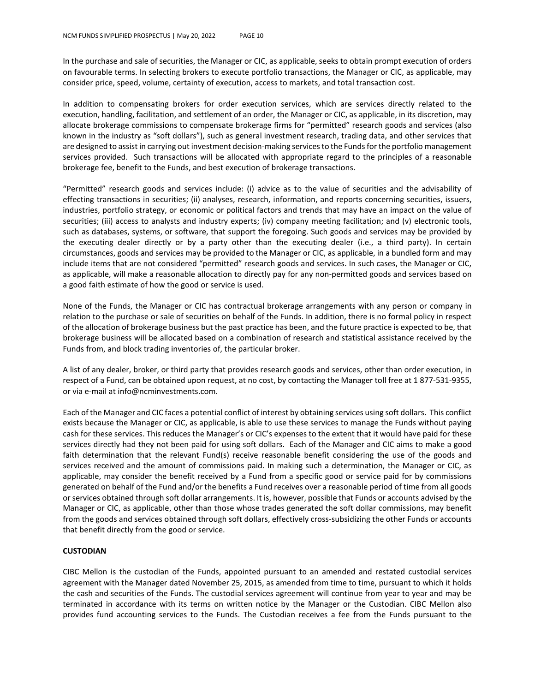In the purchase and sale of securities, the Manager or CIC, as applicable, seeks to obtain prompt execution of orders on favourable terms. In selecting brokers to execute portfolio transactions, the Manager or CIC, as applicable, may consider price, speed, volume, certainty of execution, access to markets, and total transaction cost.

In addition to compensating brokers for order execution services, which are services directly related to the execution, handling, facilitation, and settlement of an order, the Manager or CIC, as applicable, in its discretion, may allocate brokerage commissions to compensate brokerage firms for "permitted" research goods and services (also known in the industry as "soft dollars"), such as general investment research, trading data, and other services that are designed to assist in carrying out investment decision-making services to the Funds for the portfolio management services provided. Such transactions will be allocated with appropriate regard to the principles of a reasonable brokerage fee, benefit to the Funds, and best execution of brokerage transactions.

"Permitted" research goods and services include: (i) advice as to the value of securities and the advisability of effecting transactions in securities; (ii) analyses, research, information, and reports concerning securities, issuers, industries, portfolio strategy, or economic or political factors and trends that may have an impact on the value of securities; (iii) access to analysts and industry experts; (iv) company meeting facilitation; and (v) electronic tools, such as databases, systems, or software, that support the foregoing. Such goods and services may be provided by the executing dealer directly or by a party other than the executing dealer (i.e., a third party). In certain circumstances, goods and services may be provided to the Manager or CIC, as applicable, in a bundled form and may include items that are not considered "permitted" research goods and services. In such cases, the Manager or CIC, as applicable, will make a reasonable allocation to directly pay for any non-permitted goods and services based on a good faith estimate of how the good or service is used.

None of the Funds, the Manager or CIC has contractual brokerage arrangements with any person or company in relation to the purchase or sale of securities on behalf of the Funds. In addition, there is no formal policy in respect of the allocation of brokerage business but the past practice has been, and the future practice is expected to be, that brokerage business will be allocated based on a combination of research and statistical assistance received by the Funds from, and block trading inventories of, the particular broker.

A list of any dealer, broker, or third party that provides research goods and services, other than order execution, in respect of a Fund, can be obtained upon request, at no cost, by contacting the Manager toll free at 1 877-531-9355, or via e-mail at info@ncminvestments.com.

Each of the Manager and CIC faces a potential conflict of interest by obtaining services using soft dollars. This conflict exists because the Manager or CIC, as applicable, is able to use these services to manage the Funds without paying cash for these services. This reduces the Manager's or CIC's expenses to the extent that it would have paid for these services directly had they not been paid for using soft dollars. Each of the Manager and CIC aims to make a good faith determination that the relevant Fund(s) receive reasonable benefit considering the use of the goods and services received and the amount of commissions paid. In making such a determination, the Manager or CIC, as applicable, may consider the benefit received by a Fund from a specific good or service paid for by commissions generated on behalf of the Fund and/or the benefits a Fund receives over a reasonable period of time from all goods or services obtained through soft dollar arrangements. It is, however, possible that Funds or accounts advised by the Manager or CIC, as applicable, other than those whose trades generated the soft dollar commissions, may benefit from the goods and services obtained through soft dollars, effectively cross-subsidizing the other Funds or accounts that benefit directly from the good or service.

#### **CUSTODIAN**

CIBC Mellon is the custodian of the Funds, appointed pursuant to an amended and restated custodial services agreement with the Manager dated November 25, 2015, as amended from time to time, pursuant to which it holds the cash and securities of the Funds. The custodial services agreement will continue from year to year and may be terminated in accordance with its terms on written notice by the Manager or the Custodian. CIBC Mellon also provides fund accounting services to the Funds. The Custodian receives a fee from the Funds pursuant to the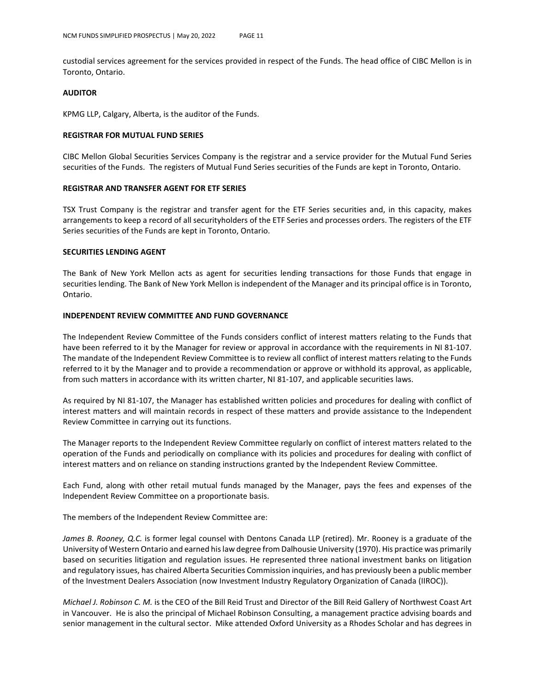custodial services agreement for the services provided in respect of the Funds. The head office of CIBC Mellon is in Toronto, Ontario.

#### **AUDITOR**

KPMG LLP, Calgary, Alberta, is the auditor of the Funds.

#### **REGISTRAR FOR MUTUAL FUND SERIES**

CIBC Mellon Global Securities Services Company is the registrar and a service provider for the Mutual Fund Series securities of the Funds. The registers of Mutual Fund Series securities of the Funds are kept in Toronto, Ontario.

#### **REGISTRAR AND TRANSFER AGENT FOR ETF SERIES**

TSX Trust Company is the registrar and transfer agent for the ETF Series securities and, in this capacity, makes arrangements to keep a record of all securityholders of the ETF Series and processes orders. The registers of the ETF Series securities of the Funds are kept in Toronto, Ontario.

#### **SECURITIES LENDING AGENT**

The Bank of New York Mellon acts as agent for securities lending transactions for those Funds that engage in securities lending. The Bank of New York Mellon is independent of the Manager and its principal office is in Toronto, Ontario.

#### **INDEPENDENT REVIEW COMMITTEE AND FUND GOVERNANCE**

The Independent Review Committee of the Funds considers conflict of interest matters relating to the Funds that have been referred to it by the Manager for review or approval in accordance with the requirements in NI 81-107. The mandate of the Independent Review Committee is to review all conflict of interest matters relating to the Funds referred to it by the Manager and to provide a recommendation or approve or withhold its approval, as applicable, from such matters in accordance with its written charter, NI 81-107, and applicable securities laws.

As required by NI 81-107, the Manager has established written policies and procedures for dealing with conflict of interest matters and will maintain records in respect of these matters and provide assistance to the Independent Review Committee in carrying out its functions.

The Manager reports to the Independent Review Committee regularly on conflict of interest matters related to the operation of the Funds and periodically on compliance with its policies and procedures for dealing with conflict of interest matters and on reliance on standing instructions granted by the Independent Review Committee.

Each Fund, along with other retail mutual funds managed by the Manager, pays the fees and expenses of the Independent Review Committee on a proportionate basis.

The members of the Independent Review Committee are:

*James B. Rooney, Q.C.* is former legal counsel with Dentons Canada LLP (retired). Mr. Rooney is a graduate of the University of Western Ontario and earned his law degree from Dalhousie University (1970). His practice was primarily based on securities litigation and regulation issues. He represented three national investment banks on litigation and regulatory issues, has chaired Alberta Securities Commission inquiries, and has previously been a public member of the Investment Dealers Association (now Investment Industry Regulatory Organization of Canada (IIROC)).

*Michael J. Robinson C. M.* is the CEO of the Bill Reid Trust and Director of the Bill Reid Gallery of Northwest Coast Art in Vancouver. He is also the principal of Michael Robinson Consulting, a management practice advising boards and senior management in the cultural sector. Mike attended Oxford University as a Rhodes Scholar and has degrees in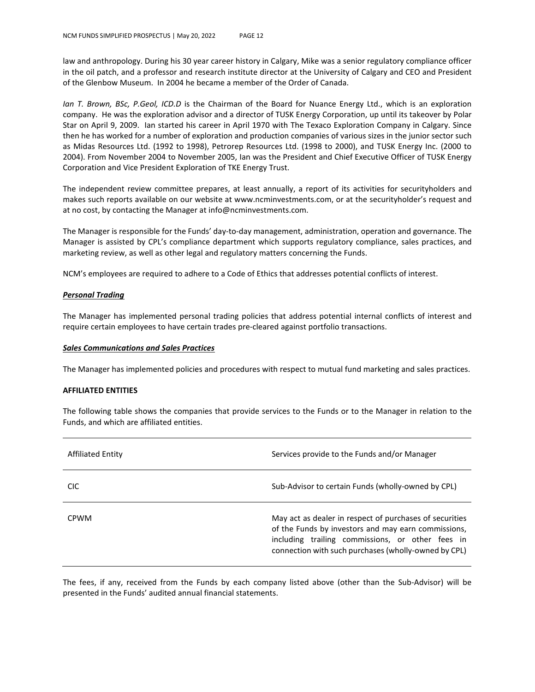law and anthropology. During his 30 year career history in Calgary, Mike was a senior regulatory compliance officer in the oil patch, and a professor and research institute director at the University of Calgary and CEO and President of the Glenbow Museum. In 2004 he became a member of the Order of Canada.

*Ian T. Brown, BSc, P.Geol, ICD.D* is the Chairman of the Board for Nuance Energy Ltd., which is an exploration company. He was the exploration advisor and a director of TUSK Energy Corporation, up until its takeover by Polar Star on April 9, 2009. Ian started his career in April 1970 with The Texaco Exploration Company in Calgary. Since then he has worked for a number of exploration and production companies of various sizes in the junior sector such as Midas Resources Ltd. (1992 to 1998), Petrorep Resources Ltd. (1998 to 2000), and TUSK Energy Inc. (2000 to 2004). From November 2004 to November 2005, Ian was the President and Chief Executive Officer of TUSK Energy Corporation and Vice President Exploration of TKE Energy Trust.

The independent review committee prepares, at least annually, a report of its activities for securityholders and makes such reports available on our website at www.ncminvestments.com, or at the securityholder's request and at no cost, by contacting the Manager at info@ncminvestments.com.

The Manager is responsible for the Funds' day-to-day management, administration, operation and governance. The Manager is assisted by CPL's compliance department which supports regulatory compliance, sales practices, and marketing review, as well as other legal and regulatory matters concerning the Funds.

NCM's employees are required to adhere to a Code of Ethics that addresses potential conflicts of interest.

#### *Personal Trading*

The Manager has implemented personal trading policies that address potential internal conflicts of interest and require certain employees to have certain trades pre-cleared against portfolio transactions.

#### *Sales Communications and Sales Practices*

The Manager has implemented policies and procedures with respect to mutual fund marketing and sales practices.

#### **AFFILIATED ENTITIES**

The following table shows the companies that provide services to the Funds or to the Manager in relation to the Funds, and which are affiliated entities.

| Affiliated Entity | Services provide to the Funds and/or Manager                                                                                                                                                                               |
|-------------------|----------------------------------------------------------------------------------------------------------------------------------------------------------------------------------------------------------------------------|
| <b>CIC</b>        | Sub-Advisor to certain Funds (wholly-owned by CPL)                                                                                                                                                                         |
| <b>CPWM</b>       | May act as dealer in respect of purchases of securities<br>of the Funds by investors and may earn commissions,<br>including trailing commissions, or other fees in<br>connection with such purchases (wholly-owned by CPL) |

The fees, if any, received from the Funds by each company listed above (other than the Sub-Advisor) will be presented in the Funds' audited annual financial statements.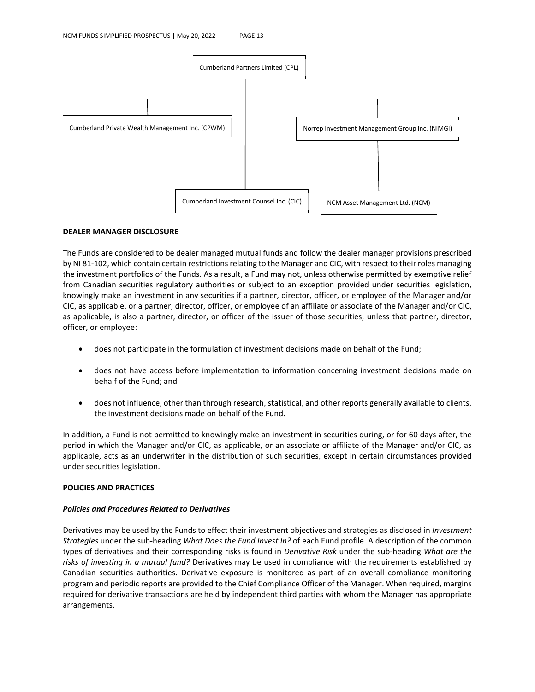

#### **DEALER MANAGER DISCLOSURE**

The Funds are considered to be dealer managed mutual funds and follow the dealer manager provisions prescribed by NI 81-102, which contain certain restrictions relating to the Manager and CIC, with respect to their roles managing the investment portfolios of the Funds. As a result, a Fund may not, unless otherwise permitted by exemptive relief from Canadian securities regulatory authorities or subject to an exception provided under securities legislation, knowingly make an investment in any securities if a partner, director, officer, or employee of the Manager and/or CIC, as applicable, or a partner, director, officer, or employee of an affiliate or associate of the Manager and/or CIC, as applicable, is also a partner, director, or officer of the issuer of those securities, unless that partner, director, officer, or employee:

- does not participate in the formulation of investment decisions made on behalf of the Fund;
- does not have access before implementation to information concerning investment decisions made on behalf of the Fund; and
- does not influence, other than through research, statistical, and other reports generally available to clients, the investment decisions made on behalf of the Fund.

In addition, a Fund is not permitted to knowingly make an investment in securities during, or for 60 days after, the period in which the Manager and/or CIC, as applicable, or an associate or affiliate of the Manager and/or CIC, as applicable, acts as an underwriter in the distribution of such securities, except in certain circumstances provided under securities legislation.

#### **POLICIES AND PRACTICES**

#### *Policies and Procedures Related to Derivatives*

Derivatives may be used by the Funds to effect their investment objectives and strategies as disclosed in *Investment Strategies* under the sub-heading *What Does the Fund Invest In?* of each Fund profile. A description of the common types of derivatives and their corresponding risks is found in *Derivative Risk* under the sub-heading *What are the risks of investing in a mutual fund?* Derivatives may be used in compliance with the requirements established by Canadian securities authorities. Derivative exposure is monitored as part of an overall compliance monitoring program and periodic reports are provided to the Chief Compliance Officer of the Manager. When required, margins required for derivative transactions are held by independent third parties with whom the Manager has appropriate arrangements.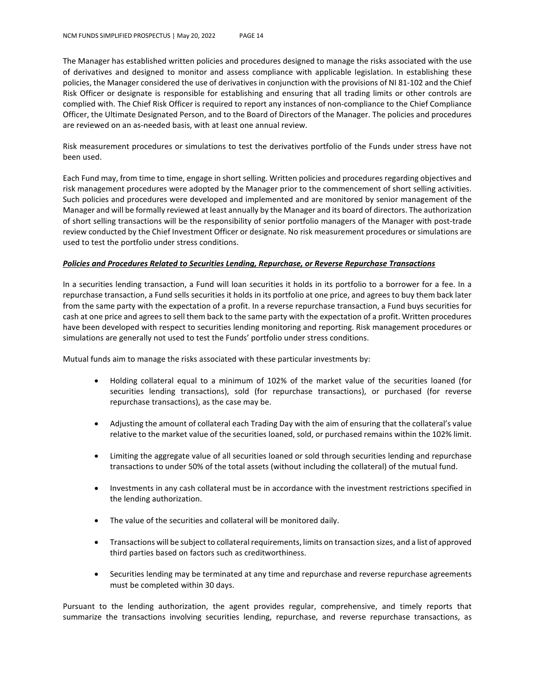The Manager has established written policies and procedures designed to manage the risks associated with the use of derivatives and designed to monitor and assess compliance with applicable legislation. In establishing these policies, the Manager considered the use of derivatives in conjunction with the provisions of NI 81-102 and the Chief Risk Officer or designate is responsible for establishing and ensuring that all trading limits or other controls are complied with. The Chief Risk Officer is required to report any instances of non-compliance to the Chief Compliance Officer, the Ultimate Designated Person, and to the Board of Directors of the Manager. The policies and procedures are reviewed on an as-needed basis, with at least one annual review.

Risk measurement procedures or simulations to test the derivatives portfolio of the Funds under stress have not been used.

Each Fund may, from time to time, engage in short selling. Written policies and procedures regarding objectives and risk management procedures were adopted by the Manager prior to the commencement of short selling activities. Such policies and procedures were developed and implemented and are monitored by senior management of the Manager and will be formally reviewed at least annually by the Manager and its board of directors. The authorization of short selling transactions will be the responsibility of senior portfolio managers of the Manager with post-trade review conducted by the Chief Investment Officer or designate. No risk measurement procedures or simulations are used to test the portfolio under stress conditions.

#### *Policies and Procedures Related to Securities Lending, Repurchase, or Reverse Repurchase Transactions*

In a securities lending transaction, a Fund will loan securities it holds in its portfolio to a borrower for a fee. In a repurchase transaction, a Fund sells securities it holds in its portfolio at one price, and agrees to buy them back later from the same party with the expectation of a profit. In a reverse repurchase transaction, a Fund buys securities for cash at one price and agrees to sell them back to the same party with the expectation of a profit. Written procedures have been developed with respect to securities lending monitoring and reporting. Risk management procedures or simulations are generally not used to test the Funds' portfolio under stress conditions.

Mutual funds aim to manage the risks associated with these particular investments by:

- Holding collateral equal to a minimum of 102% of the market value of the securities loaned (for securities lending transactions), sold (for repurchase transactions), or purchased (for reverse repurchase transactions), as the case may be.
- Adjusting the amount of collateral each Trading Day with the aim of ensuring that the collateral's value relative to the market value of the securities loaned, sold, or purchased remains within the 102% limit.
- Limiting the aggregate value of all securities loaned or sold through securities lending and repurchase transactions to under 50% of the total assets (without including the collateral) of the mutual fund.
- Investments in any cash collateral must be in accordance with the investment restrictions specified in the lending authorization.
- The value of the securities and collateral will be monitored daily.
- Transactions will be subject to collateral requirements, limits on transaction sizes, and a list of approved third parties based on factors such as creditworthiness.
- Securities lending may be terminated at any time and repurchase and reverse repurchase agreements must be completed within 30 days.

Pursuant to the lending authorization, the agent provides regular, comprehensive, and timely reports that summarize the transactions involving securities lending, repurchase, and reverse repurchase transactions, as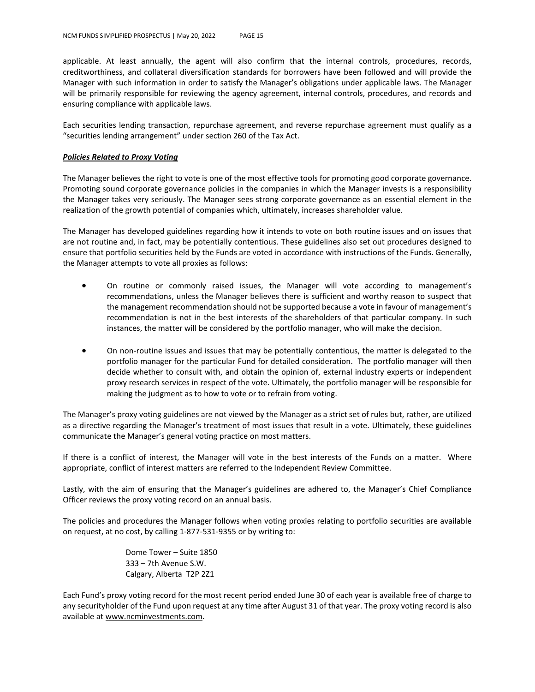applicable. At least annually, the agent will also confirm that the internal controls, procedures, records, creditworthiness, and collateral diversification standards for borrowers have been followed and will provide the Manager with such information in order to satisfy the Manager's obligations under applicable laws. The Manager will be primarily responsible for reviewing the agency agreement, internal controls, procedures, and records and ensuring compliance with applicable laws.

Each securities lending transaction, repurchase agreement, and reverse repurchase agreement must qualify as a "securities lending arrangement" under section 260 of the Tax Act.

#### *Policies Related to Proxy Voting*

The Manager believes the right to vote is one of the most effective tools for promoting good corporate governance. Promoting sound corporate governance policies in the companies in which the Manager invests is a responsibility the Manager takes very seriously. The Manager sees strong corporate governance as an essential element in the realization of the growth potential of companies which, ultimately, increases shareholder value.

The Manager has developed guidelines regarding how it intends to vote on both routine issues and on issues that are not routine and, in fact, may be potentially contentious. These guidelines also set out procedures designed to ensure that portfolio securities held by the Funds are voted in accordance with instructions of the Funds. Generally, the Manager attempts to vote all proxies as follows:

- On routine or commonly raised issues, the Manager will vote according to management's recommendations, unless the Manager believes there is sufficient and worthy reason to suspect that the management recommendation should not be supported because a vote in favour of management's recommendation is not in the best interests of the shareholders of that particular company. In such instances, the matter will be considered by the portfolio manager, who will make the decision.
- On non-routine issues and issues that may be potentially contentious, the matter is delegated to the portfolio manager for the particular Fund for detailed consideration. The portfolio manager will then decide whether to consult with, and obtain the opinion of, external industry experts or independent proxy research services in respect of the vote. Ultimately, the portfolio manager will be responsible for making the judgment as to how to vote or to refrain from voting.

The Manager's proxy voting guidelines are not viewed by the Manager as a strict set of rules but, rather, are utilized as a directive regarding the Manager's treatment of most issues that result in a vote. Ultimately, these guidelines communicate the Manager's general voting practice on most matters.

If there is a conflict of interest, the Manager will vote in the best interests of the Funds on a matter. Where appropriate, conflict of interest matters are referred to the Independent Review Committee.

Lastly, with the aim of ensuring that the Manager's guidelines are adhered to, the Manager's Chief Compliance Officer reviews the proxy voting record on an annual basis.

The policies and procedures the Manager follows when voting proxies relating to portfolio securities are available on request, at no cost, by calling 1-877-531-9355 or by writing to:

> Dome Tower – Suite 1850 333 – 7th Avenue S.W. Calgary, Alberta T2P 2Z1

Each Fund's proxy voting record for the most recent period ended June 30 of each year is available free of charge to any securityholder of the Fund upon request at any time after August 31 of that year. The proxy voting record is also available at www.ncminvestments.com.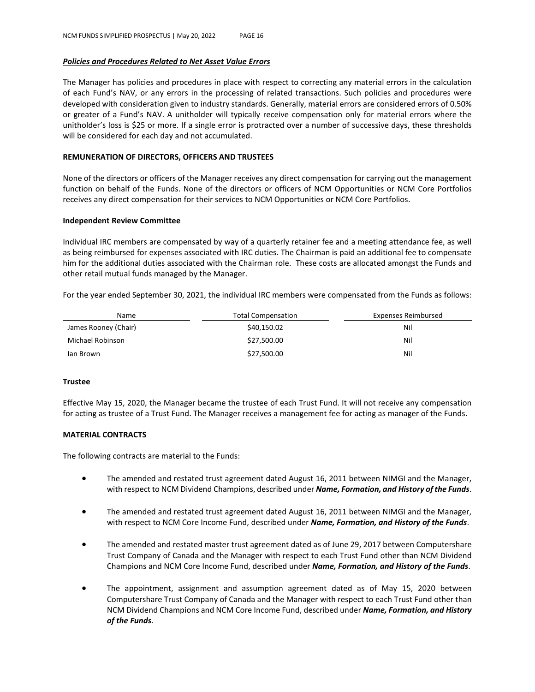#### *Policies and Procedures Related to Net Asset Value Errors*

The Manager has policies and procedures in place with respect to correcting any material errors in the calculation of each Fund's NAV, or any errors in the processing of related transactions. Such policies and procedures were developed with consideration given to industry standards. Generally, material errors are considered errors of 0.50% or greater of a Fund's NAV. A unitholder will typically receive compensation only for material errors where the unitholder's loss is \$25 or more. If a single error is protracted over a number of successive days, these thresholds will be considered for each day and not accumulated.

#### **REMUNERATION OF DIRECTORS, OFFICERS AND TRUSTEES**

None of the directors or officers of the Manager receives any direct compensation for carrying out the management function on behalf of the Funds. None of the directors or officers of NCM Opportunities or NCM Core Portfolios receives any direct compensation for their services to NCM Opportunities or NCM Core Portfolios.

#### **Independent Review Committee**

Individual IRC members are compensated by way of a quarterly retainer fee and a meeting attendance fee, as well as being reimbursed for expenses associated with IRC duties. The Chairman is paid an additional fee to compensate him for the additional duties associated with the Chairman role. These costs are allocated amongst the Funds and other retail mutual funds managed by the Manager.

For the year ended September 30, 2021, the individual IRC members were compensated from the Funds as follows:

| Name                 | <b>Total Compensation</b> | Expenses Reimbursed |
|----------------------|---------------------------|---------------------|
| James Rooney (Chair) | \$40,150.02               | Nil                 |
| Michael Robinson     | \$27,500.00               | Nil                 |
| lan Brown            | \$27,500.00               | Nil                 |

#### **Trustee**

Effective May 15, 2020, the Manager became the trustee of each Trust Fund. It will not receive any compensation for acting as trustee of a Trust Fund. The Manager receives a management fee for acting as manager of the Funds.

#### **MATERIAL CONTRACTS**

The following contracts are material to the Funds:

- The amended and restated trust agreement dated August 16, 2011 between NIMGI and the Manager, with respect to NCM Dividend Champions, described under *Name, Formation, and History of the Funds*.
- The amended and restated trust agreement dated August 16, 2011 between NIMGI and the Manager, with respect to NCM Core Income Fund, described under *Name, Formation, and History of the Funds*.
- The amended and restated master trust agreement dated as of June 29, 2017 between Computershare Trust Company of Canada and the Manager with respect to each Trust Fund other than NCM Dividend Champions and NCM Core Income Fund, described under *Name, Formation, and History of the Funds*.
- The appointment, assignment and assumption agreement dated as of May 15, 2020 between Computershare Trust Company of Canada and the Manager with respect to each Trust Fund other than NCM Dividend Champions and NCM Core Income Fund, described under *Name, Formation, and History of the Funds*.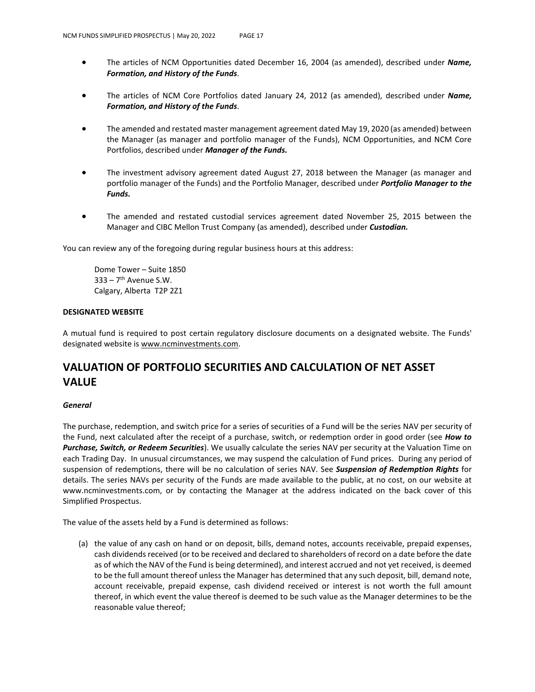- The articles of NCM Opportunities dated December 16, 2004 (as amended), described under *Name, Formation, and History of the Funds*.
- The articles of NCM Core Portfolios dated January 24, 2012 (as amended), described under *Name, Formation, and History of the Funds*.
- The amended and restated master management agreement dated May 19, 2020 (as amended) between the Manager (as manager and portfolio manager of the Funds), NCM Opportunities, and NCM Core Portfolios, described under *Manager of the Funds.*
- The investment advisory agreement dated August 27, 2018 between the Manager (as manager and portfolio manager of the Funds) and the Portfolio Manager, described under *Portfolio Manager to the Funds.*
- The amended and restated custodial services agreement dated November 25, 2015 between the Manager and CIBC Mellon Trust Company (as amended), described under *Custodian.*

You can review any of the foregoing during regular business hours at this address:

Dome Tower – Suite 1850  $333 - 7$ <sup>th</sup> Avenue S.W. Calgary, Alberta T2P 2Z1

#### **DESIGNATED WEBSITE**

A mutual fund is required to post certain regulatory disclosure documents on a designated website. The Funds' designated website is www.ncminvestments.com.

## **VALUATION OF PORTFOLIO SECURITIES AND CALCULATION OF NET ASSET VALUE**

#### *General*

The purchase, redemption, and switch price for a series of securities of a Fund will be the series NAV per security of the Fund, next calculated after the receipt of a purchase, switch, or redemption order in good order (see *How to Purchase, Switch, or Redeem Securities*). We usually calculate the series NAV per security at the Valuation Time on each Trading Day. In unusual circumstances, we may suspend the calculation of Fund prices. During any period of suspension of redemptions, there will be no calculation of series NAV. See *Suspension of Redemption Rights* for details. The series NAVs per security of the Funds are made available to the public, at no cost, on our website at www.ncminvestments.com, or by contacting the Manager at the address indicated on the back cover of this Simplified Prospectus.

The value of the assets held by a Fund is determined as follows:

(a) the value of any cash on hand or on deposit, bills, demand notes, accounts receivable, prepaid expenses, cash dividends received (or to be received and declared to shareholders of record on a date before the date as of which the NAV of the Fund is being determined), and interest accrued and not yet received, is deemed to be the full amount thereof unless the Manager has determined that any such deposit, bill, demand note, account receivable, prepaid expense, cash dividend received or interest is not worth the full amount thereof, in which event the value thereof is deemed to be such value as the Manager determines to be the reasonable value thereof;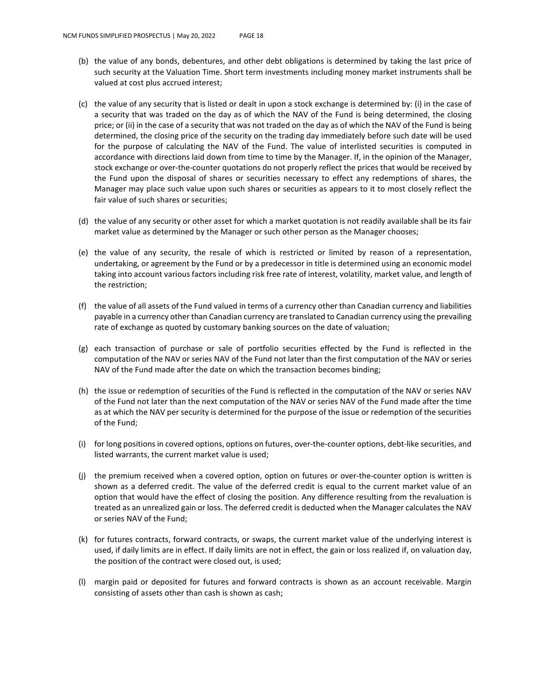- (b) the value of any bonds, debentures, and other debt obligations is determined by taking the last price of such security at the Valuation Time. Short term investments including money market instruments shall be valued at cost plus accrued interest;
- (c) the value of any security that is listed or dealt in upon a stock exchange is determined by: (i) in the case of a security that was traded on the day as of which the NAV of the Fund is being determined, the closing price; or (ii) in the case of a security that was not traded on the day as of which the NAV of the Fund is being determined, the closing price of the security on the trading day immediately before such date will be used for the purpose of calculating the NAV of the Fund. The value of interlisted securities is computed in accordance with directions laid down from time to time by the Manager. If, in the opinion of the Manager, stock exchange or over-the-counter quotations do not properly reflect the prices that would be received by the Fund upon the disposal of shares or securities necessary to effect any redemptions of shares, the Manager may place such value upon such shares or securities as appears to it to most closely reflect the fair value of such shares or securities;
- (d) the value of any security or other asset for which a market quotation is not readily available shall be its fair market value as determined by the Manager or such other person as the Manager chooses;
- (e) the value of any security, the resale of which is restricted or limited by reason of a representation, undertaking, or agreement by the Fund or by a predecessor in title is determined using an economic model taking into account various factors including risk free rate of interest, volatility, market value, and length of the restriction;
- (f) the value of all assets of the Fund valued in terms of a currency other than Canadian currency and liabilities payable in a currency other than Canadian currency are translated to Canadian currency using the prevailing rate of exchange as quoted by customary banking sources on the date of valuation;
- (g) each transaction of purchase or sale of portfolio securities effected by the Fund is reflected in the computation of the NAV or series NAV of the Fund not later than the first computation of the NAV or series NAV of the Fund made after the date on which the transaction becomes binding;
- (h) the issue or redemption of securities of the Fund is reflected in the computation of the NAV or series NAV of the Fund not later than the next computation of the NAV or series NAV of the Fund made after the time as at which the NAV per security is determined for the purpose of the issue or redemption of the securities of the Fund;
- (i) for long positions in covered options, options on futures, over-the-counter options, debt-like securities, and listed warrants, the current market value is used;
- (j) the premium received when a covered option, option on futures or over-the-counter option is written is shown as a deferred credit. The value of the deferred credit is equal to the current market value of an option that would have the effect of closing the position. Any difference resulting from the revaluation is treated as an unrealized gain or loss. The deferred credit is deducted when the Manager calculates the NAV or series NAV of the Fund;
- (k) for futures contracts, forward contracts, or swaps, the current market value of the underlying interest is used, if daily limits are in effect. If daily limits are not in effect, the gain or loss realized if, on valuation day, the position of the contract were closed out, is used;
- (l) margin paid or deposited for futures and forward contracts is shown as an account receivable. Margin consisting of assets other than cash is shown as cash;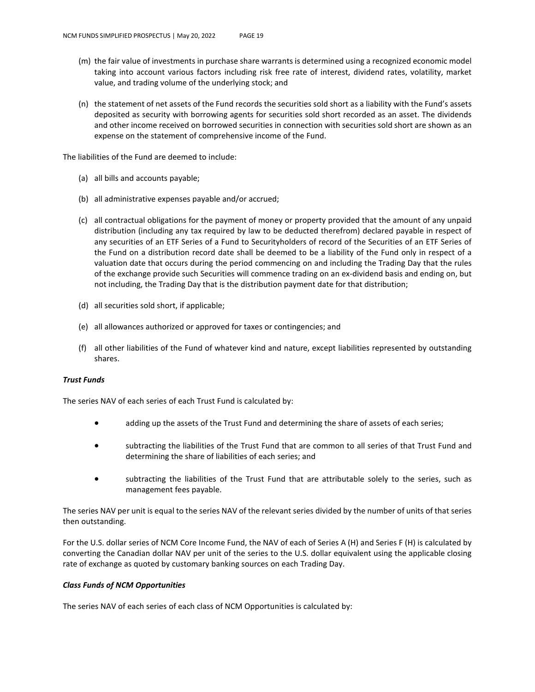- (m) the fair value of investments in purchase share warrants is determined using a recognized economic model taking into account various factors including risk free rate of interest, dividend rates, volatility, market value, and trading volume of the underlying stock; and
- (n) the statement of net assets of the Fund records the securities sold short as a liability with the Fund's assets deposited as security with borrowing agents for securities sold short recorded as an asset. The dividends and other income received on borrowed securities in connection with securities sold short are shown as an expense on the statement of comprehensive income of the Fund.

The liabilities of the Fund are deemed to include:

- (a) all bills and accounts payable;
- (b) all administrative expenses payable and/or accrued;
- (c) all contractual obligations for the payment of money or property provided that the amount of any unpaid distribution (including any tax required by law to be deducted therefrom) declared payable in respect of any securities of an ETF Series of a Fund to Securityholders of record of the Securities of an ETF Series of the Fund on a distribution record date shall be deemed to be a liability of the Fund only in respect of a valuation date that occurs during the period commencing on and including the Trading Day that the rules of the exchange provide such Securities will commence trading on an ex-dividend basis and ending on, but not including, the Trading Day that is the distribution payment date for that distribution;
- (d) all securities sold short, if applicable;
- (e) all allowances authorized or approved for taxes or contingencies; and
- (f) all other liabilities of the Fund of whatever kind and nature, except liabilities represented by outstanding shares.

#### *Trust Funds*

The series NAV of each series of each Trust Fund is calculated by:

- adding up the assets of the Trust Fund and determining the share of assets of each series;
- subtracting the liabilities of the Trust Fund that are common to all series of that Trust Fund and determining the share of liabilities of each series; and
- subtracting the liabilities of the Trust Fund that are attributable solely to the series, such as management fees payable.

The series NAV per unit is equal to the series NAV of the relevant series divided by the number of units of that series then outstanding.

For the U.S. dollar series of NCM Core Income Fund, the NAV of each of Series A (H) and Series F (H) is calculated by converting the Canadian dollar NAV per unit of the series to the U.S. dollar equivalent using the applicable closing rate of exchange as quoted by customary banking sources on each Trading Day.

#### *Class Funds of NCM Opportunities*

The series NAV of each series of each class of NCM Opportunities is calculated by: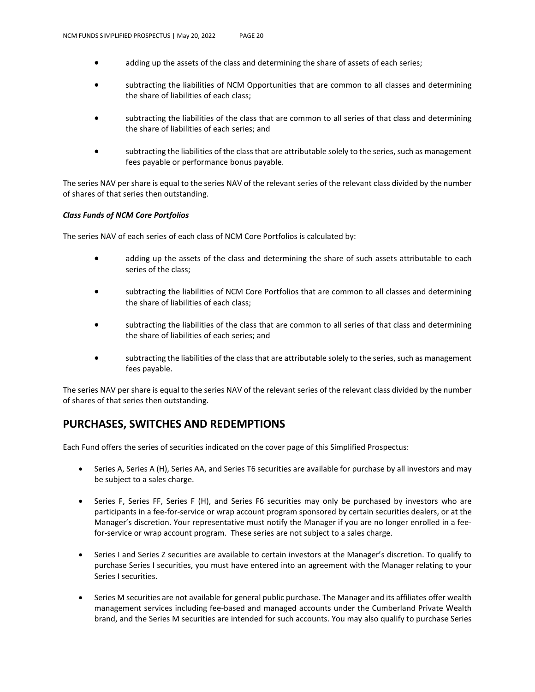- adding up the assets of the class and determining the share of assets of each series;
- subtracting the liabilities of NCM Opportunities that are common to all classes and determining the share of liabilities of each class;
- subtracting the liabilities of the class that are common to all series of that class and determining the share of liabilities of each series; and
- subtracting the liabilities of the class that are attributable solely to the series, such as management fees payable or performance bonus payable.

The series NAV per share is equal to the series NAV of the relevant series of the relevant class divided by the number of shares of that series then outstanding.

#### *Class Funds of NCM Core Portfolios*

The series NAV of each series of each class of NCM Core Portfolios is calculated by:

- adding up the assets of the class and determining the share of such assets attributable to each series of the class;
- subtracting the liabilities of NCM Core Portfolios that are common to all classes and determining the share of liabilities of each class;
- subtracting the liabilities of the class that are common to all series of that class and determining the share of liabilities of each series; and
- subtracting the liabilities of the class that are attributable solely to the series, such as management fees payable.

The series NAV per share is equal to the series NAV of the relevant series of the relevant class divided by the number of shares of that series then outstanding.

## **PURCHASES, SWITCHES AND REDEMPTIONS**

Each Fund offers the series of securities indicated on the cover page of this Simplified Prospectus:

- Series A, Series A (H), Series AA, and Series T6 securities are available for purchase by all investors and may be subject to a sales charge.
- Series F, Series FF, Series F (H), and Series F6 securities may only be purchased by investors who are participants in a fee-for-service or wrap account program sponsored by certain securities dealers, or at the Manager's discretion. Your representative must notify the Manager if you are no longer enrolled in a feefor-service or wrap account program. These series are not subject to a sales charge.
- Series I and Series Z securities are available to certain investors at the Manager's discretion. To qualify to purchase Series I securities, you must have entered into an agreement with the Manager relating to your Series I securities.
- Series M securities are not available for general public purchase. The Manager and its affiliates offer wealth management services including fee-based and managed accounts under the Cumberland Private Wealth brand, and the Series M securities are intended for such accounts. You may also qualify to purchase Series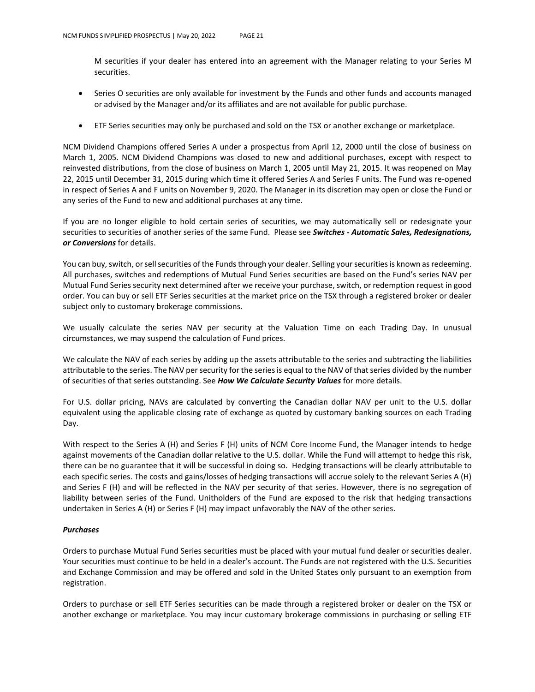M securities if your dealer has entered into an agreement with the Manager relating to your Series M securities.

- Series O securities are only available for investment by the Funds and other funds and accounts managed or advised by the Manager and/or its affiliates and are not available for public purchase.
- ETF Series securities may only be purchased and sold on the TSX or another exchange or marketplace.

NCM Dividend Champions offered Series A under a prospectus from April 12, 2000 until the close of business on March 1, 2005. NCM Dividend Champions was closed to new and additional purchases, except with respect to reinvested distributions, from the close of business on March 1, 2005 until May 21, 2015. It was reopened on May 22, 2015 until December 31, 2015 during which time it offered Series A and Series F units. The Fund was re-opened in respect of Series A and F units on November 9, 2020. The Manager in its discretion may open or close the Fund or any series of the Fund to new and additional purchases at any time.

If you are no longer eligible to hold certain series of securities, we may automatically sell or redesignate your securities to securities of another series of the same Fund. Please see *Switches - Automatic Sales, Redesignations, or Conversions* for details.

You can buy, switch, or sell securities of the Funds through your dealer. Selling your securities is known as redeeming. All purchases, switches and redemptions of Mutual Fund Series securities are based on the Fund's series NAV per Mutual Fund Series security next determined after we receive your purchase, switch, or redemption request in good order. You can buy or sell ETF Series securities at the market price on the TSX through a registered broker or dealer subject only to customary brokerage commissions.

We usually calculate the series NAV per security at the Valuation Time on each Trading Day. In unusual circumstances, we may suspend the calculation of Fund prices.

We calculate the NAV of each series by adding up the assets attributable to the series and subtracting the liabilities attributable to the series. The NAV per security for the series is equal to the NAV of that series divided by the number of securities of that series outstanding. See *How We Calculate Security Values* for more details.

For U.S. dollar pricing, NAVs are calculated by converting the Canadian dollar NAV per unit to the U.S. dollar equivalent using the applicable closing rate of exchange as quoted by customary banking sources on each Trading Day.

With respect to the Series A (H) and Series F (H) units of NCM Core Income Fund, the Manager intends to hedge against movements of the Canadian dollar relative to the U.S. dollar. While the Fund will attempt to hedge this risk, there can be no guarantee that it will be successful in doing so. Hedging transactions will be clearly attributable to each specific series. The costs and gains/losses of hedging transactions will accrue solely to the relevant Series A (H) and Series F (H) and will be reflected in the NAV per security of that series. However, there is no segregation of liability between series of the Fund. Unitholders of the Fund are exposed to the risk that hedging transactions undertaken in Series A (H) or Series F (H) may impact unfavorably the NAV of the other series.

#### *Purchases*

Orders to purchase Mutual Fund Series securities must be placed with your mutual fund dealer or securities dealer. Your securities must continue to be held in a dealer's account. The Funds are not registered with the U.S. Securities and Exchange Commission and may be offered and sold in the United States only pursuant to an exemption from registration.

Orders to purchase or sell ETF Series securities can be made through a registered broker or dealer on the TSX or another exchange or marketplace. You may incur customary brokerage commissions in purchasing or selling ETF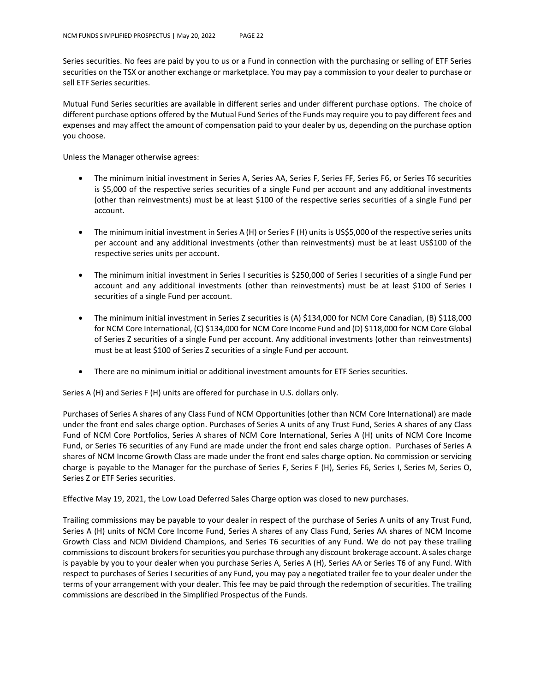Series securities. No fees are paid by you to us or a Fund in connection with the purchasing or selling of ETF Series securities on the TSX or another exchange or marketplace. You may pay a commission to your dealer to purchase or sell ETF Series securities.

Mutual Fund Series securities are available in different series and under different purchase options. The choice of different purchase options offered by the Mutual Fund Series of the Funds may require you to pay different fees and expenses and may affect the amount of compensation paid to your dealer by us, depending on the purchase option you choose.

Unless the Manager otherwise agrees:

- The minimum initial investment in Series A, Series AA, Series F, Series FF, Series F6, or Series T6 securities is \$5,000 of the respective series securities of a single Fund per account and any additional investments (other than reinvestments) must be at least \$100 of the respective series securities of a single Fund per account.
- The minimum initial investment in Series A (H) or Series F (H) units is US\$5,000 of the respective series units per account and any additional investments (other than reinvestments) must be at least US\$100 of the respective series units per account.
- The minimum initial investment in Series I securities is \$250,000 of Series I securities of a single Fund per account and any additional investments (other than reinvestments) must be at least \$100 of Series I securities of a single Fund per account.
- The minimum initial investment in Series Z securities is (A) \$134,000 for NCM Core Canadian, (B) \$118,000 for NCM Core International, (C) \$134,000 for NCM Core Income Fund and (D) \$118,000 for NCM Core Global of Series Z securities of a single Fund per account. Any additional investments (other than reinvestments) must be at least \$100 of Series Z securities of a single Fund per account.
- There are no minimum initial or additional investment amounts for ETF Series securities.

Series A (H) and Series F (H) units are offered for purchase in U.S. dollars only.

Purchases of Series A shares of any Class Fund of NCM Opportunities (other than NCM Core International) are made under the front end sales charge option. Purchases of Series A units of any Trust Fund, Series A shares of any Class Fund of NCM Core Portfolios, Series A shares of NCM Core International, Series A (H) units of NCM Core Income Fund, or Series T6 securities of any Fund are made under the front end sales charge option. Purchases of Series A shares of NCM Income Growth Class are made under the front end sales charge option. No commission or servicing charge is payable to the Manager for the purchase of Series F, Series F (H), Series F6, Series I, Series M, Series O, Series Z or ETF Series securities.

Effective May 19, 2021, the Low Load Deferred Sales Charge option was closed to new purchases.

Trailing commissions may be payable to your dealer in respect of the purchase of Series A units of any Trust Fund, Series A (H) units of NCM Core Income Fund, Series A shares of any Class Fund, Series AA shares of NCM Income Growth Class and NCM Dividend Champions, and Series T6 securities of any Fund. We do not pay these trailing commissions to discount brokers for securities you purchase through any discount brokerage account. A sales charge is payable by you to your dealer when you purchase Series A, Series A (H), Series AA or Series T6 of any Fund. With respect to purchases of Series I securities of any Fund, you may pay a negotiated trailer fee to your dealer under the terms of your arrangement with your dealer. This fee may be paid through the redemption of securities. The trailing commissions are described in the Simplified Prospectus of the Funds.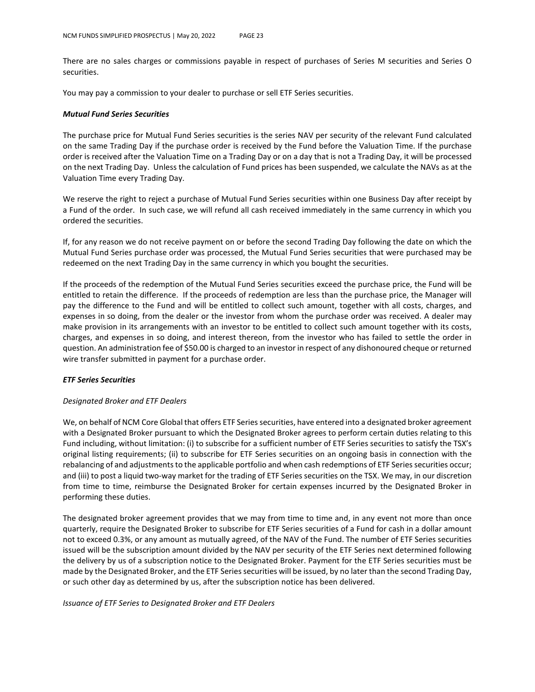There are no sales charges or commissions payable in respect of purchases of Series M securities and Series O securities.

You may pay a commission to your dealer to purchase or sell ETF Series securities.

#### *Mutual Fund Series Securities*

The purchase price for Mutual Fund Series securities is the series NAV per security of the relevant Fund calculated on the same Trading Day if the purchase order is received by the Fund before the Valuation Time. If the purchase order is received after the Valuation Time on a Trading Day or on a day that is not a Trading Day, it will be processed on the next Trading Day. Unless the calculation of Fund prices has been suspended, we calculate the NAVs as at the Valuation Time every Trading Day.

We reserve the right to reject a purchase of Mutual Fund Series securities within one Business Day after receipt by a Fund of the order. In such case, we will refund all cash received immediately in the same currency in which you ordered the securities.

If, for any reason we do not receive payment on or before the second Trading Day following the date on which the Mutual Fund Series purchase order was processed, the Mutual Fund Series securities that were purchased may be redeemed on the next Trading Day in the same currency in which you bought the securities.

If the proceeds of the redemption of the Mutual Fund Series securities exceed the purchase price, the Fund will be entitled to retain the difference. If the proceeds of redemption are less than the purchase price, the Manager will pay the difference to the Fund and will be entitled to collect such amount, together with all costs, charges, and expenses in so doing, from the dealer or the investor from whom the purchase order was received. A dealer may make provision in its arrangements with an investor to be entitled to collect such amount together with its costs, charges, and expenses in so doing, and interest thereon, from the investor who has failed to settle the order in question. An administration fee of \$50.00 is charged to an investor in respect of any dishonoured cheque or returned wire transfer submitted in payment for a purchase order.

#### *ETF Series Securities*

#### *Designated Broker and ETF Dealers*

We, on behalf of NCM Core Global that offers ETF Series securities, have entered into a designated broker agreement with a Designated Broker pursuant to which the Designated Broker agrees to perform certain duties relating to this Fund including, without limitation: (i) to subscribe for a sufficient number of ETF Series securities to satisfy the TSX's original listing requirements; (ii) to subscribe for ETF Series securities on an ongoing basis in connection with the rebalancing of and adjustments to the applicable portfolio and when cash redemptions of ETF Series securities occur; and (iii) to post a liquid two-way market for the trading of ETF Series securities on the TSX. We may, in our discretion from time to time, reimburse the Designated Broker for certain expenses incurred by the Designated Broker in performing these duties.

The designated broker agreement provides that we may from time to time and, in any event not more than once quarterly, require the Designated Broker to subscribe for ETF Series securities of a Fund for cash in a dollar amount not to exceed 0.3%, or any amount as mutually agreed, of the NAV of the Fund. The number of ETF Series securities issued will be the subscription amount divided by the NAV per security of the ETF Series next determined following the delivery by us of a subscription notice to the Designated Broker. Payment for the ETF Series securities must be made by the Designated Broker, and the ETF Series securities will be issued, by no later than the second Trading Day, or such other day as determined by us, after the subscription notice has been delivered.

*Issuance of ETF Series to Designated Broker and ETF Dealers*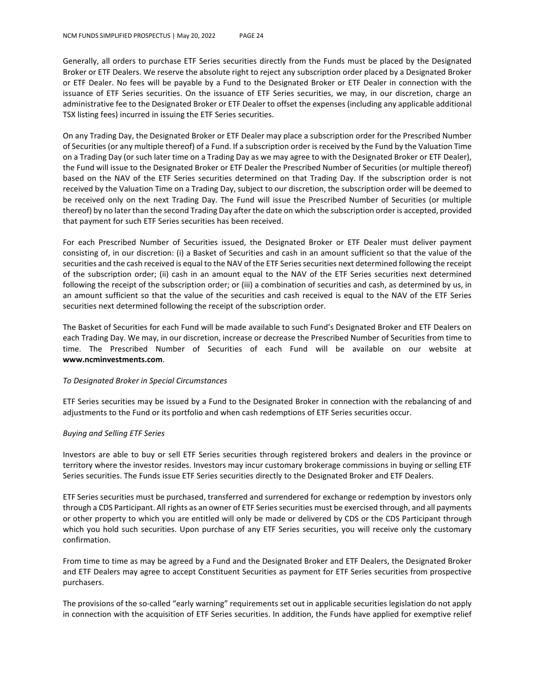Generally, all orders to purchase ETF Series securities directly from the Funds must be placed by the Designated Broker or ETF Dealers. We reserve the absolute right to reject any subscription order placed by a Designated Broker or ETF Dealer. No fees will be payable by a Fund to the Designated Broker or ETF Dealer in connection with the issuance of ETF Series securities. On the issuance of ETF Series securities, we may, in our discretion, charge an administrative fee to the Designated Broker or ETF Dealer to offset the expenses (including any applicable additional TSX listing fees) incurred in issuing the ETF Series securities.

On any Trading Day, the Designated Broker or ETF Dealer may place a subscription order for the Prescribed Number of Securities (or any multiple thereof) of a Fund. If a subscription order is received by the Fund by the Valuation Time on a Trading Day (or such later time on a Trading Day as we may agree to with the Designated Broker or ETF Dealer), the Fund will issue to the Designated Broker or ETF Dealer the Prescribed Number of Securities (or multiple thereof) based on the NAV of the ETF Series securities determined on that Trading Day. If the subscription order is not received by the Valuation Time on a Trading Day, subject to our discretion, the subscription order will be deemed to be received only on the next Trading Day. The Fund will issue the Prescribed Number of Securities (or multiple thereof) by no later than the second Trading Day after the date on which the subscription order is accepted, provided that payment for such ETF Series securities has been received.

For each Prescribed Number of Securities issued, the Designated Broker or ETF Dealer must deliver payment consisting of, in our discretion: (i) a Basket of Securities and cash in an amount sufficient so that the value of the securities and the cash received is equal to the NAV of the ETF Series securities next determined following the receipt of the subscription order; (ii) cash in an amount equal to the NAV of the ETF Series securities next determined following the receipt of the subscription order; or (iii) a combination of securities and cash, as determined by us, in an amount sufficient so that the value of the securities and cash received is equal to the NAV of the ETF Series securities next determined following the receipt of the subscription order.

The Basket of Securities for each Fund will be made available to such Fund's Designated Broker and ETF Dealers on each Trading Day. We may, in our discretion, increase or decrease the Prescribed Number of Securities from time to time. The Prescribed Number of Securities of each Fund will be available on our website at **www.ncminvestments.com**.

#### *To Designated Broker in Special Circumstances*

ETF Series securities may be issued by a Fund to the Designated Broker in connection with the rebalancing of and adjustments to the Fund or its portfolio and when cash redemptions of ETF Series securities occur.

#### *Buying and Selling ETF Series*

Investors are able to buy or sell ETF Series securities through registered brokers and dealers in the province or territory where the investor resides. Investors may incur customary brokerage commissions in buying or selling ETF Series securities. The Funds issue ETF Series securities directly to the Designated Broker and ETF Dealers.

ETF Series securities must be purchased, transferred and surrendered for exchange or redemption by investors only through a CDS Participant. All rights as an owner of ETF Series securities must be exercised through, and all payments or other property to which you are entitled will only be made or delivered by CDS or the CDS Participant through which you hold such securities. Upon purchase of any ETF Series securities, you will receive only the customary confirmation.

From time to time as may be agreed by a Fund and the Designated Broker and ETF Dealers, the Designated Broker and ETF Dealers may agree to accept Constituent Securities as payment for ETF Series securities from prospective purchasers.

The provisions of the so-called "early warning" requirements set out in applicable securities legislation do not apply in connection with the acquisition of ETF Series securities. In addition, the Funds have applied for exemptive relief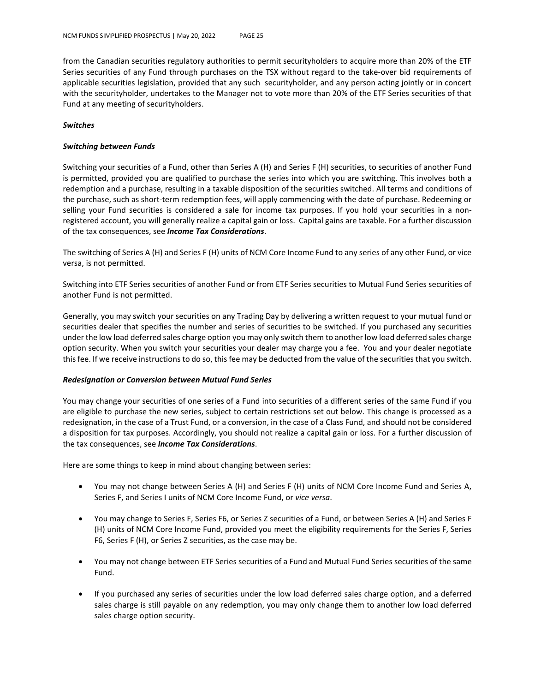from the Canadian securities regulatory authorities to permit securityholders to acquire more than 20% of the ETF Series securities of any Fund through purchases on the TSX without regard to the take-over bid requirements of applicable securities legislation, provided that any such securityholder, and any person acting jointly or in concert with the securityholder, undertakes to the Manager not to vote more than 20% of the ETF Series securities of that Fund at any meeting of securityholders.

#### *Switches*

#### *Switching between Funds*

Switching your securities of a Fund, other than Series A (H) and Series F (H) securities, to securities of another Fund is permitted, provided you are qualified to purchase the series into which you are switching. This involves both a redemption and a purchase, resulting in a taxable disposition of the securities switched. All terms and conditions of the purchase, such as short-term redemption fees, will apply commencing with the date of purchase. Redeeming or selling your Fund securities is considered a sale for income tax purposes. If you hold your securities in a nonregistered account, you will generally realize a capital gain or loss. Capital gains are taxable. For a further discussion of the tax consequences, see *Income Tax Considerations*.

The switching of Series A (H) and Series F (H) units of NCM Core Income Fund to any series of any other Fund, or vice versa, is not permitted.

Switching into ETF Series securities of another Fund or from ETF Series securities to Mutual Fund Series securities of another Fund is not permitted.

Generally, you may switch your securities on any Trading Day by delivering a written request to your mutual fund or securities dealer that specifies the number and series of securities to be switched. If you purchased any securities under the low load deferred sales charge option you may only switch them to another low load deferred sales charge option security. When you switch your securities your dealer may charge you a fee. You and your dealer negotiate this fee. If we receive instructions to do so, this fee may be deducted from the value of the securities that you switch.

#### *Redesignation or Conversion between Mutual Fund Series*

You may change your securities of one series of a Fund into securities of a different series of the same Fund if you are eligible to purchase the new series, subject to certain restrictions set out below. This change is processed as a redesignation, in the case of a Trust Fund, or a conversion, in the case of a Class Fund, and should not be considered a disposition for tax purposes. Accordingly, you should not realize a capital gain or loss. For a further discussion of the tax consequences, see *Income Tax Considerations*.

Here are some things to keep in mind about changing between series:

- You may not change between Series A (H) and Series F (H) units of NCM Core Income Fund and Series A, Series F, and Series I units of NCM Core Income Fund, or *vice versa*.
- You may change to Series F, Series F6, or Series Z securities of a Fund, or between Series A (H) and Series F (H) units of NCM Core Income Fund, provided you meet the eligibility requirements for the Series F, Series F6, Series F (H), or Series Z securities, as the case may be.
- You may not change between ETF Series securities of a Fund and Mutual Fund Series securities of the same Fund.
- If you purchased any series of securities under the low load deferred sales charge option, and a deferred sales charge is still payable on any redemption, you may only change them to another low load deferred sales charge option security.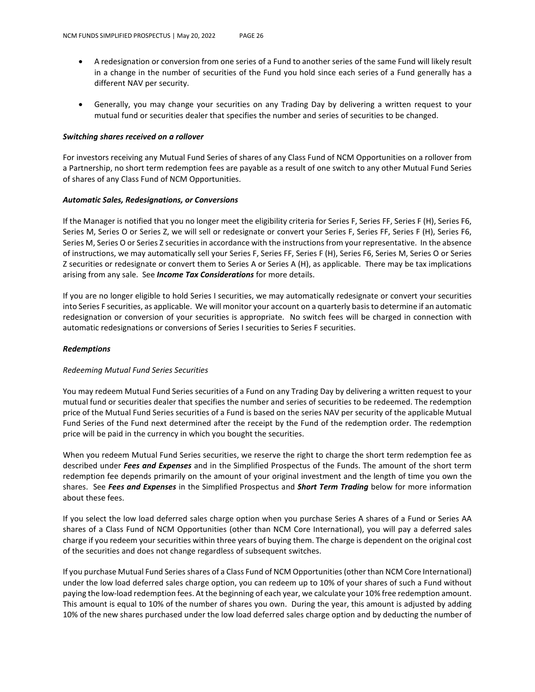- A redesignation or conversion from one series of a Fund to another series of the same Fund will likely result in a change in the number of securities of the Fund you hold since each series of a Fund generally has a different NAV per security.
- Generally, you may change your securities on any Trading Day by delivering a written request to your mutual fund or securities dealer that specifies the number and series of securities to be changed.

#### *Switching shares received on a rollover*

For investors receiving any Mutual Fund Series of shares of any Class Fund of NCM Opportunities on a rollover from a Partnership, no short term redemption fees are payable as a result of one switch to any other Mutual Fund Series of shares of any Class Fund of NCM Opportunities.

#### *Automatic Sales, Redesignations, or Conversions*

If the Manager is notified that you no longer meet the eligibility criteria for Series F, Series FF, Series F (H), Series F6, Series M, Series O or Series Z, we will sell or redesignate or convert your Series F, Series FF, Series F (H), Series F6, Series M, Series O or Series Z securities in accordance with the instructions from your representative. In the absence of instructions, we may automatically sell your Series F, Series FF, Series F (H), Series F6, Series M, Series O or Series Z securities or redesignate or convert them to Series A or Series A (H), as applicable. There may be tax implications arising from any sale. See *Income Tax Considerations* for more details.

If you are no longer eligible to hold Series I securities, we may automatically redesignate or convert your securities into Series F securities, as applicable. We will monitor your account on a quarterly basis to determine if an automatic redesignation or conversion of your securities is appropriate. No switch fees will be charged in connection with automatic redesignations or conversions of Series I securities to Series F securities.

#### *Redemptions*

#### *Redeeming Mutual Fund Series Securities*

You may redeem Mutual Fund Series securities of a Fund on any Trading Day by delivering a written request to your mutual fund or securities dealer that specifies the number and series of securities to be redeemed. The redemption price of the Mutual Fund Series securities of a Fund is based on the series NAV per security of the applicable Mutual Fund Series of the Fund next determined after the receipt by the Fund of the redemption order. The redemption price will be paid in the currency in which you bought the securities.

When you redeem Mutual Fund Series securities, we reserve the right to charge the short term redemption fee as described under *Fees and Expenses* and in the Simplified Prospectus of the Funds. The amount of the short term redemption fee depends primarily on the amount of your original investment and the length of time you own the shares. See *Fees and Expenses* in the Simplified Prospectus and *Short Term Trading* below for more information about these fees.

If you select the low load deferred sales charge option when you purchase Series A shares of a Fund or Series AA shares of a Class Fund of NCM Opportunities (other than NCM Core International), you will pay a deferred sales charge if you redeem your securities within three years of buying them. The charge is dependent on the original cost of the securities and does not change regardless of subsequent switches.

If you purchase Mutual Fund Series shares of a Class Fund of NCM Opportunities (other than NCM Core International) under the low load deferred sales charge option, you can redeem up to 10% of your shares of such a Fund without paying the low-load redemption fees. At the beginning of each year, we calculate your 10% free redemption amount. This amount is equal to 10% of the number of shares you own. During the year, this amount is adjusted by adding 10% of the new shares purchased under the low load deferred sales charge option and by deducting the number of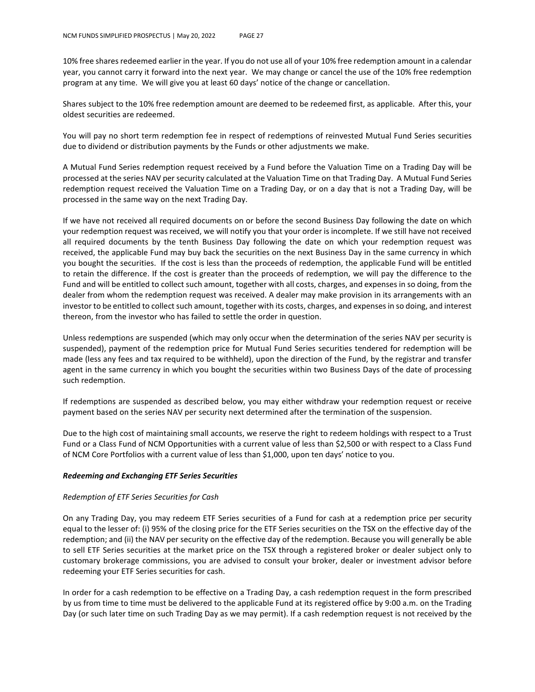10% free shares redeemed earlier in the year. If you do not use all of your 10% free redemption amount in a calendar year, you cannot carry it forward into the next year. We may change or cancel the use of the 10% free redemption program at any time. We will give you at least 60 days' notice of the change or cancellation.

Shares subject to the 10% free redemption amount are deemed to be redeemed first, as applicable. After this, your oldest securities are redeemed.

You will pay no short term redemption fee in respect of redemptions of reinvested Mutual Fund Series securities due to dividend or distribution payments by the Funds or other adjustments we make.

A Mutual Fund Series redemption request received by a Fund before the Valuation Time on a Trading Day will be processed at the series NAV per security calculated at the Valuation Time on that Trading Day. A Mutual Fund Series redemption request received the Valuation Time on a Trading Day, or on a day that is not a Trading Day, will be processed in the same way on the next Trading Day.

If we have not received all required documents on or before the second Business Day following the date on which your redemption request was received, we will notify you that your order is incomplete. If we still have not received all required documents by the tenth Business Day following the date on which your redemption request was received, the applicable Fund may buy back the securities on the next Business Day in the same currency in which you bought the securities. If the cost is less than the proceeds of redemption, the applicable Fund will be entitled to retain the difference. If the cost is greater than the proceeds of redemption, we will pay the difference to the Fund and will be entitled to collect such amount, together with all costs, charges, and expenses in so doing, from the dealer from whom the redemption request was received. A dealer may make provision in its arrangements with an investor to be entitled to collect such amount, together with its costs, charges, and expenses in so doing, and interest thereon, from the investor who has failed to settle the order in question.

Unless redemptions are suspended (which may only occur when the determination of the series NAV per security is suspended), payment of the redemption price for Mutual Fund Series securities tendered for redemption will be made (less any fees and tax required to be withheld), upon the direction of the Fund, by the registrar and transfer agent in the same currency in which you bought the securities within two Business Days of the date of processing such redemption.

If redemptions are suspended as described below, you may either withdraw your redemption request or receive payment based on the series NAV per security next determined after the termination of the suspension.

Due to the high cost of maintaining small accounts, we reserve the right to redeem holdings with respect to a Trust Fund or a Class Fund of NCM Opportunities with a current value of less than \$2,500 or with respect to a Class Fund of NCM Core Portfolios with a current value of less than \$1,000, upon ten days' notice to you.

#### *Redeeming and Exchanging ETF Series Securities*

#### *Redemption of ETF Series Securities for Cash*

On any Trading Day, you may redeem ETF Series securities of a Fund for cash at a redemption price per security equal to the lesser of: (i) 95% of the closing price for the ETF Series securities on the TSX on the effective day of the redemption; and (ii) the NAV per security on the effective day of the redemption. Because you will generally be able to sell ETF Series securities at the market price on the TSX through a registered broker or dealer subject only to customary brokerage commissions, you are advised to consult your broker, dealer or investment advisor before redeeming your ETF Series securities for cash.

In order for a cash redemption to be effective on a Trading Day, a cash redemption request in the form prescribed by us from time to time must be delivered to the applicable Fund at its registered office by 9:00 a.m. on the Trading Day (or such later time on such Trading Day as we may permit). If a cash redemption request is not received by the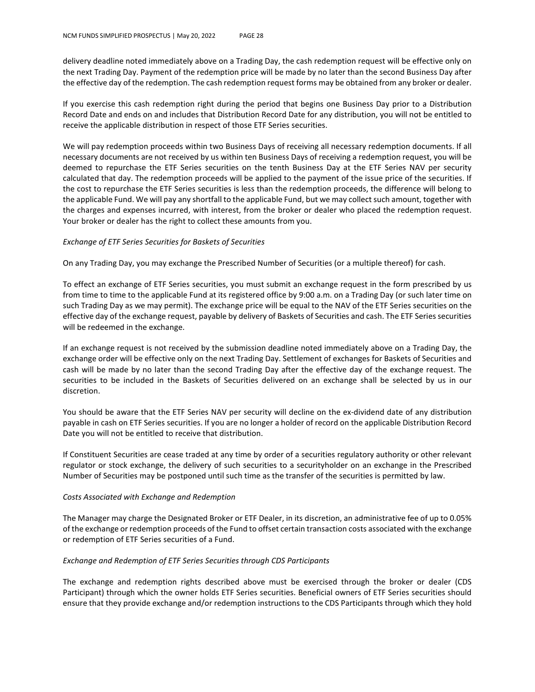delivery deadline noted immediately above on a Trading Day, the cash redemption request will be effective only on the next Trading Day. Payment of the redemption price will be made by no later than the second Business Day after the effective day of the redemption. The cash redemption request forms may be obtained from any broker or dealer.

If you exercise this cash redemption right during the period that begins one Business Day prior to a Distribution Record Date and ends on and includes that Distribution Record Date for any distribution, you will not be entitled to receive the applicable distribution in respect of those ETF Series securities.

We will pay redemption proceeds within two Business Days of receiving all necessary redemption documents. If all necessary documents are not received by us within ten Business Days of receiving a redemption request, you will be deemed to repurchase the ETF Series securities on the tenth Business Day at the ETF Series NAV per security calculated that day. The redemption proceeds will be applied to the payment of the issue price of the securities. If the cost to repurchase the ETF Series securities is less than the redemption proceeds, the difference will belong to the applicable Fund. We will pay any shortfall to the applicable Fund, but we may collect such amount, together with the charges and expenses incurred, with interest, from the broker or dealer who placed the redemption request. Your broker or dealer has the right to collect these amounts from you.

#### *Exchange of ETF Series Securities for Baskets of Securities*

On any Trading Day, you may exchange the Prescribed Number of Securities (or a multiple thereof) for cash.

To effect an exchange of ETF Series securities, you must submit an exchange request in the form prescribed by us from time to time to the applicable Fund at its registered office by 9:00 a.m. on a Trading Day (or such later time on such Trading Day as we may permit). The exchange price will be equal to the NAV of the ETF Series securities on the effective day of the exchange request, payable by delivery of Baskets of Securities and cash. The ETF Series securities will be redeemed in the exchange.

If an exchange request is not received by the submission deadline noted immediately above on a Trading Day, the exchange order will be effective only on the next Trading Day. Settlement of exchanges for Baskets of Securities and cash will be made by no later than the second Trading Day after the effective day of the exchange request. The securities to be included in the Baskets of Securities delivered on an exchange shall be selected by us in our discretion.

You should be aware that the ETF Series NAV per security will decline on the ex-dividend date of any distribution payable in cash on ETF Series securities. If you are no longer a holder of record on the applicable Distribution Record Date you will not be entitled to receive that distribution.

If Constituent Securities are cease traded at any time by order of a securities regulatory authority or other relevant regulator or stock exchange, the delivery of such securities to a securityholder on an exchange in the Prescribed Number of Securities may be postponed until such time as the transfer of the securities is permitted by law.

#### *Costs Associated with Exchange and Redemption*

The Manager may charge the Designated Broker or ETF Dealer, in its discretion, an administrative fee of up to 0.05% of the exchange or redemption proceeds of the Fund to offset certain transaction costs associated with the exchange or redemption of ETF Series securities of a Fund.

#### *Exchange and Redemption of ETF Series Securities through CDS Participants*

The exchange and redemption rights described above must be exercised through the broker or dealer (CDS Participant) through which the owner holds ETF Series securities. Beneficial owners of ETF Series securities should ensure that they provide exchange and/or redemption instructions to the CDS Participants through which they hold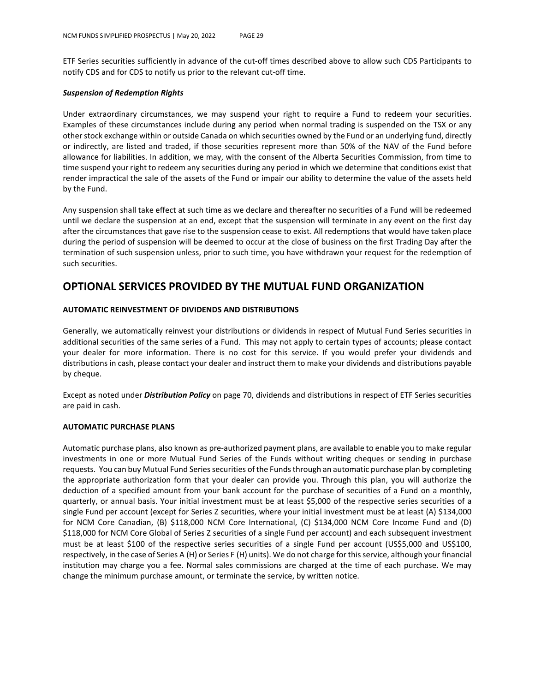ETF Series securities sufficiently in advance of the cut-off times described above to allow such CDS Participants to notify CDS and for CDS to notify us prior to the relevant cut-off time.

#### *Suspension of Redemption Rights*

Under extraordinary circumstances, we may suspend your right to require a Fund to redeem your securities. Examples of these circumstances include during any period when normal trading is suspended on the TSX or any other stock exchange within or outside Canada on which securities owned by the Fund or an underlying fund, directly or indirectly, are listed and traded, if those securities represent more than 50% of the NAV of the Fund before allowance for liabilities. In addition, we may, with the consent of the Alberta Securities Commission, from time to time suspend your right to redeem any securities during any period in which we determine that conditions exist that render impractical the sale of the assets of the Fund or impair our ability to determine the value of the assets held by the Fund.

Any suspension shall take effect at such time as we declare and thereafter no securities of a Fund will be redeemed until we declare the suspension at an end, except that the suspension will terminate in any event on the first day after the circumstances that gave rise to the suspension cease to exist. All redemptions that would have taken place during the period of suspension will be deemed to occur at the close of business on the first Trading Day after the termination of such suspension unless, prior to such time, you have withdrawn your request for the redemption of such securities.

## **OPTIONAL SERVICES PROVIDED BY THE MUTUAL FUND ORGANIZATION**

#### **AUTOMATIC REINVESTMENT OF DIVIDENDS AND DISTRIBUTIONS**

Generally, we automatically reinvest your distributions or dividends in respect of Mutual Fund Series securities in additional securities of the same series of a Fund. This may not apply to certain types of accounts; please contact your dealer for more information. There is no cost for this service. If you would prefer your dividends and distributions in cash, please contact your dealer and instruct them to make your dividends and distributions payable by cheque.

Except as noted under *Distribution Policy* on page 70, dividends and distributions in respect of ETF Series securities are paid in cash.

#### **AUTOMATIC PURCHASE PLANS**

Automatic purchase plans, also known as pre-authorized payment plans, are available to enable you to make regular investments in one or more Mutual Fund Series of the Funds without writing cheques or sending in purchase requests. You can buy Mutual Fund Series securities of the Funds through an automatic purchase plan by completing the appropriate authorization form that your dealer can provide you. Through this plan, you will authorize the deduction of a specified amount from your bank account for the purchase of securities of a Fund on a monthly, quarterly, or annual basis. Your initial investment must be at least \$5,000 of the respective series securities of a single Fund per account (except for Series Z securities, where your initial investment must be at least (A) \$134,000 for NCM Core Canadian, (B) \$118,000 NCM Core International, (C) \$134,000 NCM Core Income Fund and (D) \$118,000 for NCM Core Global of Series Z securities of a single Fund per account) and each subsequent investment must be at least \$100 of the respective series securities of a single Fund per account (US\$5,000 and US\$100, respectively, in the case of Series A (H) or Series F (H) units). We do not charge for this service, although your financial institution may charge you a fee. Normal sales commissions are charged at the time of each purchase. We may change the minimum purchase amount, or terminate the service, by written notice.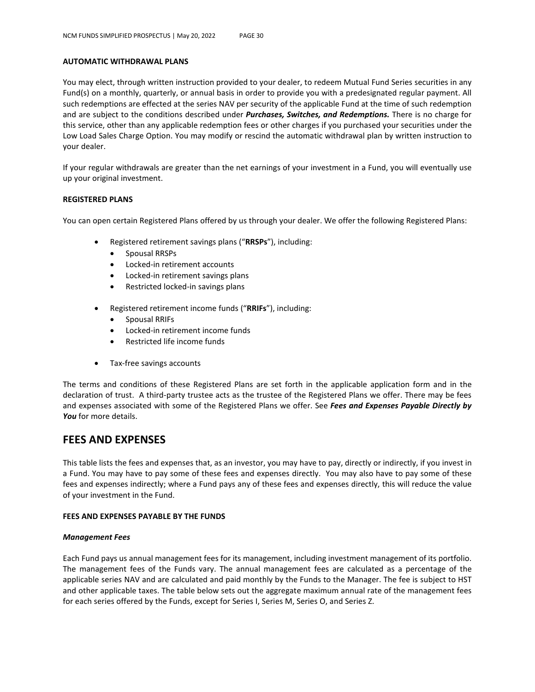#### **AUTOMATIC WITHDRAWAL PLANS**

You may elect, through written instruction provided to your dealer, to redeem Mutual Fund Series securities in any Fund(s) on a monthly, quarterly, or annual basis in order to provide you with a predesignated regular payment. All such redemptions are effected at the series NAV per security of the applicable Fund at the time of such redemption and are subject to the conditions described under *Purchases, Switches, and Redemptions.* There is no charge for this service, other than any applicable redemption fees or other charges if you purchased your securities under the Low Load Sales Charge Option. You may modify or rescind the automatic withdrawal plan by written instruction to your dealer.

If your regular withdrawals are greater than the net earnings of your investment in a Fund, you will eventually use up your original investment.

#### **REGISTERED PLANS**

You can open certain Registered Plans offered by us through your dealer. We offer the following Registered Plans:

- Registered retirement savings plans ("**RRSPs**"), including:
	- Spousal RRSPs
	- Locked-in retirement accounts
	- Locked-in retirement savings plans
	- Restricted locked-in savings plans
- Registered retirement income funds ("**RRIFs**"), including:
	- Spousal RRIFs
	- Locked-in retirement income funds
	- Restricted life income funds
- Tax-free savings accounts

The terms and conditions of these Registered Plans are set forth in the applicable application form and in the declaration of trust. A third-party trustee acts as the trustee of the Registered Plans we offer. There may be fees and expenses associated with some of the Registered Plans we offer. See *Fees and Expenses Payable Directly by You* for more details.

## **FEES AND EXPENSES**

This table lists the fees and expenses that, as an investor, you may have to pay, directly or indirectly, if you invest in a Fund. You may have to pay some of these fees and expenses directly. You may also have to pay some of these fees and expenses indirectly; where a Fund pays any of these fees and expenses directly, this will reduce the value of your investment in the Fund.

#### **FEES AND EXPENSES PAYABLE BY THE FUNDS**

#### *Management Fees*

Each Fund pays us annual management fees for its management, including investment management of its portfolio. The management fees of the Funds vary. The annual management fees are calculated as a percentage of the applicable series NAV and are calculated and paid monthly by the Funds to the Manager. The fee is subject to HST and other applicable taxes. The table below sets out the aggregate maximum annual rate of the management fees for each series offered by the Funds, except for Series I, Series M, Series O, and Series Z.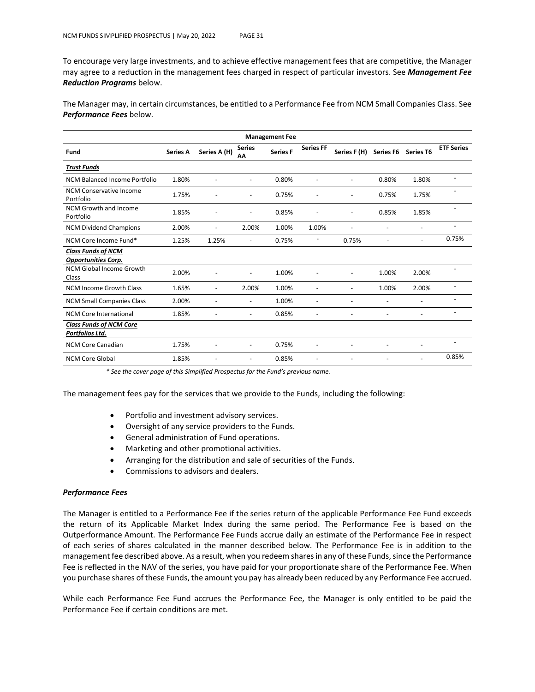To encourage very large investments, and to achieve effective management fees that are competitive, the Manager may agree to a reduction in the management fees charged in respect of particular investors. See *Management Fee Reduction Programs* below.

The Manager may, in certain circumstances, be entitled to a Performance Fee from NCM Small Companies Class. See *Performance Fees* below.

| <b>Management Fee</b>                                   |                 |                          |                          |                 |                  |                          |                  |                          |                   |
|---------------------------------------------------------|-----------------|--------------------------|--------------------------|-----------------|------------------|--------------------------|------------------|--------------------------|-------------------|
| Fund                                                    | <b>Series A</b> | Series A (H)             | <b>Series</b><br>AΑ      | <b>Series F</b> | <b>Series FF</b> | Series F (H)             | <b>Series F6</b> | <b>Series T6</b>         | <b>ETF Series</b> |
| <b>Trust Funds</b>                                      |                 |                          |                          |                 |                  |                          |                  |                          |                   |
| <b>NCM Balanced Income Portfolio</b>                    | 1.80%           |                          |                          | 0.80%           |                  |                          | 0.80%            | 1.80%                    |                   |
| <b>NCM Conservative Income</b><br>Portfolio             | 1.75%           | ٠                        | $\overline{\phantom{a}}$ | 0.75%           | -                | $\overline{\phantom{0}}$ | 0.75%            | 1.75%                    |                   |
| NCM Growth and Income<br>Portfolio                      | 1.85%           |                          |                          | 0.85%           |                  |                          | 0.85%            | 1.85%                    |                   |
| <b>NCM Dividend Champions</b>                           | 2.00%           | $\overline{\phantom{a}}$ | 2.00%                    | 1.00%           | 1.00%            |                          |                  | $\overline{\phantom{a}}$ |                   |
| NCM Core Income Fund*                                   | 1.25%           | 1.25%                    | $\overline{\phantom{a}}$ | 0.75%           | -                | 0.75%                    |                  |                          | 0.75%             |
| <b>Class Funds of NCM</b><br><b>Opportunities Corp.</b> |                 |                          |                          |                 |                  |                          |                  |                          |                   |
| NCM Global Income Growth<br>Class                       | 2.00%           | ٠                        | $\overline{a}$           | 1.00%           | -                |                          | 1.00%            | 2.00%                    |                   |
| <b>NCM Income Growth Class</b>                          | 1.65%           | $\overline{\phantom{a}}$ | 2.00%                    | 1.00%           | ٠                | -                        | 1.00%            | 2.00%                    |                   |
| <b>NCM Small Companies Class</b>                        | 2.00%           | $\overline{a}$           | $\overline{\phantom{a}}$ | 1.00%           | ٠                | $\overline{a}$           |                  | $\overline{\phantom{a}}$ |                   |
| <b>NCM Core International</b>                           | 1.85%           |                          | $\overline{a}$           | 0.85%           | -                |                          |                  | $\overline{\phantom{0}}$ |                   |
| <b>Class Funds of NCM Core</b><br>Portfolios Ltd.       |                 |                          |                          |                 |                  |                          |                  |                          |                   |
| <b>NCM Core Canadian</b>                                | 1.75%           | $\overline{\phantom{0}}$ | $\overline{\phantom{a}}$ | 0.75%           | ٠                |                          |                  | $\overline{\phantom{a}}$ |                   |
| <b>NCM Core Global</b>                                  | 1.85%           |                          | $\overline{\phantom{a}}$ | 0.85%           | ۰                |                          |                  |                          | 0.85%             |

*\* See the cover page of this Simplified Prospectus for the Fund's previous name.*

The management fees pay for the services that we provide to the Funds, including the following:

- Portfolio and investment advisory services.
- Oversight of any service providers to the Funds.
- General administration of Fund operations.
- Marketing and other promotional activities.
- Arranging for the distribution and sale of securities of the Funds.
- Commissions to advisors and dealers.

#### *Performance Fees*

The Manager is entitled to a Performance Fee if the series return of the applicable Performance Fee Fund exceeds the return of its Applicable Market Index during the same period. The Performance Fee is based on the Outperformance Amount. The Performance Fee Funds accrue daily an estimate of the Performance Fee in respect of each series of shares calculated in the manner described below. The Performance Fee is in addition to the management fee described above. As a result, when you redeem shares in any of these Funds, since the Performance Fee is reflected in the NAV of the series, you have paid for your proportionate share of the Performance Fee. When you purchase shares of these Funds, the amount you pay has already been reduced by any Performance Fee accrued.

While each Performance Fee Fund accrues the Performance Fee, the Manager is only entitled to be paid the Performance Fee if certain conditions are met.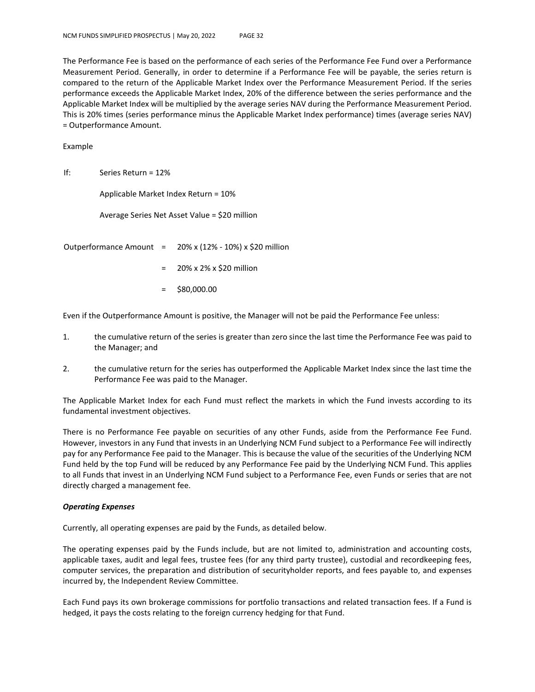The Performance Fee is based on the performance of each series of the Performance Fee Fund over a Performance Measurement Period. Generally, in order to determine if a Performance Fee will be payable, the series return is compared to the return of the Applicable Market Index over the Performance Measurement Period. If the series performance exceeds the Applicable Market Index, 20% of the difference between the series performance and the Applicable Market Index will be multiplied by the average series NAV during the Performance Measurement Period. This is 20% times (series performance minus the Applicable Market Index performance) times (average series NAV) = Outperformance Amount.

Example

If: Series Return = 12%

Applicable Market Index Return = 10%

Average Series Net Asset Value = \$20 million

Outperformance Amount =  $20\%$  x (12% - 10%) x \$20 million

- = 20% x 2% x \$20 million
- = \$80,000.00

Even if the Outperformance Amount is positive, the Manager will not be paid the Performance Fee unless:

- 1. the cumulative return of the series is greater than zero since the last time the Performance Fee was paid to the Manager; and
- 2. the cumulative return for the series has outperformed the Applicable Market Index since the last time the Performance Fee was paid to the Manager.

The Applicable Market Index for each Fund must reflect the markets in which the Fund invests according to its fundamental investment objectives.

There is no Performance Fee payable on securities of any other Funds, aside from the Performance Fee Fund. However, investors in any Fund that invests in an Underlying NCM Fund subject to a Performance Fee will indirectly pay for any Performance Fee paid to the Manager. This is because the value of the securities of the Underlying NCM Fund held by the top Fund will be reduced by any Performance Fee paid by the Underlying NCM Fund. This applies to all Funds that invest in an Underlying NCM Fund subject to a Performance Fee, even Funds or series that are not directly charged a management fee.

#### *Operating Expenses*

Currently, all operating expenses are paid by the Funds, as detailed below.

The operating expenses paid by the Funds include, but are not limited to, administration and accounting costs, applicable taxes, audit and legal fees, trustee fees (for any third party trustee), custodial and recordkeeping fees, computer services, the preparation and distribution of securityholder reports, and fees payable to, and expenses incurred by, the Independent Review Committee.

Each Fund pays its own brokerage commissions for portfolio transactions and related transaction fees. If a Fund is hedged, it pays the costs relating to the foreign currency hedging for that Fund.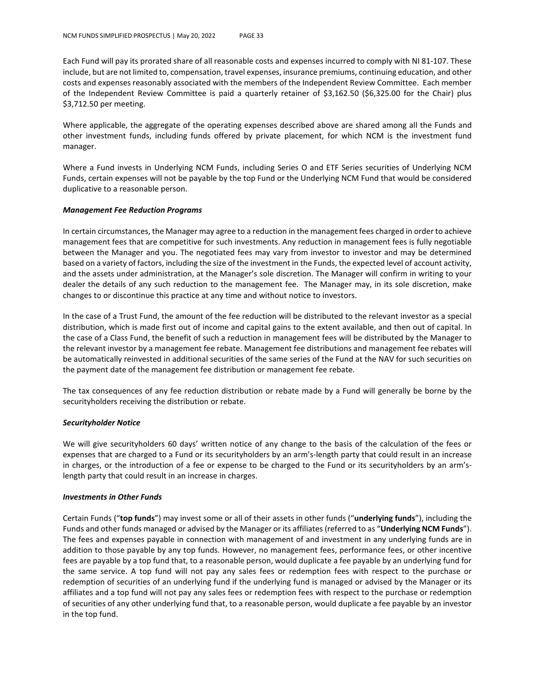Each Fund will pay its prorated share of all reasonable costs and expenses incurred to comply with NI 81-107. These include, but are not limited to, compensation, travel expenses, insurance premiums, continuing education, and other costs and expenses reasonably associated with the members of the Independent Review Committee. Each member of the Independent Review Committee is paid a quarterly retainer of \$3,162.50 (\$6,325.00 for the Chair) plus \$3,712.50 per meeting.

Where applicable, the aggregate of the operating expenses described above are shared among all the Funds and other investment funds, including funds offered by private placement, for which NCM is the investment fund manager.

Where a Fund invests in Underlying NCM Funds, including Series O and ETF Series securities of Underlying NCM Funds, certain expenses will not be payable by the top Fund or the Underlying NCM Fund that would be considered duplicative to a reasonable person.

#### *Management Fee Reduction Programs*

In certain circumstances, the Manager may agree to a reduction in the management fees charged in order to achieve management fees that are competitive for such investments. Any reduction in management fees is fully negotiable between the Manager and you. The negotiated fees may vary from investor to investor and may be determined based on a variety of factors, including the size of the investment in the Funds, the expected level of account activity, and the assets under administration, at the Manager's sole discretion. The Manager will confirm in writing to your dealer the details of any such reduction to the management fee. The Manager may, in its sole discretion, make changes to or discontinue this practice at any time and without notice to investors.

In the case of a Trust Fund, the amount of the fee reduction will be distributed to the relevant investor as a special distribution, which is made first out of income and capital gains to the extent available, and then out of capital. In the case of a Class Fund, the benefit of such a reduction in management fees will be distributed by the Manager to the relevant investor by a management fee rebate. Management fee distributions and management fee rebates will be automatically reinvested in additional securities of the same series of the Fund at the NAV for such securities on the payment date of the management fee distribution or management fee rebate.

The tax consequences of any fee reduction distribution or rebate made by a Fund will generally be borne by the securityholders receiving the distribution or rebate.

#### *Securityholder Notice*

We will give securityholders 60 days' written notice of any change to the basis of the calculation of the fees or expenses that are charged to a Fund or its securityholders by an arm's-length party that could result in an increase in charges, or the introduction of a fee or expense to be charged to the Fund or its securityholders by an arm'slength party that could result in an increase in charges.

#### *Investments in Other Funds*

Certain Funds ("**top funds**") may invest some or all of their assets in other funds ("**underlying funds**"), including the Funds and other funds managed or advised by the Manager or its affiliates (referred to as "**Underlying NCM Funds**"). The fees and expenses payable in connection with management of and investment in any underlying funds are in addition to those payable by any top funds. However, no management fees, performance fees, or other incentive fees are payable by a top fund that, to a reasonable person, would duplicate a fee payable by an underlying fund for the same service. A top fund will not pay any sales fees or redemption fees with respect to the purchase or redemption of securities of an underlying fund if the underlying fund is managed or advised by the Manager or its affiliates and a top fund will not pay any sales fees or redemption fees with respect to the purchase or redemption of securities of any other underlying fund that, to a reasonable person, would duplicate a fee payable by an investor in the top fund.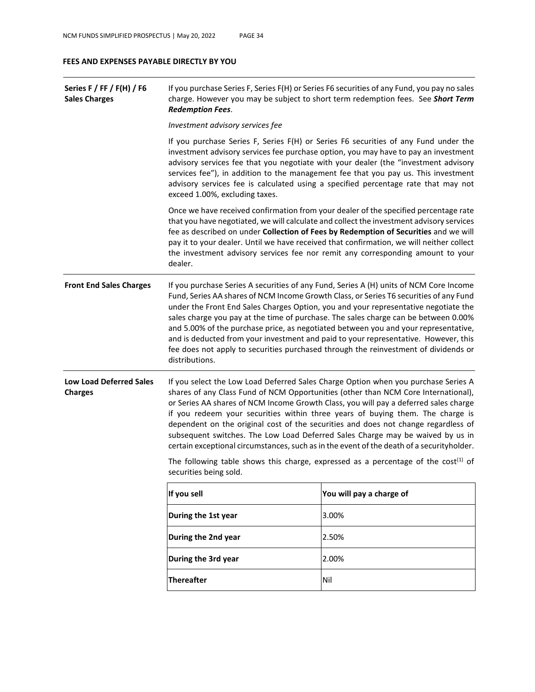#### **FEES AND EXPENSES PAYABLE DIRECTLY BY YOU**

| Series F / FF / F(H) / F6<br><b>Sales Charges</b> | If you purchase Series F, Series F(H) or Series F6 securities of any Fund, you pay no sales<br>charge. However you may be subject to short term redemption fees. See Short Term<br><b>Redemption Fees.</b>                                                                                                                                                                                                                                                                                                                                                                                                                                                                                                                                                                                                                                                                                                                                            |                          |  |  |  |  |  |
|---------------------------------------------------|-------------------------------------------------------------------------------------------------------------------------------------------------------------------------------------------------------------------------------------------------------------------------------------------------------------------------------------------------------------------------------------------------------------------------------------------------------------------------------------------------------------------------------------------------------------------------------------------------------------------------------------------------------------------------------------------------------------------------------------------------------------------------------------------------------------------------------------------------------------------------------------------------------------------------------------------------------|--------------------------|--|--|--|--|--|
|                                                   | Investment advisory services fee                                                                                                                                                                                                                                                                                                                                                                                                                                                                                                                                                                                                                                                                                                                                                                                                                                                                                                                      |                          |  |  |  |  |  |
|                                                   | If you purchase Series F, Series F(H) or Series F6 securities of any Fund under the<br>investment advisory services fee purchase option, you may have to pay an investment<br>advisory services fee that you negotiate with your dealer (the "investment advisory<br>services fee"), in addition to the management fee that you pay us. This investment<br>advisory services fee is calculated using a specified percentage rate that may not<br>exceed 1.00%, excluding taxes.<br>Once we have received confirmation from your dealer of the specified percentage rate<br>that you have negotiated, we will calculate and collect the investment advisory services<br>fee as described on under Collection of Fees by Redemption of Securities and we will<br>pay it to your dealer. Until we have received that confirmation, we will neither collect<br>the investment advisory services fee nor remit any corresponding amount to your<br>dealer. |                          |  |  |  |  |  |
|                                                   |                                                                                                                                                                                                                                                                                                                                                                                                                                                                                                                                                                                                                                                                                                                                                                                                                                                                                                                                                       |                          |  |  |  |  |  |
| <b>Front End Sales Charges</b>                    | If you purchase Series A securities of any Fund, Series A (H) units of NCM Core Income<br>Fund, Series AA shares of NCM Income Growth Class, or Series T6 securities of any Fund<br>under the Front End Sales Charges Option, you and your representative negotiate the<br>sales charge you pay at the time of purchase. The sales charge can be between 0.00%<br>and 5.00% of the purchase price, as negotiated between you and your representative,<br>and is deducted from your investment and paid to your representative. However, this<br>fee does not apply to securities purchased through the reinvestment of dividends or<br>distributions.                                                                                                                                                                                                                                                                                                 |                          |  |  |  |  |  |
| <b>Low Load Deferred Sales</b><br><b>Charges</b>  | If you select the Low Load Deferred Sales Charge Option when you purchase Series A<br>shares of any Class Fund of NCM Opportunities (other than NCM Core International),<br>or Series AA shares of NCM Income Growth Class, you will pay a deferred sales charge<br>if you redeem your securities within three years of buying them. The charge is<br>dependent on the original cost of the securities and does not change regardless of<br>subsequent switches. The Low Load Deferred Sales Charge may be waived by us in<br>certain exceptional circumstances, such as in the event of the death of a securityholder.                                                                                                                                                                                                                                                                                                                               |                          |  |  |  |  |  |
|                                                   | The following table shows this charge, expressed as a percentage of the $cost^{(1)}$ of<br>securities being sold.                                                                                                                                                                                                                                                                                                                                                                                                                                                                                                                                                                                                                                                                                                                                                                                                                                     |                          |  |  |  |  |  |
|                                                   | If you sell                                                                                                                                                                                                                                                                                                                                                                                                                                                                                                                                                                                                                                                                                                                                                                                                                                                                                                                                           | You will pay a charge of |  |  |  |  |  |
|                                                   | During the 1st year                                                                                                                                                                                                                                                                                                                                                                                                                                                                                                                                                                                                                                                                                                                                                                                                                                                                                                                                   | 3.00%                    |  |  |  |  |  |
|                                                   | During the 2nd year                                                                                                                                                                                                                                                                                                                                                                                                                                                                                                                                                                                                                                                                                                                                                                                                                                                                                                                                   | 2.50%                    |  |  |  |  |  |
|                                                   | During the 3rd year<br>2.00%                                                                                                                                                                                                                                                                                                                                                                                                                                                                                                                                                                                                                                                                                                                                                                                                                                                                                                                          |                          |  |  |  |  |  |
|                                                   | <b>Thereafter</b>                                                                                                                                                                                                                                                                                                                                                                                                                                                                                                                                                                                                                                                                                                                                                                                                                                                                                                                                     | Nil                      |  |  |  |  |  |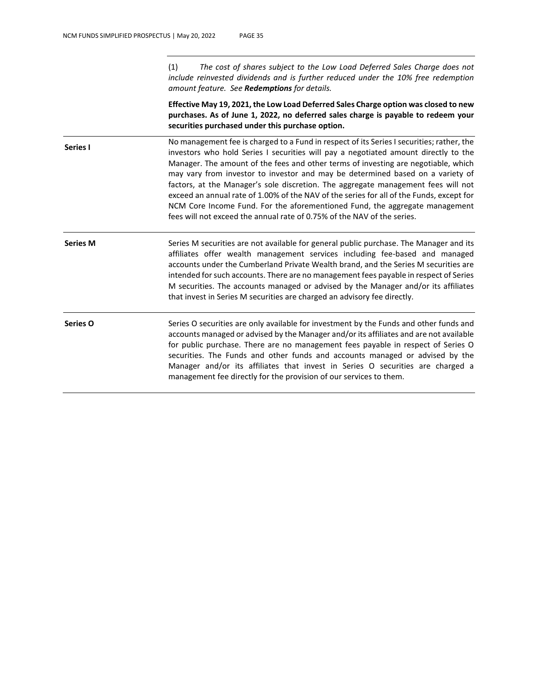(1) *The cost of shares subject to the Low Load Deferred Sales Charge does not include reinvested dividends and is further reduced under the 10% free redemption amount feature. See Redemptions for details.*

**Effective May 19, 2021, the Low Load Deferred Sales Charge option was closed to new purchases. As of June 1, 2022, no deferred sales charge is payable to redeem your securities purchased under this purchase option.**

**Series I** No management fee is charged to a Fund in respect of its Series I securities; rather, the investors who hold Series I securities will pay a negotiated amount directly to the Manager. The amount of the fees and other terms of investing are negotiable, which may vary from investor to investor and may be determined based on a variety of factors, at the Manager's sole discretion. The aggregate management fees will not exceed an annual rate of 1.00% of the NAV of the series for all of the Funds, except for NCM Core Income Fund. For the aforementioned Fund, the aggregate management fees will not exceed the annual rate of 0.75% of the NAV of the series.

**Series M** Series M securities are not available for general public purchase. The Manager and its affiliates offer wealth management services including fee-based and managed accounts under the Cumberland Private Wealth brand, and the Series M securities are intended for such accounts. There are no management fees payable in respect of Series M securities. The accounts managed or advised by the Manager and/or its affiliates that invest in Series M securities are charged an advisory fee directly.

Series O Series O securities are only available for investment by the Funds and other funds and accounts managed or advised by the Manager and/or its affiliates and are not available for public purchase. There are no management fees payable in respect of Series O securities. The Funds and other funds and accounts managed or advised by the Manager and/or its affiliates that invest in Series O securities are charged a management fee directly for the provision of our services to them.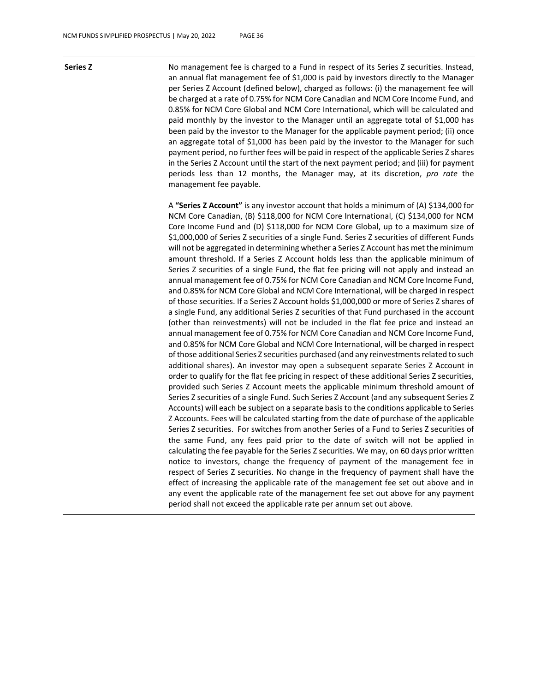**Series Z** No management fee is charged to a Fund in respect of its Series Z securities. Instead, an annual flat management fee of \$1,000 is paid by investors directly to the Manager per Series Z Account (defined below), charged as follows: (i) the management fee will be charged at a rate of 0.75% for NCM Core Canadian and NCM Core Income Fund, and 0.85% for NCM Core Global and NCM Core International, which will be calculated and paid monthly by the investor to the Manager until an aggregate total of \$1,000 has been paid by the investor to the Manager for the applicable payment period; (ii) once an aggregate total of \$1,000 has been paid by the investor to the Manager for such payment period, no further fees will be paid in respect of the applicable Series Z shares in the Series Z Account until the start of the next payment period; and (iii) for payment periods less than 12 months, the Manager may, at its discretion, *pro rate* the management fee payable.

> A **"Series Z Account"** is any investor account that holds a minimum of (A) \$134,000 for NCM Core Canadian, (B) \$118,000 for NCM Core International, (C) \$134,000 for NCM Core Income Fund and (D) \$118,000 for NCM Core Global, up to a maximum size of \$1,000,000 of Series Z securities of a single Fund. Series Z securities of different Funds will not be aggregated in determining whether a Series Z Account has met the minimum amount threshold. If a Series Z Account holds less than the applicable minimum of Series Z securities of a single Fund, the flat fee pricing will not apply and instead an annual management fee of 0.75% for NCM Core Canadian and NCM Core Income Fund, and 0.85% for NCM Core Global and NCM Core International, will be charged in respect of those securities. If a Series Z Account holds \$1,000,000 or more of Series Z shares of a single Fund, any additional Series Z securities of that Fund purchased in the account (other than reinvestments) will not be included in the flat fee price and instead an annual management fee of 0.75% for NCM Core Canadian and NCM Core Income Fund, and 0.85% for NCM Core Global and NCM Core International, will be charged in respect of those additional Series Z securities purchased (and any reinvestments related to such additional shares). An investor may open a subsequent separate Series Z Account in order to qualify for the flat fee pricing in respect of these additional Series Z securities, provided such Series Z Account meets the applicable minimum threshold amount of Series Z securities of a single Fund. Such Series Z Account (and any subsequent Series Z Accounts) will each be subject on a separate basis to the conditions applicable to Series Z Accounts. Fees will be calculated starting from the date of purchase of the applicable Series Z securities. For switches from another Series of a Fund to Series Z securities of the same Fund, any fees paid prior to the date of switch will not be applied in calculating the fee payable for the Series Z securities. We may, on 60 days prior written notice to investors, change the frequency of payment of the management fee in respect of Series Z securities. No change in the frequency of payment shall have the effect of increasing the applicable rate of the management fee set out above and in any event the applicable rate of the management fee set out above for any payment period shall not exceed the applicable rate per annum set out above.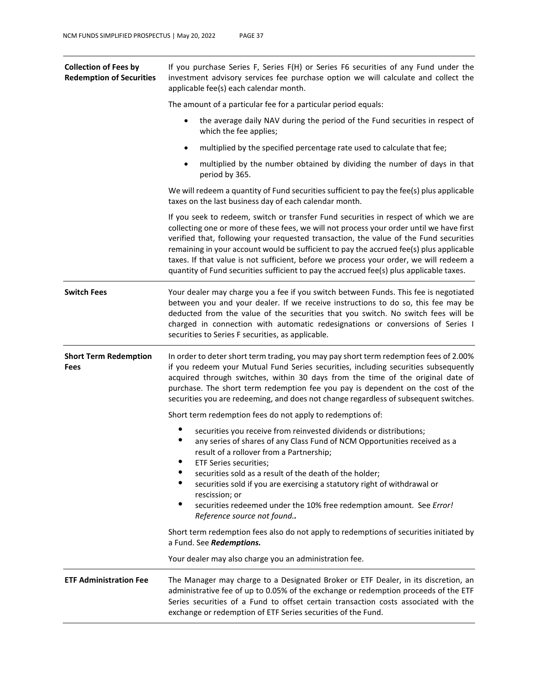| <b>Collection of Fees by</b><br><b>Redemption of Securities</b> | If you purchase Series F, Series F(H) or Series F6 securities of any Fund under the<br>investment advisory services fee purchase option we will calculate and collect the<br>applicable fee(s) each calendar month.                                                                                                                                                                                                                                                                                                                                       |  |  |  |  |
|-----------------------------------------------------------------|-----------------------------------------------------------------------------------------------------------------------------------------------------------------------------------------------------------------------------------------------------------------------------------------------------------------------------------------------------------------------------------------------------------------------------------------------------------------------------------------------------------------------------------------------------------|--|--|--|--|
|                                                                 | The amount of a particular fee for a particular period equals:                                                                                                                                                                                                                                                                                                                                                                                                                                                                                            |  |  |  |  |
|                                                                 | the average daily NAV during the period of the Fund securities in respect of<br>which the fee applies;                                                                                                                                                                                                                                                                                                                                                                                                                                                    |  |  |  |  |
|                                                                 | multiplied by the specified percentage rate used to calculate that fee;<br>$\bullet$                                                                                                                                                                                                                                                                                                                                                                                                                                                                      |  |  |  |  |
|                                                                 | multiplied by the number obtained by dividing the number of days in that<br>٠<br>period by 365.                                                                                                                                                                                                                                                                                                                                                                                                                                                           |  |  |  |  |
|                                                                 | We will redeem a quantity of Fund securities sufficient to pay the fee(s) plus applicable<br>taxes on the last business day of each calendar month.                                                                                                                                                                                                                                                                                                                                                                                                       |  |  |  |  |
|                                                                 | If you seek to redeem, switch or transfer Fund securities in respect of which we are<br>collecting one or more of these fees, we will not process your order until we have first<br>verified that, following your requested transaction, the value of the Fund securities<br>remaining in your account would be sufficient to pay the accrued fee(s) plus applicable<br>taxes. If that value is not sufficient, before we process your order, we will redeem a<br>quantity of Fund securities sufficient to pay the accrued fee(s) plus applicable taxes. |  |  |  |  |
| <b>Switch Fees</b>                                              | Your dealer may charge you a fee if you switch between Funds. This fee is negotiated<br>between you and your dealer. If we receive instructions to do so, this fee may be<br>deducted from the value of the securities that you switch. No switch fees will be<br>charged in connection with automatic redesignations or conversions of Series I<br>securities to Series F securities, as applicable.                                                                                                                                                     |  |  |  |  |
| <b>Short Term Redemption</b><br><b>Fees</b>                     | In order to deter short term trading, you may pay short term redemption fees of 2.00%<br>if you redeem your Mutual Fund Series securities, including securities subsequently<br>acquired through switches, within 30 days from the time of the original date of<br>purchase. The short term redemption fee you pay is dependent on the cost of the<br>securities you are redeeming, and does not change regardless of subsequent switches.                                                                                                                |  |  |  |  |
|                                                                 | Short term redemption fees do not apply to redemptions of:                                                                                                                                                                                                                                                                                                                                                                                                                                                                                                |  |  |  |  |
|                                                                 | securities you receive from reinvested dividends or distributions;<br>any series of shares of any Class Fund of NCM Opportunities received as a<br>result of a rollover from a Partnership;<br>ETF Series securities;                                                                                                                                                                                                                                                                                                                                     |  |  |  |  |
|                                                                 | securities sold as a result of the death of the holder;                                                                                                                                                                                                                                                                                                                                                                                                                                                                                                   |  |  |  |  |
|                                                                 | ٠<br>securities sold if you are exercising a statutory right of withdrawal or<br>rescission; or                                                                                                                                                                                                                                                                                                                                                                                                                                                           |  |  |  |  |
|                                                                 | ٠<br>securities redeemed under the 10% free redemption amount. See Error!<br>Reference source not found                                                                                                                                                                                                                                                                                                                                                                                                                                                   |  |  |  |  |
|                                                                 | Short term redemption fees also do not apply to redemptions of securities initiated by<br>a Fund. See Redemptions.                                                                                                                                                                                                                                                                                                                                                                                                                                        |  |  |  |  |
|                                                                 | Your dealer may also charge you an administration fee.                                                                                                                                                                                                                                                                                                                                                                                                                                                                                                    |  |  |  |  |
| <b>ETF Administration Fee</b>                                   | The Manager may charge to a Designated Broker or ETF Dealer, in its discretion, an<br>administrative fee of up to 0.05% of the exchange or redemption proceeds of the ETF<br>Series securities of a Fund to offset certain transaction costs associated with the<br>exchange or redemption of ETF Series securities of the Fund.                                                                                                                                                                                                                          |  |  |  |  |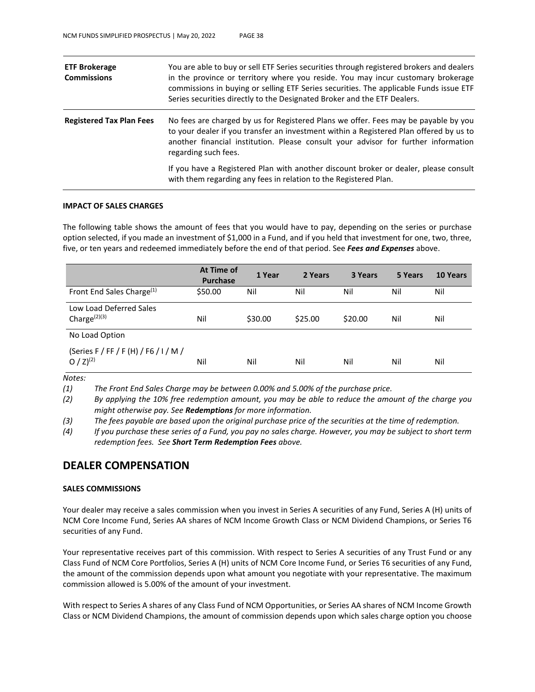| <b>ETF Brokerage</b><br><b>Commissions</b> | You are able to buy or sell ETF Series securities through registered brokers and dealers<br>in the province or territory where you reside. You may incur customary brokerage<br>commissions in buying or selling ETF Series securities. The applicable Funds issue ETF<br>Series securities directly to the Designated Broker and the ETF Dealers. |
|--------------------------------------------|----------------------------------------------------------------------------------------------------------------------------------------------------------------------------------------------------------------------------------------------------------------------------------------------------------------------------------------------------|
| <b>Registered Tax Plan Fees</b>            | No fees are charged by us for Registered Plans we offer. Fees may be payable by you<br>to your dealer if you transfer an investment within a Registered Plan offered by us to<br>another financial institution. Please consult your advisor for further information<br>regarding such fees.                                                        |
|                                            | If you have a Registered Plan with another discount broker or dealer, please consult<br>with them regarding any fees in relation to the Registered Plan.                                                                                                                                                                                           |

### **IMPACT OF SALES CHARGES**

The following table shows the amount of fees that you would have to pay, depending on the series or purchase option selected, if you made an investment of \$1,000 in a Fund, and if you held that investment for one, two, three, five, or ten years and redeemed immediately before the end of that period. See *Fees and Expenses* above.

|                                                         | At Time of<br><b>Purchase</b> | 1 Year  | 2 Years | 3 Years | 5 Years | 10 Years |
|---------------------------------------------------------|-------------------------------|---------|---------|---------|---------|----------|
| Front End Sales Charge <sup>(1)</sup>                   | \$50.00                       | Nil     | Nil     | Nil     | Nil     | Nil      |
| Low Load Deferred Sales<br>Charge $(2)(3)$              | Nil                           | \$30.00 | \$25.00 | \$20.00 | Nil     | Nil      |
| No Load Option                                          |                               |         |         |         |         |          |
| (Series F / FF / F (H) / F6 / I / M /<br>O / $Z)^{(2)}$ | Nil                           | Nil     | Nil     | Nil     | Nil     | Nil      |

*Notes:*

*(1) The Front End Sales Charge may be between 0.00% and 5.00% of the purchase price.*

*(2) By applying the 10% free redemption amount, you may be able to reduce the amount of the charge you might otherwise pay. See Redemptions for more information.*

*(3) The fees payable are based upon the original purchase price of the securities at the time of redemption.*

*(4) If you purchase these series of a Fund, you pay no sales charge. However, you may be subject to short term redemption fees. See Short Term Redemption Fees above.*

### **DEALER COMPENSATION**

#### **SALES COMMISSIONS**

Your dealer may receive a sales commission when you invest in Series A securities of any Fund, Series A (H) units of NCM Core Income Fund, Series AA shares of NCM Income Growth Class or NCM Dividend Champions, or Series T6 securities of any Fund.

Your representative receives part of this commission. With respect to Series A securities of any Trust Fund or any Class Fund of NCM Core Portfolios, Series A (H) units of NCM Core Income Fund, or Series T6 securities of any Fund, the amount of the commission depends upon what amount you negotiate with your representative. The maximum commission allowed is 5.00% of the amount of your investment.

With respect to Series A shares of any Class Fund of NCM Opportunities, or Series AA shares of NCM Income Growth Class or NCM Dividend Champions, the amount of commission depends upon which sales charge option you choose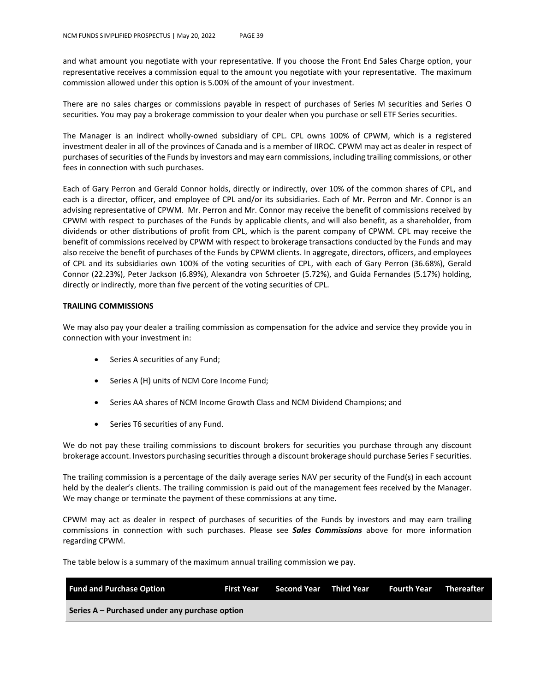and what amount you negotiate with your representative. If you choose the Front End Sales Charge option, your representative receives a commission equal to the amount you negotiate with your representative. The maximum commission allowed under this option is 5.00% of the amount of your investment.

There are no sales charges or commissions payable in respect of purchases of Series M securities and Series O securities. You may pay a brokerage commission to your dealer when you purchase or sell ETF Series securities.

The Manager is an indirect wholly-owned subsidiary of CPL. CPL owns 100% of CPWM, which is a registered investment dealer in all of the provinces of Canada and is a member of IIROC. CPWM may act as dealer in respect of purchases of securities of the Funds by investors and may earn commissions, including trailing commissions, or other fees in connection with such purchases.

Each of Gary Perron and Gerald Connor holds, directly or indirectly, over 10% of the common shares of CPL, and each is a director, officer, and employee of CPL and/or its subsidiaries. Each of Mr. Perron and Mr. Connor is an advising representative of CPWM. Mr. Perron and Mr. Connor may receive the benefit of commissions received by CPWM with respect to purchases of the Funds by applicable clients, and will also benefit, as a shareholder, from dividends or other distributions of profit from CPL, which is the parent company of CPWM. CPL may receive the benefit of commissions received by CPWM with respect to brokerage transactions conducted by the Funds and may also receive the benefit of purchases of the Funds by CPWM clients. In aggregate, directors, officers, and employees of CPL and its subsidiaries own 100% of the voting securities of CPL, with each of Gary Perron (36.68%), Gerald Connor (22.23%), Peter Jackson (6.89%), Alexandra von Schroeter (5.72%), and Guida Fernandes (5.17%) holding, directly or indirectly, more than five percent of the voting securities of CPL.

### **TRAILING COMMISSIONS**

We may also pay your dealer a trailing commission as compensation for the advice and service they provide you in connection with your investment in:

- Series A securities of any Fund;
- Series A (H) units of NCM Core Income Fund;
- Series AA shares of NCM Income Growth Class and NCM Dividend Champions; and
- Series T6 securities of any Fund.

We do not pay these trailing commissions to discount brokers for securities you purchase through any discount brokerage account. Investors purchasing securities through a discount brokerage should purchase Series F securities.

The trailing commission is a percentage of the daily average series NAV per security of the Fund(s) in each account held by the dealer's clients. The trailing commission is paid out of the management fees received by the Manager. We may change or terminate the payment of these commissions at any time.

CPWM may act as dealer in respect of purchases of securities of the Funds by investors and may earn trailing commissions in connection with such purchases. Please see *Sales Commissions* above for more information regarding CPWM.

The table below is a summary of the maximum annual trailing commission we pay.

| <b>Fund and Purchase Option</b>                | First Year | Second Year Third Year | Fourth Year | <b>Thereafter</b> |
|------------------------------------------------|------------|------------------------|-------------|-------------------|
| Series A – Purchased under any purchase option |            |                        |             |                   |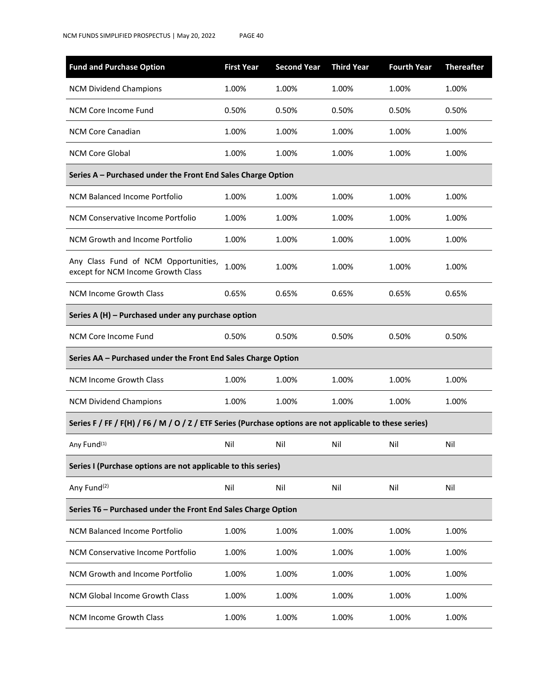| <b>Fund and Purchase Option</b>                                                                          | <b>First Year</b> | <b>Second Year</b> | <b>Third Year</b> | <b>Fourth Year</b> | <b>Thereafter</b> |
|----------------------------------------------------------------------------------------------------------|-------------------|--------------------|-------------------|--------------------|-------------------|
| <b>NCM Dividend Champions</b>                                                                            | 1.00%             | 1.00%              | 1.00%             | 1.00%              | 1.00%             |
| NCM Core Income Fund                                                                                     | 0.50%             | 0.50%              | 0.50%             | 0.50%              | 0.50%             |
| <b>NCM Core Canadian</b>                                                                                 | 1.00%             | 1.00%              | 1.00%             | 1.00%              | 1.00%             |
| <b>NCM Core Global</b>                                                                                   | 1.00%             | 1.00%              | 1.00%             | 1.00%              | 1.00%             |
| Series A - Purchased under the Front End Sales Charge Option                                             |                   |                    |                   |                    |                   |
| NCM Balanced Income Portfolio                                                                            | 1.00%             | 1.00%              | 1.00%             | 1.00%              | 1.00%             |
| NCM Conservative Income Portfolio                                                                        | 1.00%             | 1.00%              | 1.00%             | 1.00%              | 1.00%             |
| NCM Growth and Income Portfolio                                                                          | 1.00%             | 1.00%              | 1.00%             | 1.00%              | 1.00%             |
| Any Class Fund of NCM Opportunities,<br>except for NCM Income Growth Class                               | 1.00%             | 1.00%              | 1.00%             | 1.00%              | 1.00%             |
| <b>NCM Income Growth Class</b>                                                                           | 0.65%             | 0.65%              | 0.65%             | 0.65%              | 0.65%             |
| Series A (H) - Purchased under any purchase option                                                       |                   |                    |                   |                    |                   |
| NCM Core Income Fund                                                                                     | 0.50%             | 0.50%              | 0.50%             | 0.50%              | 0.50%             |
| Series AA - Purchased under the Front End Sales Charge Option                                            |                   |                    |                   |                    |                   |
| <b>NCM Income Growth Class</b>                                                                           | 1.00%             | 1.00%              | 1.00%             | 1.00%              | 1.00%             |
| <b>NCM Dividend Champions</b>                                                                            | 1.00%             | 1.00%              | 1.00%             | 1.00%              | 1.00%             |
| Series F / FF / F(H) / F6 / M / O / Z / ETF Series (Purchase options are not applicable to these series) |                   |                    |                   |                    |                   |
| Any Fund(1)                                                                                              | Nil               | Nil                | Nil               | Nil                | Nil               |
| Series I (Purchase options are not applicable to this series)                                            |                   |                    |                   |                    |                   |
| Any Fund <sup>(2)</sup>                                                                                  | Nil               | Nil                | Nil               | Nil                | Nil               |
| Series T6 - Purchased under the Front End Sales Charge Option                                            |                   |                    |                   |                    |                   |
| NCM Balanced Income Portfolio                                                                            | 1.00%             | 1.00%              | 1.00%             | 1.00%              | 1.00%             |
| NCM Conservative Income Portfolio                                                                        | 1.00%             | 1.00%              | 1.00%             | 1.00%              | 1.00%             |
| NCM Growth and Income Portfolio                                                                          | 1.00%             | 1.00%              | 1.00%             | 1.00%              | 1.00%             |
| NCM Global Income Growth Class                                                                           | 1.00%             | 1.00%              | 1.00%             | 1.00%              | 1.00%             |
| NCM Income Growth Class                                                                                  | 1.00%             | 1.00%              | 1.00%             | 1.00%              | 1.00%             |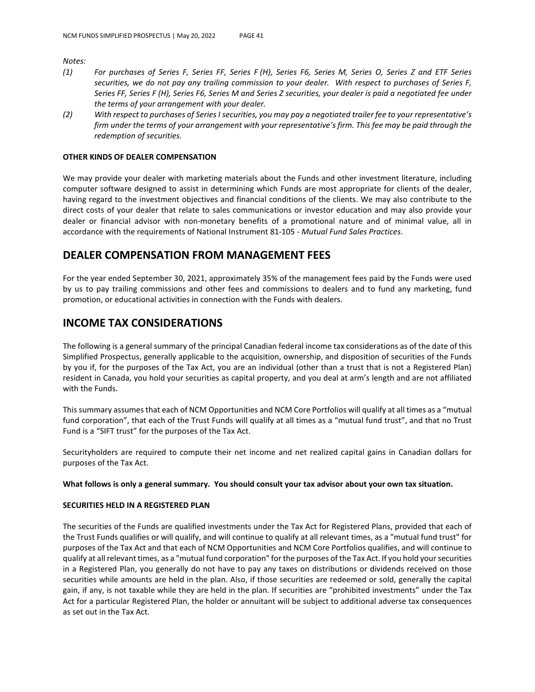*Notes:*

- *(1) For purchases of Series F, Series FF, Series F (H), Series F6, Series M, Series O, Series Z and ETF Series securities, we do not pay any trailing commission to your dealer. With respect to purchases of Series F, Series FF, Series F (H), Series F6, Series M and Series Z securities, your dealer is paid a negotiated fee under the terms of your arrangement with your dealer.*
- *(2) With respect to purchases of Series I securities, you may pay a negotiated trailer fee to your representative's firm under the terms of your arrangement with your representative's firm. This fee may be paid through the redemption of securities.*

### **OTHER KINDS OF DEALER COMPENSATION**

We may provide your dealer with marketing materials about the Funds and other investment literature, including computer software designed to assist in determining which Funds are most appropriate for clients of the dealer, having regard to the investment objectives and financial conditions of the clients. We may also contribute to the direct costs of your dealer that relate to sales communications or investor education and may also provide your dealer or financial advisor with non-monetary benefits of a promotional nature and of minimal value, all in accordance with the requirements of National Instrument 81-105 - *Mutual Fund Sales Practices*.

## **DEALER COMPENSATION FROM MANAGEMENT FEES**

For the year ended September 30, 2021, approximately 35% of the management fees paid by the Funds were used by us to pay trailing commissions and other fees and commissions to dealers and to fund any marketing, fund promotion, or educational activities in connection with the Funds with dealers.

## **INCOME TAX CONSIDERATIONS**

The following is a general summary of the principal Canadian federal income tax considerations as of the date of this Simplified Prospectus, generally applicable to the acquisition, ownership, and disposition of securities of the Funds by you if, for the purposes of the Tax Act, you are an individual (other than a trust that is not a Registered Plan) resident in Canada, you hold your securities as capital property, and you deal at arm's length and are not affiliated with the Funds.

This summary assumes that each of NCM Opportunities and NCM Core Portfolios will qualify at all times as a "mutual fund corporation", that each of the Trust Funds will qualify at all times as a "mutual fund trust", and that no Trust Fund is a "SIFT trust" for the purposes of the Tax Act.

Securityholders are required to compute their net income and net realized capital gains in Canadian dollars for purposes of the Tax Act.

### **What follows is only a general summary. You should consult your tax advisor about your own tax situation.**

### **SECURITIES HELD IN A REGISTERED PLAN**

The securities of the Funds are qualified investments under the Tax Act for Registered Plans, provided that each of the Trust Funds qualifies or will qualify, and will continue to qualify at all relevant times, as a "mutual fund trust" for purposes of the Tax Act and that each of NCM Opportunities and NCM Core Portfolios qualifies, and will continue to qualify at all relevant times, as a "mutual fund corporation" for the purposes of the Tax Act. If you hold your securities in a Registered Plan, you generally do not have to pay any taxes on distributions or dividends received on those securities while amounts are held in the plan. Also, if those securities are redeemed or sold, generally the capital gain, if any, is not taxable while they are held in the plan. If securities are "prohibited investments" under the Tax Act for a particular Registered Plan, the holder or annuitant will be subject to additional adverse tax consequences as set out in the Tax Act.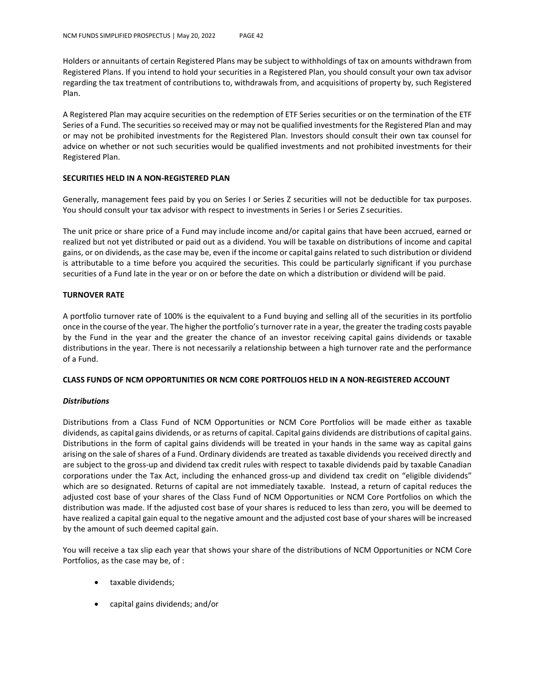Holders or annuitants of certain Registered Plans may be subject to withholdings of tax on amounts withdrawn from Registered Plans. If you intend to hold your securities in a Registered Plan, you should consult your own tax advisor regarding the tax treatment of contributions to, withdrawals from, and acquisitions of property by, such Registered Plan.

A Registered Plan may acquire securities on the redemption of ETF Series securities or on the termination of the ETF Series of a Fund. The securities so received may or may not be qualified investments for the Registered Plan and may or may not be prohibited investments for the Registered Plan. Investors should consult their own tax counsel for advice on whether or not such securities would be qualified investments and not prohibited investments for their Registered Plan.

### **SECURITIES HELD IN A NON-REGISTERED PLAN**

Generally, management fees paid by you on Series I or Series Z securities will not be deductible for tax purposes. You should consult your tax advisor with respect to investments in Series I or Series Z securities.

The unit price or share price of a Fund may include income and/or capital gains that have been accrued, earned or realized but not yet distributed or paid out as a dividend. You will be taxable on distributions of income and capital gains, or on dividends, as the case may be, even if the income or capital gains related to such distribution or dividend is attributable to a time before you acquired the securities. This could be particularly significant if you purchase securities of a Fund late in the year or on or before the date on which a distribution or dividend will be paid.

### **TURNOVER RATE**

A portfolio turnover rate of 100% is the equivalent to a Fund buying and selling all of the securities in its portfolio once in the course of the year. The higher the portfolio's turnover rate in a year, the greater the trading costs payable by the Fund in the year and the greater the chance of an investor receiving capital gains dividends or taxable distributions in the year. There is not necessarily a relationship between a high turnover rate and the performance of a Fund.

### **CLASS FUNDS OF NCM OPPORTUNITIES OR NCM CORE PORTFOLIOS HELD IN A NON-REGISTERED ACCOUNT**

### *Distributions*

Distributions from a Class Fund of NCM Opportunities or NCM Core Portfolios will be made either as taxable dividends, as capital gains dividends, or as returns of capital. Capital gains dividends are distributions of capital gains. Distributions in the form of capital gains dividends will be treated in your hands in the same way as capital gains arising on the sale of shares of a Fund. Ordinary dividends are treated as taxable dividends you received directly and are subject to the gross-up and dividend tax credit rules with respect to taxable dividends paid by taxable Canadian corporations under the Tax Act, including the enhanced gross-up and dividend tax credit on "eligible dividends" which are so designated. Returns of capital are not immediately taxable. Instead, a return of capital reduces the adjusted cost base of your shares of the Class Fund of NCM Opportunities or NCM Core Portfolios on which the distribution was made. If the adjusted cost base of your shares is reduced to less than zero, you will be deemed to have realized a capital gain equal to the negative amount and the adjusted cost base of your shares will be increased by the amount of such deemed capital gain.

You will receive a tax slip each year that shows your share of the distributions of NCM Opportunities or NCM Core Portfolios, as the case may be, of :

- taxable dividends;
- capital gains dividends; and/or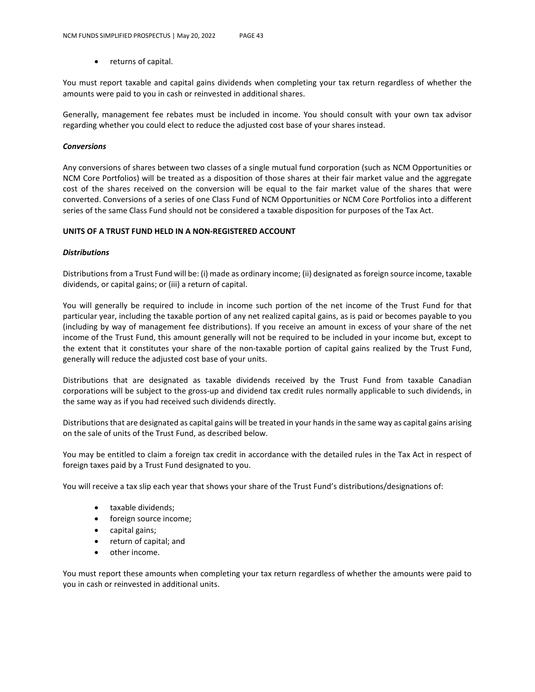returns of capital.

You must report taxable and capital gains dividends when completing your tax return regardless of whether the amounts were paid to you in cash or reinvested in additional shares.

Generally, management fee rebates must be included in income. You should consult with your own tax advisor regarding whether you could elect to reduce the adjusted cost base of your shares instead.

### *Conversions*

Any conversions of shares between two classes of a single mutual fund corporation (such as NCM Opportunities or NCM Core Portfolios) will be treated as a disposition of those shares at their fair market value and the aggregate cost of the shares received on the conversion will be equal to the fair market value of the shares that were converted. Conversions of a series of one Class Fund of NCM Opportunities or NCM Core Portfolios into a different series of the same Class Fund should not be considered a taxable disposition for purposes of the Tax Act.

### **UNITS OF A TRUST FUND HELD IN A NON-REGISTERED ACCOUNT**

### *Distributions*

Distributions from a Trust Fund will be: (i) made as ordinary income; (ii) designated as foreign source income, taxable dividends, or capital gains; or (iii) a return of capital.

You will generally be required to include in income such portion of the net income of the Trust Fund for that particular year, including the taxable portion of any net realized capital gains, as is paid or becomes payable to you (including by way of management fee distributions). If you receive an amount in excess of your share of the net income of the Trust Fund, this amount generally will not be required to be included in your income but, except to the extent that it constitutes your share of the non-taxable portion of capital gains realized by the Trust Fund, generally will reduce the adjusted cost base of your units.

Distributions that are designated as taxable dividends received by the Trust Fund from taxable Canadian corporations will be subject to the gross-up and dividend tax credit rules normally applicable to such dividends, in the same way as if you had received such dividends directly.

Distributions that are designated as capital gains will be treated in your hands in the same way as capital gains arising on the sale of units of the Trust Fund, as described below.

You may be entitled to claim a foreign tax credit in accordance with the detailed rules in the Tax Act in respect of foreign taxes paid by a Trust Fund designated to you.

You will receive a tax slip each year that shows your share of the Trust Fund's distributions/designations of:

- taxable dividends;
- foreign source income;
- capital gains;
- return of capital; and
- other income.

You must report these amounts when completing your tax return regardless of whether the amounts were paid to you in cash or reinvested in additional units.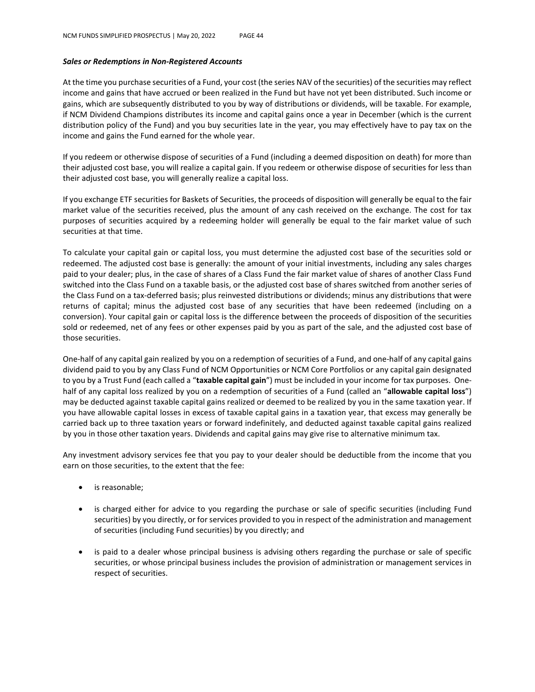### *Sales or Redemptions in Non-Registered Accounts*

At the time you purchase securities of a Fund, your cost (the series NAV of the securities) of the securities may reflect income and gains that have accrued or been realized in the Fund but have not yet been distributed. Such income or gains, which are subsequently distributed to you by way of distributions or dividends, will be taxable. For example, if NCM Dividend Champions distributes its income and capital gains once a year in December (which is the current distribution policy of the Fund) and you buy securities late in the year, you may effectively have to pay tax on the income and gains the Fund earned for the whole year.

If you redeem or otherwise dispose of securities of a Fund (including a deemed disposition on death) for more than their adjusted cost base, you will realize a capital gain. If you redeem or otherwise dispose of securities for less than their adjusted cost base, you will generally realize a capital loss.

If you exchange ETF securities for Baskets of Securities, the proceeds of disposition will generally be equal to the fair market value of the securities received, plus the amount of any cash received on the exchange. The cost for tax purposes of securities acquired by a redeeming holder will generally be equal to the fair market value of such securities at that time.

To calculate your capital gain or capital loss, you must determine the adjusted cost base of the securities sold or redeemed. The adjusted cost base is generally: the amount of your initial investments, including any sales charges paid to your dealer; plus, in the case of shares of a Class Fund the fair market value of shares of another Class Fund switched into the Class Fund on a taxable basis, or the adjusted cost base of shares switched from another series of the Class Fund on a tax-deferred basis; plus reinvested distributions or dividends; minus any distributions that were returns of capital; minus the adjusted cost base of any securities that have been redeemed (including on a conversion). Your capital gain or capital loss is the difference between the proceeds of disposition of the securities sold or redeemed, net of any fees or other expenses paid by you as part of the sale, and the adjusted cost base of those securities.

One-half of any capital gain realized by you on a redemption of securities of a Fund, and one-half of any capital gains dividend paid to you by any Class Fund of NCM Opportunities or NCM Core Portfolios or any capital gain designated to you by a Trust Fund (each called a "**taxable capital gain**") must be included in your income for tax purposes. Onehalf of any capital loss realized by you on a redemption of securities of a Fund (called an "**allowable capital loss**") may be deducted against taxable capital gains realized or deemed to be realized by you in the same taxation year. If you have allowable capital losses in excess of taxable capital gains in a taxation year, that excess may generally be carried back up to three taxation years or forward indefinitely, and deducted against taxable capital gains realized by you in those other taxation years. Dividends and capital gains may give rise to alternative minimum tax.

Any investment advisory services fee that you pay to your dealer should be deductible from the income that you earn on those securities, to the extent that the fee:

- is reasonable;
- is charged either for advice to you regarding the purchase or sale of specific securities (including Fund securities) by you directly, or for services provided to you in respect of the administration and management of securities (including Fund securities) by you directly; and
- is paid to a dealer whose principal business is advising others regarding the purchase or sale of specific securities, or whose principal business includes the provision of administration or management services in respect of securities.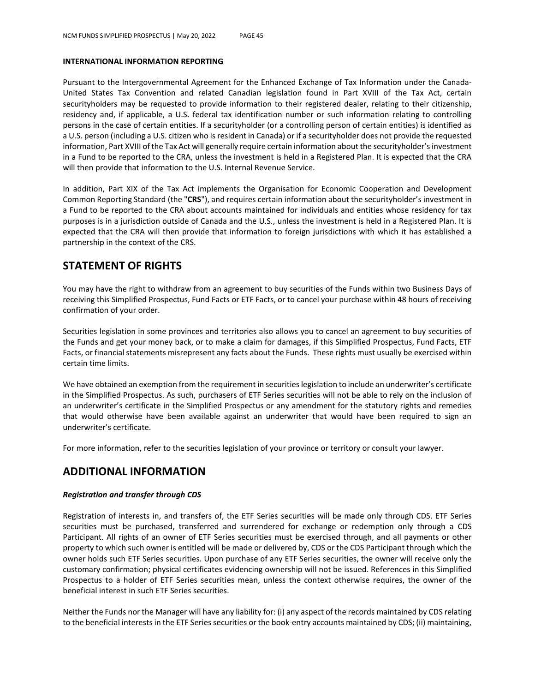#### **INTERNATIONAL INFORMATION REPORTING**

Pursuant to the Intergovernmental Agreement for the Enhanced Exchange of Tax Information under the Canada-United States Tax Convention and related Canadian legislation found in Part XVIII of the Tax Act, certain securityholders may be requested to provide information to their registered dealer, relating to their citizenship, residency and, if applicable, a U.S. federal tax identification number or such information relating to controlling persons in the case of certain entities. If a securityholder (or a controlling person of certain entities) is identified as a U.S. person (including a U.S. citizen who is resident in Canada) or if a securityholder does not provide the requested information, Part XVIII of the Tax Act will generally require certain information about the securityholder's investment in a Fund to be reported to the CRA, unless the investment is held in a Registered Plan. It is expected that the CRA will then provide that information to the U.S. Internal Revenue Service.

In addition, Part XIX of the Tax Act implements the Organisation for Economic Cooperation and Development Common Reporting Standard (the "**CRS**"), and requires certain information about the securityholder's investment in a Fund to be reported to the CRA about accounts maintained for individuals and entities whose residency for tax purposes is in a jurisdiction outside of Canada and the U.S., unless the investment is held in a Registered Plan. It is expected that the CRA will then provide that information to foreign jurisdictions with which it has established a partnership in the context of the CRS.

# **STATEMENT OF RIGHTS**

You may have the right to withdraw from an agreement to buy securities of the Funds within two Business Days of receiving this Simplified Prospectus, Fund Facts or ETF Facts, or to cancel your purchase within 48 hours of receiving confirmation of your order.

Securities legislation in some provinces and territories also allows you to cancel an agreement to buy securities of the Funds and get your money back, or to make a claim for damages, if this Simplified Prospectus, Fund Facts, ETF Facts, or financial statements misrepresent any facts about the Funds. These rights must usually be exercised within certain time limits.

We have obtained an exemption from the requirement in securities legislation to include an underwriter's certificate in the Simplified Prospectus. As such, purchasers of ETF Series securities will not be able to rely on the inclusion of an underwriter's certificate in the Simplified Prospectus or any amendment for the statutory rights and remedies that would otherwise have been available against an underwriter that would have been required to sign an underwriter's certificate.

For more information, refer to the securities legislation of your province or territory or consult your lawyer.

# **ADDITIONAL INFORMATION**

### *Registration and transfer through CDS*

Registration of interests in, and transfers of, the ETF Series securities will be made only through CDS. ETF Series securities must be purchased, transferred and surrendered for exchange or redemption only through a CDS Participant. All rights of an owner of ETF Series securities must be exercised through, and all payments or other property to which such owner is entitled will be made or delivered by, CDS or the CDS Participant through which the owner holds such ETF Series securities. Upon purchase of any ETF Series securities, the owner will receive only the customary confirmation; physical certificates evidencing ownership will not be issued. References in this Simplified Prospectus to a holder of ETF Series securities mean, unless the context otherwise requires, the owner of the beneficial interest in such ETF Series securities.

Neither the Funds nor the Manager will have any liability for: (i) any aspect of the records maintained by CDS relating to the beneficial interests in the ETF Series securities or the book-entry accounts maintained by CDS; (ii) maintaining,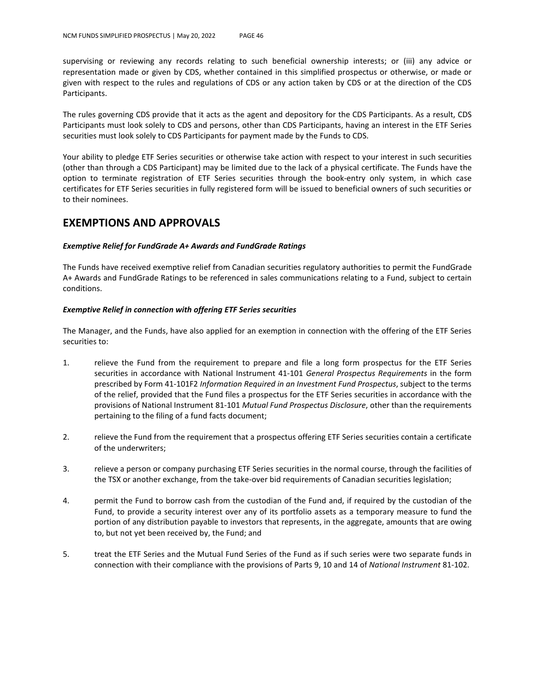supervising or reviewing any records relating to such beneficial ownership interests; or (iii) any advice or representation made or given by CDS, whether contained in this simplified prospectus or otherwise, or made or given with respect to the rules and regulations of CDS or any action taken by CDS or at the direction of the CDS Participants.

The rules governing CDS provide that it acts as the agent and depository for the CDS Participants. As a result, CDS Participants must look solely to CDS and persons, other than CDS Participants, having an interest in the ETF Series securities must look solely to CDS Participants for payment made by the Funds to CDS.

Your ability to pledge ETF Series securities or otherwise take action with respect to your interest in such securities (other than through a CDS Participant) may be limited due to the lack of a physical certificate. The Funds have the option to terminate registration of ETF Series securities through the book-entry only system, in which case certificates for ETF Series securities in fully registered form will be issued to beneficial owners of such securities or to their nominees.

## **EXEMPTIONS AND APPROVALS**

### *Exemptive Relief for FundGrade A+ Awards and FundGrade Ratings*

The Funds have received exemptive relief from Canadian securities regulatory authorities to permit the FundGrade A+ Awards and FundGrade Ratings to be referenced in sales communications relating to a Fund, subject to certain conditions.

### *Exemptive Relief in connection with offering ETF Series securities*

The Manager, and the Funds, have also applied for an exemption in connection with the offering of the ETF Series securities to:

- 1. relieve the Fund from the requirement to prepare and file a long form prospectus for the ETF Series securities in accordance with National Instrument 41-101 *General Prospectus Requirements* in the form prescribed by Form 41-101F2 *Information Required in an Investment Fund Prospectus*, subject to the terms of the relief, provided that the Fund files a prospectus for the ETF Series securities in accordance with the provisions of National Instrument 81-101 *Mutual Fund Prospectus Disclosure*, other than the requirements pertaining to the filing of a fund facts document;
- 2. relieve the Fund from the requirement that a prospectus offering ETF Series securities contain a certificate of the underwriters;
- 3. relieve a person or company purchasing ETF Series securities in the normal course, through the facilities of the TSX or another exchange, from the take-over bid requirements of Canadian securities legislation;
- 4. permit the Fund to borrow cash from the custodian of the Fund and, if required by the custodian of the Fund, to provide a security interest over any of its portfolio assets as a temporary measure to fund the portion of any distribution payable to investors that represents, in the aggregate, amounts that are owing to, but not yet been received by, the Fund; and
- 5. treat the ETF Series and the Mutual Fund Series of the Fund as if such series were two separate funds in connection with their compliance with the provisions of Parts 9, 10 and 14 of *National Instrument* 81-102.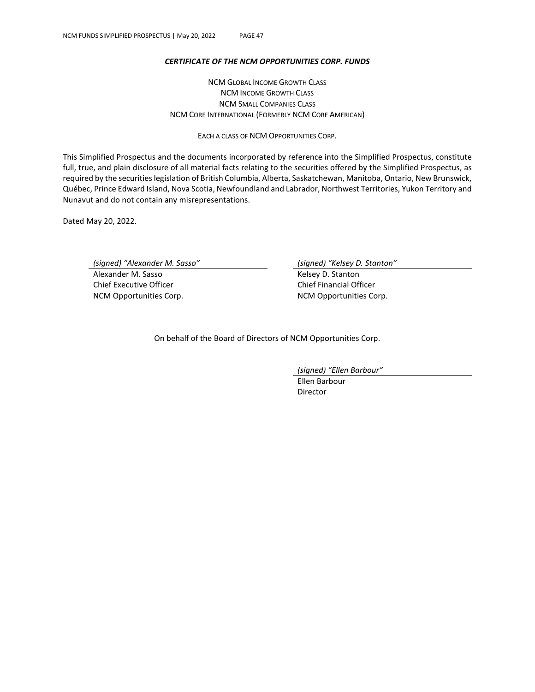### *CERTIFICATE OF THE NCM OPPORTUNITIES CORP. FUNDS*

NCM GLOBAL INCOME GROWTH CLASS NCM INCOME GROWTH CLASS NCM SMALL COMPANIES CLASS NCM CORE INTERNATIONAL (FORMERLY NCM CORE AMERICAN)

EACH A CLASS OF NCM OPPORTUNITIES CORP.

This Simplified Prospectus and the documents incorporated by reference into the Simplified Prospectus, constitute full, true, and plain disclosure of all material facts relating to the securities offered by the Simplified Prospectus, as required by the securities legislation of British Columbia, Alberta, Saskatchewan, Manitoba, Ontario, New Brunswick, Québec, Prince Edward Island, Nova Scotia, Newfoundland and Labrador, Northwest Territories, Yukon Territory and Nunavut and do not contain any misrepresentations.

Dated May 20, 2022.

*(signed) "Alexander M. Sasso" (signed) "Kelsey D. Stanton"*

Alexander M. Sasso **Kelsey D. Stanton** Chief Executive Officer Chief Financial Officer NCM Opportunities Corp. NCM Opportunities Corp.

On behalf of the Board of Directors of NCM Opportunities Corp.

*(signed) "Ellen Barbour"*

Ellen Barbour Director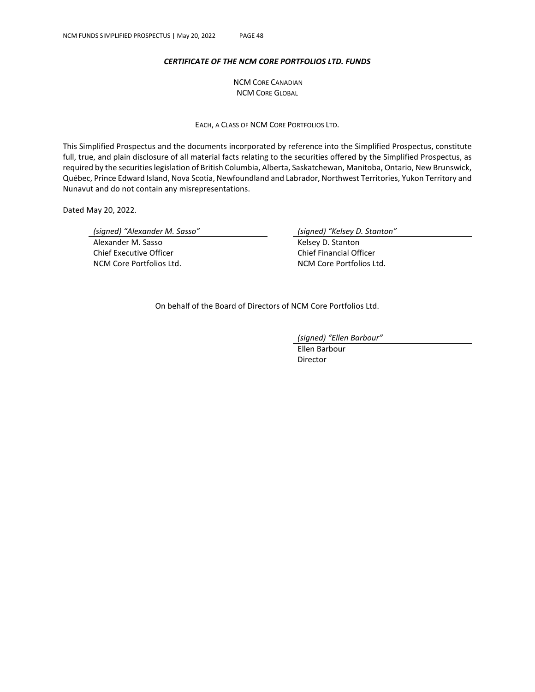### *CERTIFICATE OF THE NCM CORE PORTFOLIOS LTD. FUNDS*

NCM CORE CANADIAN NCM CORE GLOBAL

EACH, A CLASS OF NCM CORE PORTFOLIOS LTD.

This Simplified Prospectus and the documents incorporated by reference into the Simplified Prospectus, constitute full, true, and plain disclosure of all material facts relating to the securities offered by the Simplified Prospectus, as required by the securities legislation of British Columbia, Alberta, Saskatchewan, Manitoba, Ontario, New Brunswick, Québec, Prince Edward Island, Nova Scotia, Newfoundland and Labrador, Northwest Territories, Yukon Territory and Nunavut and do not contain any misrepresentations.

Dated May 20, 2022.

*(signed) "Alexander M. Sasso" (signed) "Kelsey D. Stanton"*

Alexander M. Sasso **Kelsey D. Stanton** Chief Executive Officer Chief Financial Officer NCM Core Portfolios Ltd. NCM Core Portfolios Ltd.

On behalf of the Board of Directors of NCM Core Portfolios Ltd.

*(signed) "Ellen Barbour"*

Ellen Barbour Director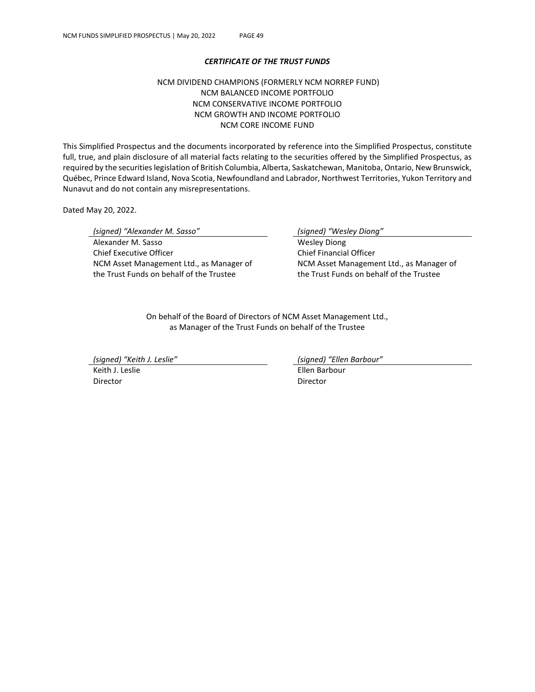### *CERTIFICATE OF THE TRUST FUNDS*

### NCM DIVIDEND CHAMPIONS (FORMERLY NCM NORREP FUND) NCM BALANCED INCOME PORTFOLIO NCM CONSERVATIVE INCOME PORTFOLIO NCM GROWTH AND INCOME PORTFOLIO NCM CORE INCOME FUND

This Simplified Prospectus and the documents incorporated by reference into the Simplified Prospectus, constitute full, true, and plain disclosure of all material facts relating to the securities offered by the Simplified Prospectus, as required by the securities legislation of British Columbia, Alberta, Saskatchewan, Manitoba, Ontario, New Brunswick, Québec, Prince Edward Island, Nova Scotia, Newfoundland and Labrador, Northwest Territories, Yukon Territory and Nunavut and do not contain any misrepresentations.

Dated May 20, 2022.

*(signed) "Alexander M. Sasso" (signed) "Wesley Diong"* Alexander M. Sasso New York 1997 Mesley Diong Chief Executive Officer NCM Asset Management Ltd., as Manager of the Trust Funds on behalf of the Trustee

Chief Financial Officer NCM Asset Management Ltd., as Manager of the Trust Funds on behalf of the Trustee

On behalf of the Board of Directors of NCM Asset Management Ltd., as Manager of the Trust Funds on behalf of the Trustee

*(signed) "Keith J. Leslie" (signed) "Ellen Barbour"*

Director Director

Keith J. Leslie **Ellen Barbour**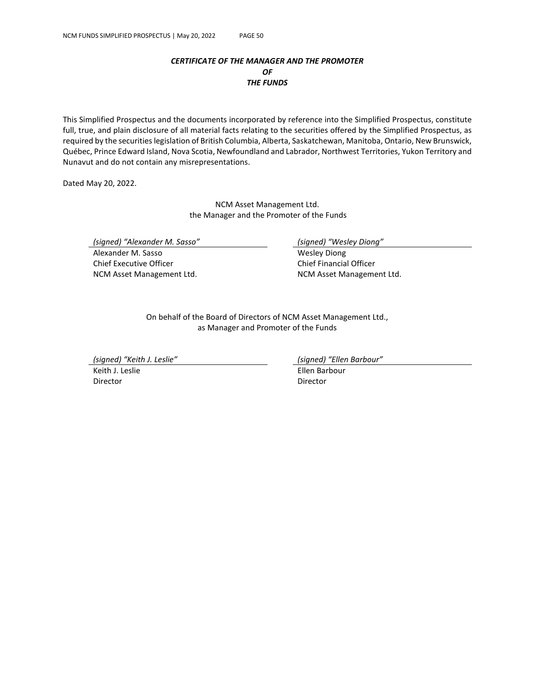### *CERTIFICATE OF THE MANAGER AND THE PROMOTER OF THE FUNDS*

This Simplified Prospectus and the documents incorporated by reference into the Simplified Prospectus, constitute full, true, and plain disclosure of all material facts relating to the securities offered by the Simplified Prospectus, as required by the securities legislation of British Columbia, Alberta, Saskatchewan, Manitoba, Ontario, New Brunswick, Québec, Prince Edward Island, Nova Scotia, Newfoundland and Labrador, Northwest Territories, Yukon Territory and Nunavut and do not contain any misrepresentations.

Dated May 20, 2022.

NCM Asset Management Ltd. the Manager and the Promoter of the Funds

*(signed) "Alexander M. Sasso" (signed) "Wesley Diong"*

Alexander M. Sasso New York 1997 Mesley Diong Chief Executive Officer NCM Asset Management Ltd.

Chief Financial Officer NCM Asset Management Ltd.

On behalf of the Board of Directors of NCM Asset Management Ltd., as Manager and Promoter of the Funds

*(signed) "Keith J. Leslie" (signed) "Ellen Barbour"*

Director Director

Keith J. Leslie **Ellen Barbour**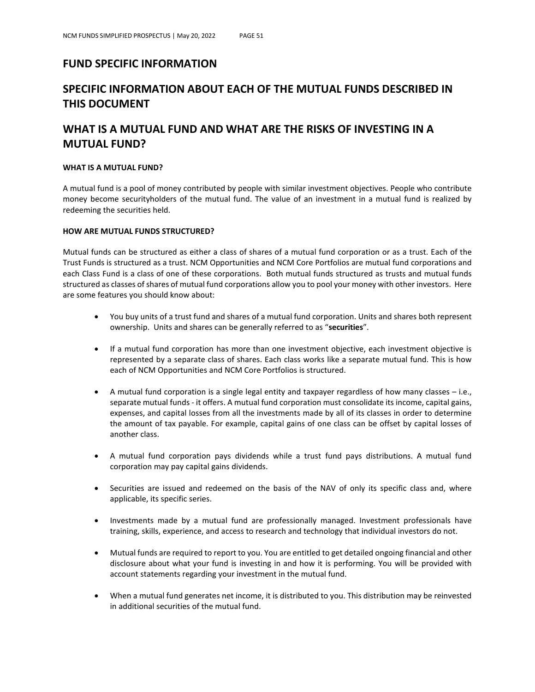# **FUND SPECIFIC INFORMATION**

# **SPECIFIC INFORMATION ABOUT EACH OF THE MUTUAL FUNDS DESCRIBED IN THIS DOCUMENT**

# **WHAT IS A MUTUAL FUND AND WHAT ARE THE RISKS OF INVESTING IN A MUTUAL FUND?**

### **WHAT IS A MUTUAL FUND?**

A mutual fund is a pool of money contributed by people with similar investment objectives. People who contribute money become securityholders of the mutual fund. The value of an investment in a mutual fund is realized by redeeming the securities held.

### **HOW ARE MUTUAL FUNDS STRUCTURED?**

Mutual funds can be structured as either a class of shares of a mutual fund corporation or as a trust. Each of the Trust Funds is structured as a trust. NCM Opportunities and NCM Core Portfolios are mutual fund corporations and each Class Fund is a class of one of these corporations. Both mutual funds structured as trusts and mutual funds structured as classes of shares of mutual fund corporations allow you to pool your money with other investors. Here are some features you should know about:

- You buy units of a trust fund and shares of a mutual fund corporation. Units and shares both represent ownership. Units and shares can be generally referred to as "**securities**".
- If a mutual fund corporation has more than one investment objective, each investment objective is represented by a separate class of shares. Each class works like a separate mutual fund. This is how each of NCM Opportunities and NCM Core Portfolios is structured.
- A mutual fund corporation is a single legal entity and taxpayer regardless of how many classes i.e., separate mutual funds - it offers. A mutual fund corporation must consolidate its income, capital gains, expenses, and capital losses from all the investments made by all of its classes in order to determine the amount of tax payable. For example, capital gains of one class can be offset by capital losses of another class.
- A mutual fund corporation pays dividends while a trust fund pays distributions. A mutual fund corporation may pay capital gains dividends.
- Securities are issued and redeemed on the basis of the NAV of only its specific class and, where applicable, its specific series.
- Investments made by a mutual fund are professionally managed. Investment professionals have training, skills, experience, and access to research and technology that individual investors do not.
- Mutual funds are required to report to you. You are entitled to get detailed ongoing financial and other disclosure about what your fund is investing in and how it is performing. You will be provided with account statements regarding your investment in the mutual fund.
- When a mutual fund generates net income, it is distributed to you. This distribution may be reinvested in additional securities of the mutual fund.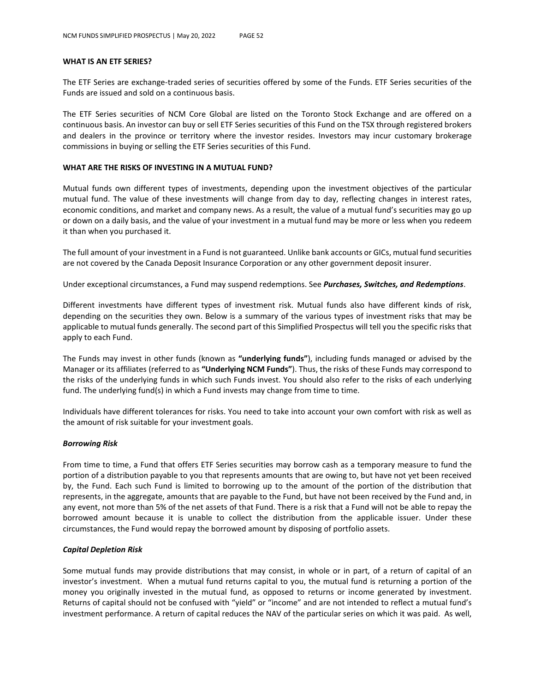#### **WHAT IS AN ETF SERIES?**

The ETF Series are exchange-traded series of securities offered by some of the Funds. ETF Series securities of the Funds are issued and sold on a continuous basis.

The ETF Series securities of NCM Core Global are listed on the Toronto Stock Exchange and are offered on a continuous basis. An investor can buy or sell ETF Series securities of this Fund on the TSX through registered brokers and dealers in the province or territory where the investor resides. Investors may incur customary brokerage commissions in buying or selling the ETF Series securities of this Fund.

### **WHAT ARE THE RISKS OF INVESTING IN A MUTUAL FUND?**

Mutual funds own different types of investments, depending upon the investment objectives of the particular mutual fund. The value of these investments will change from day to day, reflecting changes in interest rates, economic conditions, and market and company news. As a result, the value of a mutual fund's securities may go up or down on a daily basis, and the value of your investment in a mutual fund may be more or less when you redeem it than when you purchased it.

The full amount of your investment in a Fund is not guaranteed. Unlike bank accounts or GICs, mutual fund securities are not covered by the Canada Deposit Insurance Corporation or any other government deposit insurer.

Under exceptional circumstances, a Fund may suspend redemptions. See *Purchases, Switches, and Redemptions*.

Different investments have different types of investment risk. Mutual funds also have different kinds of risk, depending on the securities they own. Below is a summary of the various types of investment risks that may be applicable to mutual funds generally. The second part of this Simplified Prospectus will tell you the specific risks that apply to each Fund.

The Funds may invest in other funds (known as **"underlying funds"**), including funds managed or advised by the Manager or its affiliates (referred to as **"Underlying NCM Funds"**). Thus, the risks of these Funds may correspond to the risks of the underlying funds in which such Funds invest. You should also refer to the risks of each underlying fund. The underlying fund(s) in which a Fund invests may change from time to time.

Individuals have different tolerances for risks. You need to take into account your own comfort with risk as well as the amount of risk suitable for your investment goals.

#### *Borrowing Risk*

From time to time, a Fund that offers ETF Series securities may borrow cash as a temporary measure to fund the portion of a distribution payable to you that represents amounts that are owing to, but have not yet been received by, the Fund. Each such Fund is limited to borrowing up to the amount of the portion of the distribution that represents, in the aggregate, amounts that are payable to the Fund, but have not been received by the Fund and, in any event, not more than 5% of the net assets of that Fund. There is a risk that a Fund will not be able to repay the borrowed amount because it is unable to collect the distribution from the applicable issuer. Under these circumstances, the Fund would repay the borrowed amount by disposing of portfolio assets.

#### *Capital Depletion Risk*

Some mutual funds may provide distributions that may consist, in whole or in part, of a return of capital of an investor's investment. When a mutual fund returns capital to you, the mutual fund is returning a portion of the money you originally invested in the mutual fund, as opposed to returns or income generated by investment. Returns of capital should not be confused with "yield" or "income" and are not intended to reflect a mutual fund's investment performance. A return of capital reduces the NAV of the particular series on which it was paid. As well,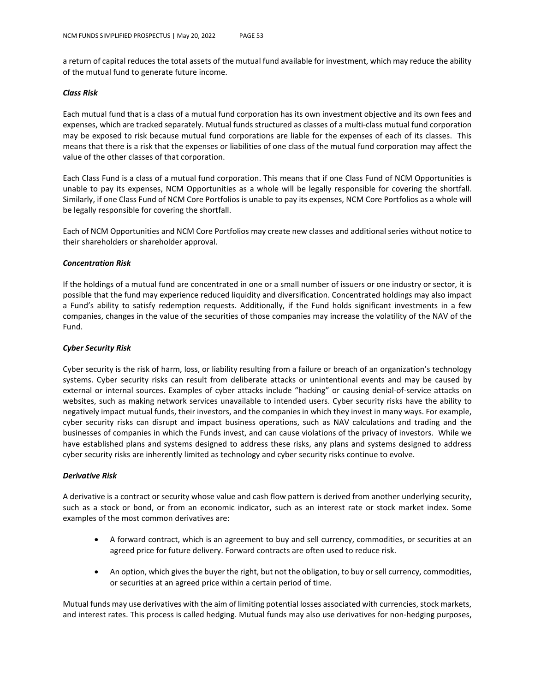a return of capital reduces the total assets of the mutual fund available for investment, which may reduce the ability of the mutual fund to generate future income.

#### *Class Risk*

Each mutual fund that is a class of a mutual fund corporation has its own investment objective and its own fees and expenses, which are tracked separately. Mutual funds structured as classes of a multi-class mutual fund corporation may be exposed to risk because mutual fund corporations are liable for the expenses of each of its classes. This means that there is a risk that the expenses or liabilities of one class of the mutual fund corporation may affect the value of the other classes of that corporation.

Each Class Fund is a class of a mutual fund corporation. This means that if one Class Fund of NCM Opportunities is unable to pay its expenses, NCM Opportunities as a whole will be legally responsible for covering the shortfall. Similarly, if one Class Fund of NCM Core Portfolios is unable to pay its expenses, NCM Core Portfolios as a whole will be legally responsible for covering the shortfall.

Each of NCM Opportunities and NCM Core Portfolios may create new classes and additional series without notice to their shareholders or shareholder approval.

#### *Concentration Risk*

If the holdings of a mutual fund are concentrated in one or a small number of issuers or one industry or sector, it is possible that the fund may experience reduced liquidity and diversification. Concentrated holdings may also impact a Fund's ability to satisfy redemption requests. Additionally, if the Fund holds significant investments in a few companies, changes in the value of the securities of those companies may increase the volatility of the NAV of the Fund.

### *Cyber Security Risk*

Cyber security is the risk of harm, loss, or liability resulting from a failure or breach of an organization's technology systems. Cyber security risks can result from deliberate attacks or unintentional events and may be caused by external or internal sources. Examples of cyber attacks include "hacking" or causing denial-of-service attacks on websites, such as making network services unavailable to intended users. Cyber security risks have the ability to negatively impact mutual funds, their investors, and the companies in which they invest in many ways. For example, cyber security risks can disrupt and impact business operations, such as NAV calculations and trading and the businesses of companies in which the Funds invest, and can cause violations of the privacy of investors. While we have established plans and systems designed to address these risks, any plans and systems designed to address cyber security risks are inherently limited as technology and cyber security risks continue to evolve.

### *Derivative Risk*

A derivative is a contract or security whose value and cash flow pattern is derived from another underlying security, such as a stock or bond, or from an economic indicator, such as an interest rate or stock market index. Some examples of the most common derivatives are:

- A forward contract, which is an agreement to buy and sell currency, commodities, or securities at an agreed price for future delivery. Forward contracts are often used to reduce risk.
- An option, which gives the buyer the right, but not the obligation, to buy or sell currency, commodities, or securities at an agreed price within a certain period of time.

Mutual funds may use derivatives with the aim of limiting potential losses associated with currencies, stock markets, and interest rates. This process is called hedging. Mutual funds may also use derivatives for non-hedging purposes,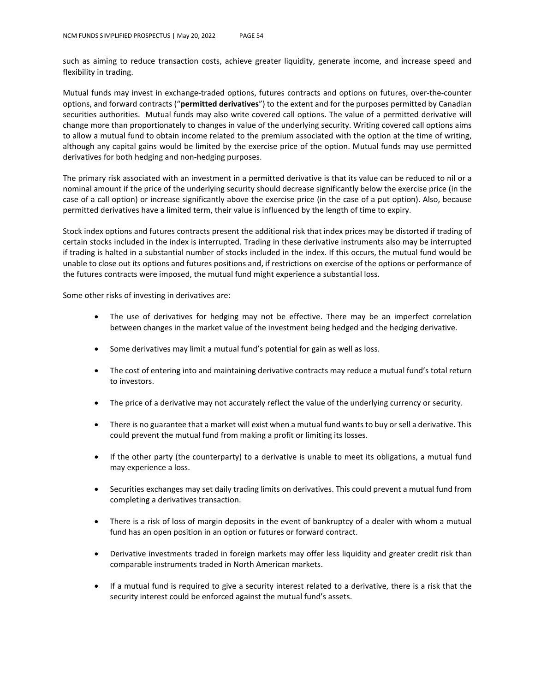such as aiming to reduce transaction costs, achieve greater liquidity, generate income, and increase speed and flexibility in trading.

Mutual funds may invest in exchange-traded options, futures contracts and options on futures, over-the-counter options, and forward contracts ("**permitted derivatives**") to the extent and for the purposes permitted by Canadian securities authorities. Mutual funds may also write covered call options. The value of a permitted derivative will change more than proportionately to changes in value of the underlying security. Writing covered call options aims to allow a mutual fund to obtain income related to the premium associated with the option at the time of writing, although any capital gains would be limited by the exercise price of the option. Mutual funds may use permitted derivatives for both hedging and non-hedging purposes.

The primary risk associated with an investment in a permitted derivative is that its value can be reduced to nil or a nominal amount if the price of the underlying security should decrease significantly below the exercise price (in the case of a call option) or increase significantly above the exercise price (in the case of a put option). Also, because permitted derivatives have a limited term, their value is influenced by the length of time to expiry.

Stock index options and futures contracts present the additional risk that index prices may be distorted if trading of certain stocks included in the index is interrupted. Trading in these derivative instruments also may be interrupted if trading is halted in a substantial number of stocks included in the index. If this occurs, the mutual fund would be unable to close out its options and futures positions and, if restrictions on exercise of the options or performance of the futures contracts were imposed, the mutual fund might experience a substantial loss.

Some other risks of investing in derivatives are:

- The use of derivatives for hedging may not be effective. There may be an imperfect correlation between changes in the market value of the investment being hedged and the hedging derivative.
- Some derivatives may limit a mutual fund's potential for gain as well as loss.
- The cost of entering into and maintaining derivative contracts may reduce a mutual fund's total return to investors.
- The price of a derivative may not accurately reflect the value of the underlying currency or security.
- There is no guarantee that a market will exist when a mutual fund wants to buy or sell a derivative. This could prevent the mutual fund from making a profit or limiting its losses.
- If the other party (the counterparty) to a derivative is unable to meet its obligations, a mutual fund may experience a loss.
- Securities exchanges may set daily trading limits on derivatives. This could prevent a mutual fund from completing a derivatives transaction.
- There is a risk of loss of margin deposits in the event of bankruptcy of a dealer with whom a mutual fund has an open position in an option or futures or forward contract.
- Derivative investments traded in foreign markets may offer less liquidity and greater credit risk than comparable instruments traded in North American markets.
- If a mutual fund is required to give a security interest related to a derivative, there is a risk that the security interest could be enforced against the mutual fund's assets.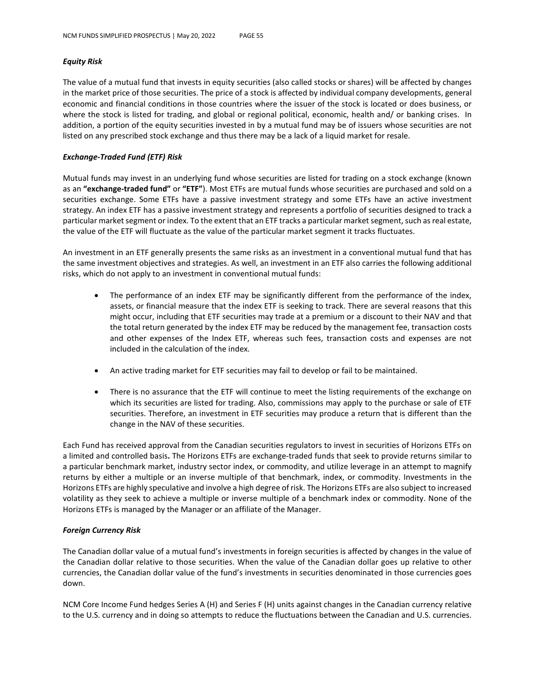### *Equity Risk*

The value of a mutual fund that invests in equity securities (also called stocks or shares) will be affected by changes in the market price of those securities. The price of a stock is affected by individual company developments, general economic and financial conditions in those countries where the issuer of the stock is located or does business, or where the stock is listed for trading, and global or regional political, economic, health and/ or banking crises. In addition, a portion of the equity securities invested in by a mutual fund may be of issuers whose securities are not listed on any prescribed stock exchange and thus there may be a lack of a liquid market for resale.

### *Exchange-Traded Fund (ETF) Risk*

Mutual funds may invest in an underlying fund whose securities are listed for trading on a stock exchange (known as an **"exchange-traded fund"** or **"ETF"**). Most ETFs are mutual funds whose securities are purchased and sold on a securities exchange. Some ETFs have a passive investment strategy and some ETFs have an active investment strategy. An index ETF has a passive investment strategy and represents a portfolio of securities designed to track a particular market segment or index. To the extent that an ETF tracks a particular market segment, such as real estate, the value of the ETF will fluctuate as the value of the particular market segment it tracks fluctuates.

An investment in an ETF generally presents the same risks as an investment in a conventional mutual fund that has the same investment objectives and strategies. As well, an investment in an ETF also carries the following additional risks, which do not apply to an investment in conventional mutual funds:

- The performance of an index ETF may be significantly different from the performance of the index, assets, or financial measure that the index ETF is seeking to track. There are several reasons that this might occur, including that ETF securities may trade at a premium or a discount to their NAV and that the total return generated by the index ETF may be reduced by the management fee, transaction costs and other expenses of the Index ETF, whereas such fees, transaction costs and expenses are not included in the calculation of the index.
- An active trading market for ETF securities may fail to develop or fail to be maintained.
- There is no assurance that the ETF will continue to meet the listing requirements of the exchange on which its securities are listed for trading. Also, commissions may apply to the purchase or sale of ETF securities. Therefore, an investment in ETF securities may produce a return that is different than the change in the NAV of these securities.

Each Fund has received approval from the Canadian securities regulators to invest in securities of Horizons ETFs on a limited and controlled basis**.** The Horizons ETFs are exchange-traded funds that seek to provide returns similar to a particular benchmark market, industry sector index, or commodity, and utilize leverage in an attempt to magnify returns by either a multiple or an inverse multiple of that benchmark, index, or commodity. Investments in the Horizons ETFs are highly speculative and involve a high degree of risk. The Horizons ETFs are also subject to increased volatility as they seek to achieve a multiple or inverse multiple of a benchmark index or commodity. None of the Horizons ETFs is managed by the Manager or an affiliate of the Manager.

### *Foreign Currency Risk*

The Canadian dollar value of a mutual fund's investments in foreign securities is affected by changes in the value of the Canadian dollar relative to those securities. When the value of the Canadian dollar goes up relative to other currencies, the Canadian dollar value of the fund's investments in securities denominated in those currencies goes down.

NCM Core Income Fund hedges Series A (H) and Series F (H) units against changes in the Canadian currency relative to the U.S. currency and in doing so attempts to reduce the fluctuations between the Canadian and U.S. currencies.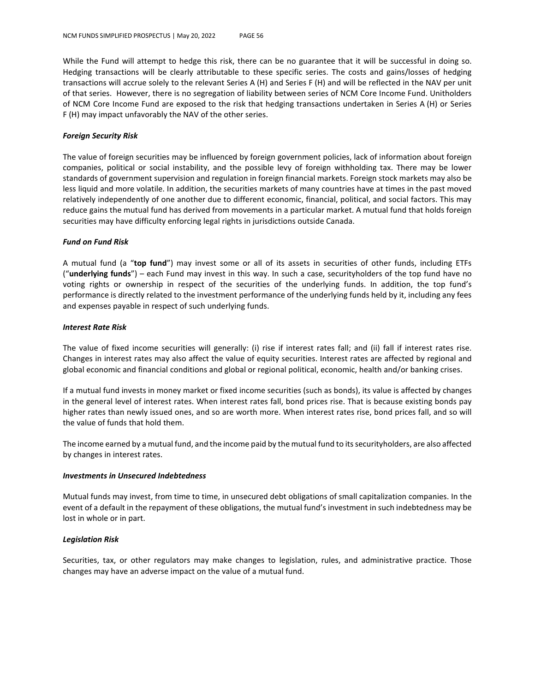While the Fund will attempt to hedge this risk, there can be no guarantee that it will be successful in doing so. Hedging transactions will be clearly attributable to these specific series. The costs and gains/losses of hedging transactions will accrue solely to the relevant Series A (H) and Series F (H) and will be reflected in the NAV per unit of that series. However, there is no segregation of liability between series of NCM Core Income Fund. Unitholders of NCM Core Income Fund are exposed to the risk that hedging transactions undertaken in Series A (H) or Series F (H) may impact unfavorably the NAV of the other series.

#### *Foreign Security Risk*

The value of foreign securities may be influenced by foreign government policies, lack of information about foreign companies, political or social instability, and the possible levy of foreign withholding tax. There may be lower standards of government supervision and regulation in foreign financial markets. Foreign stock markets may also be less liquid and more volatile. In addition, the securities markets of many countries have at times in the past moved relatively independently of one another due to different economic, financial, political, and social factors. This may reduce gains the mutual fund has derived from movements in a particular market. A mutual fund that holds foreign securities may have difficulty enforcing legal rights in jurisdictions outside Canada.

#### *Fund on Fund Risk*

A mutual fund (a "**top fund**") may invest some or all of its assets in securities of other funds, including ETFs ("**underlying funds**") – each Fund may invest in this way. In such a case, securityholders of the top fund have no voting rights or ownership in respect of the securities of the underlying funds. In addition, the top fund's performance is directly related to the investment performance of the underlying funds held by it, including any fees and expenses payable in respect of such underlying funds.

#### *Interest Rate Risk*

The value of fixed income securities will generally: (i) rise if interest rates fall; and (ii) fall if interest rates rise. Changes in interest rates may also affect the value of equity securities. Interest rates are affected by regional and global economic and financial conditions and global or regional political, economic, health and/or banking crises.

If a mutual fund invests in money market or fixed income securities (such as bonds), its value is affected by changes in the general level of interest rates. When interest rates fall, bond prices rise. That is because existing bonds pay higher rates than newly issued ones, and so are worth more. When interest rates rise, bond prices fall, and so will the value of funds that hold them.

The income earned by a mutual fund, and the income paid by the mutual fund to its securityholders, are also affected by changes in interest rates.

#### *Investments in Unsecured Indebtedness*

Mutual funds may invest, from time to time, in unsecured debt obligations of small capitalization companies. In the event of a default in the repayment of these obligations, the mutual fund's investment in such indebtedness may be lost in whole or in part.

### *Legislation Risk*

Securities, tax, or other regulators may make changes to legislation, rules, and administrative practice. Those changes may have an adverse impact on the value of a mutual fund.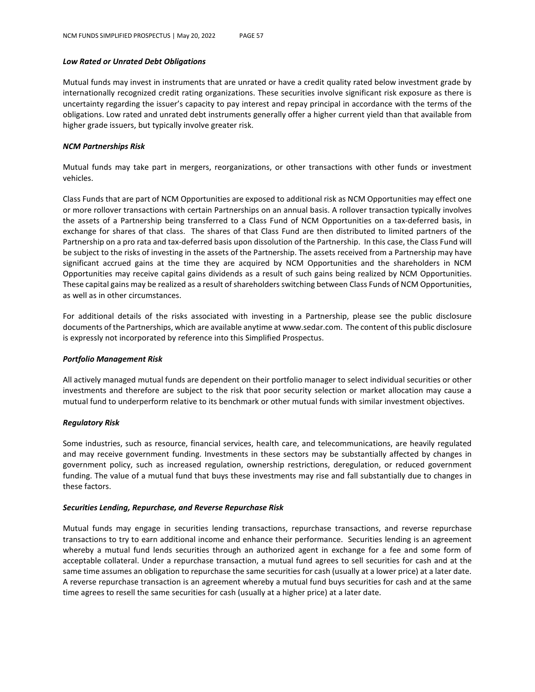#### *Low Rated or Unrated Debt Obligations*

Mutual funds may invest in instruments that are unrated or have a credit quality rated below investment grade by internationally recognized credit rating organizations. These securities involve significant risk exposure as there is uncertainty regarding the issuer's capacity to pay interest and repay principal in accordance with the terms of the obligations. Low rated and unrated debt instruments generally offer a higher current yield than that available from higher grade issuers, but typically involve greater risk.

### *NCM Partnerships Risk*

Mutual funds may take part in mergers, reorganizations, or other transactions with other funds or investment vehicles.

Class Funds that are part of NCM Opportunities are exposed to additional risk as NCM Opportunities may effect one or more rollover transactions with certain Partnerships on an annual basis. A rollover transaction typically involves the assets of a Partnership being transferred to a Class Fund of NCM Opportunities on a tax-deferred basis, in exchange for shares of that class. The shares of that Class Fund are then distributed to limited partners of the Partnership on a pro rata and tax-deferred basis upon dissolution of the Partnership. In this case, the Class Fund will be subject to the risks of investing in the assets of the Partnership. The assets received from a Partnership may have significant accrued gains at the time they are acquired by NCM Opportunities and the shareholders in NCM Opportunities may receive capital gains dividends as a result of such gains being realized by NCM Opportunities. These capital gains may be realized as a result of shareholders switching between Class Funds of NCM Opportunities, as well as in other circumstances.

For additional details of the risks associated with investing in a Partnership, please see the public disclosure documents of the Partnerships, which are available anytime at www.sedar.com. The content of this public disclosure is expressly not incorporated by reference into this Simplified Prospectus.

### *Portfolio Management Risk*

All actively managed mutual funds are dependent on their portfolio manager to select individual securities or other investments and therefore are subject to the risk that poor security selection or market allocation may cause a mutual fund to underperform relative to its benchmark or other mutual funds with similar investment objectives.

### *Regulatory Risk*

Some industries, such as resource, financial services, health care, and telecommunications, are heavily regulated and may receive government funding. Investments in these sectors may be substantially affected by changes in government policy, such as increased regulation, ownership restrictions, deregulation, or reduced government funding. The value of a mutual fund that buys these investments may rise and fall substantially due to changes in these factors.

### *Securities Lending, Repurchase, and Reverse Repurchase Risk*

Mutual funds may engage in securities lending transactions, repurchase transactions, and reverse repurchase transactions to try to earn additional income and enhance their performance. Securities lending is an agreement whereby a mutual fund lends securities through an authorized agent in exchange for a fee and some form of acceptable collateral. Under a repurchase transaction, a mutual fund agrees to sell securities for cash and at the same time assumes an obligation to repurchase the same securities for cash (usually at a lower price) at a later date. A reverse repurchase transaction is an agreement whereby a mutual fund buys securities for cash and at the same time agrees to resell the same securities for cash (usually at a higher price) at a later date.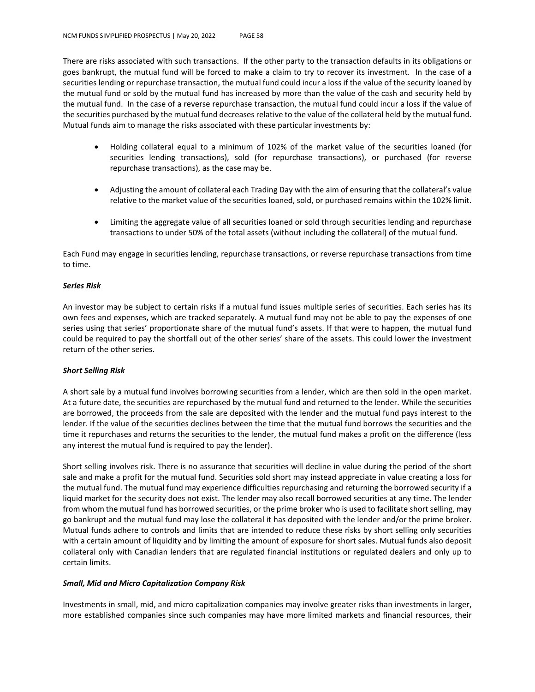There are risks associated with such transactions. If the other party to the transaction defaults in its obligations or goes bankrupt, the mutual fund will be forced to make a claim to try to recover its investment. In the case of a securities lending or repurchase transaction, the mutual fund could incur a loss if the value of the security loaned by the mutual fund or sold by the mutual fund has increased by more than the value of the cash and security held by the mutual fund. In the case of a reverse repurchase transaction, the mutual fund could incur a loss if the value of the securities purchased by the mutual fund decreases relative to the value of the collateral held by the mutual fund. Mutual funds aim to manage the risks associated with these particular investments by:

- Holding collateral equal to a minimum of 102% of the market value of the securities loaned (for securities lending transactions), sold (for repurchase transactions), or purchased (for reverse repurchase transactions), as the case may be.
- Adjusting the amount of collateral each Trading Day with the aim of ensuring that the collateral's value relative to the market value of the securities loaned, sold, or purchased remains within the 102% limit.
- Limiting the aggregate value of all securities loaned or sold through securities lending and repurchase transactions to under 50% of the total assets (without including the collateral) of the mutual fund.

Each Fund may engage in securities lending, repurchase transactions, or reverse repurchase transactions from time to time.

### *Series Risk*

An investor may be subject to certain risks if a mutual fund issues multiple series of securities. Each series has its own fees and expenses, which are tracked separately. A mutual fund may not be able to pay the expenses of one series using that series' proportionate share of the mutual fund's assets. If that were to happen, the mutual fund could be required to pay the shortfall out of the other series' share of the assets. This could lower the investment return of the other series.

### *Short Selling Risk*

A short sale by a mutual fund involves borrowing securities from a lender, which are then sold in the open market. At a future date, the securities are repurchased by the mutual fund and returned to the lender. While the securities are borrowed, the proceeds from the sale are deposited with the lender and the mutual fund pays interest to the lender. If the value of the securities declines between the time that the mutual fund borrows the securities and the time it repurchases and returns the securities to the lender, the mutual fund makes a profit on the difference (less any interest the mutual fund is required to pay the lender).

Short selling involves risk. There is no assurance that securities will decline in value during the period of the short sale and make a profit for the mutual fund. Securities sold short may instead appreciate in value creating a loss for the mutual fund. The mutual fund may experience difficulties repurchasing and returning the borrowed security if a liquid market for the security does not exist. The lender may also recall borrowed securities at any time. The lender from whom the mutual fund has borrowed securities, or the prime broker who is used to facilitate short selling, may go bankrupt and the mutual fund may lose the collateral it has deposited with the lender and/or the prime broker. Mutual funds adhere to controls and limits that are intended to reduce these risks by short selling only securities with a certain amount of liquidity and by limiting the amount of exposure for short sales. Mutual funds also deposit collateral only with Canadian lenders that are regulated financial institutions or regulated dealers and only up to certain limits.

### *Small, Mid and Micro Capitalization Company Risk*

Investments in small, mid, and micro capitalization companies may involve greater risks than investments in larger, more established companies since such companies may have more limited markets and financial resources, their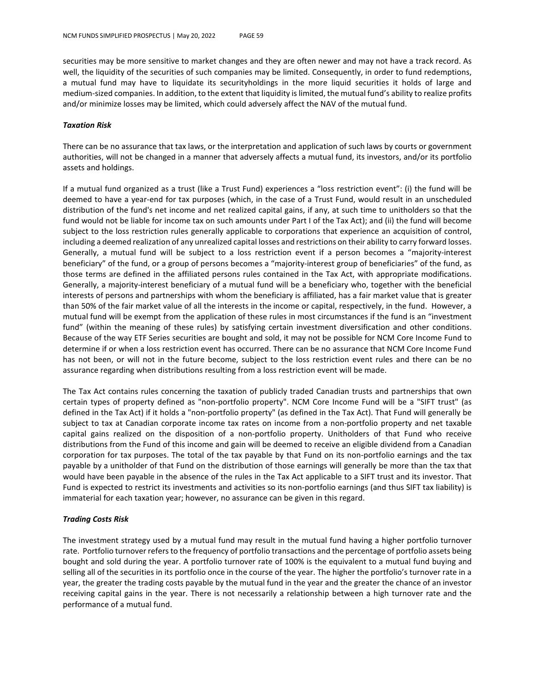securities may be more sensitive to market changes and they are often newer and may not have a track record. As well, the liquidity of the securities of such companies may be limited. Consequently, in order to fund redemptions, a mutual fund may have to liquidate its securityholdings in the more liquid securities it holds of large and medium-sized companies. In addition, to the extent that liquidity is limited, the mutual fund's ability to realize profits and/or minimize losses may be limited, which could adversely affect the NAV of the mutual fund.

### *Taxation Risk*

There can be no assurance that tax laws, or the interpretation and application of such laws by courts or government authorities, will not be changed in a manner that adversely affects a mutual fund, its investors, and/or its portfolio assets and holdings.

If a mutual fund organized as a trust (like a Trust Fund) experiences a "loss restriction event": (i) the fund will be deemed to have a year-end for tax purposes (which, in the case of a Trust Fund, would result in an unscheduled distribution of the fund's net income and net realized capital gains, if any, at such time to unitholders so that the fund would not be liable for income tax on such amounts under Part I of the Tax Act); and (ii) the fund will become subject to the loss restriction rules generally applicable to corporations that experience an acquisition of control, including a deemed realization of any unrealized capital losses and restrictions on their ability to carry forward losses. Generally, a mutual fund will be subject to a loss restriction event if a person becomes a "majority-interest beneficiary" of the fund, or a group of persons becomes a "majority-interest group of beneficiaries" of the fund, as those terms are defined in the affiliated persons rules contained in the Tax Act, with appropriate modifications. Generally, a majority-interest beneficiary of a mutual fund will be a beneficiary who, together with the beneficial interests of persons and partnerships with whom the beneficiary is affiliated, has a fair market value that is greater than 50% of the fair market value of all the interests in the income or capital, respectively, in the fund. However, a mutual fund will be exempt from the application of these rules in most circumstances if the fund is an "investment fund" (within the meaning of these rules) by satisfying certain investment diversification and other conditions. Because of the way ETF Series securities are bought and sold, it may not be possible for NCM Core Income Fund to determine if or when a loss restriction event has occurred. There can be no assurance that NCM Core Income Fund has not been, or will not in the future become, subject to the loss restriction event rules and there can be no assurance regarding when distributions resulting from a loss restriction event will be made.

The Tax Act contains rules concerning the taxation of publicly traded Canadian trusts and partnerships that own certain types of property defined as "non-portfolio property". NCM Core Income Fund will be a "SIFT trust" (as defined in the Tax Act) if it holds a "non-portfolio property" (as defined in the Tax Act). That Fund will generally be subject to tax at Canadian corporate income tax rates on income from a non-portfolio property and net taxable capital gains realized on the disposition of a non-portfolio property. Unitholders of that Fund who receive distributions from the Fund of this income and gain will be deemed to receive an eligible dividend from a Canadian corporation for tax purposes. The total of the tax payable by that Fund on its non-portfolio earnings and the tax payable by a unitholder of that Fund on the distribution of those earnings will generally be more than the tax that would have been payable in the absence of the rules in the Tax Act applicable to a SIFT trust and its investor. That Fund is expected to restrict its investments and activities so its non-portfolio earnings (and thus SIFT tax liability) is immaterial for each taxation year; however, no assurance can be given in this regard.

### *Trading Costs Risk*

The investment strategy used by a mutual fund may result in the mutual fund having a higher portfolio turnover rate. Portfolio turnover refers to the frequency of portfolio transactions and the percentage of portfolio assets being bought and sold during the year. A portfolio turnover rate of 100% is the equivalent to a mutual fund buying and selling all of the securities in its portfolio once in the course of the year. The higher the portfolio's turnover rate in a year, the greater the trading costs payable by the mutual fund in the year and the greater the chance of an investor receiving capital gains in the year. There is not necessarily a relationship between a high turnover rate and the performance of a mutual fund.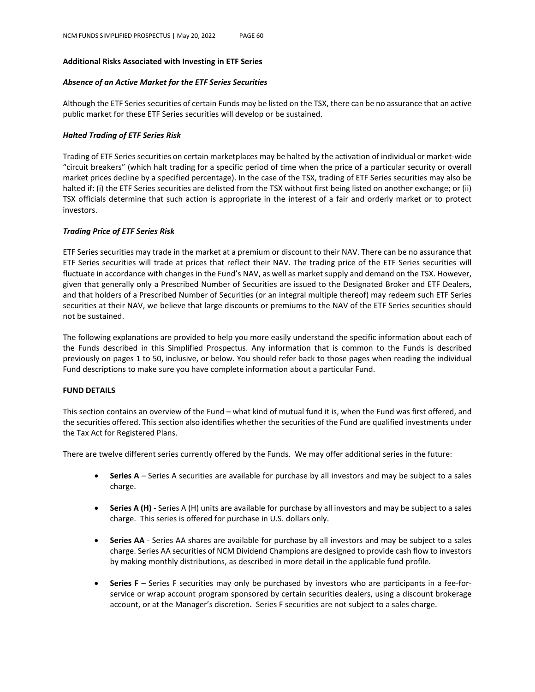### **Additional Risks Associated with Investing in ETF Series**

### *Absence of an Active Market for the ETF Series Securities*

Although the ETF Series securities of certain Funds may be listed on the TSX, there can be no assurance that an active public market for these ETF Series securities will develop or be sustained.

### *Halted Trading of ETF Series Risk*

Trading of ETF Series securities on certain marketplaces may be halted by the activation of individual or market-wide "circuit breakers" (which halt trading for a specific period of time when the price of a particular security or overall market prices decline by a specified percentage). In the case of the TSX, trading of ETF Series securities may also be halted if: (i) the ETF Series securities are delisted from the TSX without first being listed on another exchange; or (ii) TSX officials determine that such action is appropriate in the interest of a fair and orderly market or to protect investors.

### *Trading Price of ETF Series Risk*

ETF Series securities may trade in the market at a premium or discount to their NAV. There can be no assurance that ETF Series securities will trade at prices that reflect their NAV. The trading price of the ETF Series securities will fluctuate in accordance with changes in the Fund's NAV, as well as market supply and demand on the TSX. However, given that generally only a Prescribed Number of Securities are issued to the Designated Broker and ETF Dealers, and that holders of a Prescribed Number of Securities (or an integral multiple thereof) may redeem such ETF Series securities at their NAV, we believe that large discounts or premiums to the NAV of the ETF Series securities should not be sustained.

The following explanations are provided to help you more easily understand the specific information about each of the Funds described in this Simplified Prospectus. Any information that is common to the Funds is described previously on pages 1 to 50, inclusive, or below. You should refer back to those pages when reading the individual Fund descriptions to make sure you have complete information about a particular Fund.

### **FUND DETAILS**

This section contains an overview of the Fund – what kind of mutual fund it is, when the Fund was first offered, and the securities offered. This section also identifies whether the securities of the Fund are qualified investments under the Tax Act for Registered Plans.

There are twelve different series currently offered by the Funds. We may offer additional series in the future:

- **Series A** Series A securities are available for purchase by all investors and may be subject to a sales charge.
- **Series A (H)** Series A (H) units are available for purchase by all investors and may be subject to a sales charge. This series is offered for purchase in U.S. dollars only.
- **Series AA** Series AA shares are available for purchase by all investors and may be subject to a sales charge. Series AA securities of NCM Dividend Champions are designed to provide cash flow to investors by making monthly distributions, as described in more detail in the applicable fund profile.
- **Series F** Series F securities may only be purchased by investors who are participants in a fee-forservice or wrap account program sponsored by certain securities dealers, using a discount brokerage account, or at the Manager's discretion. Series F securities are not subject to a sales charge.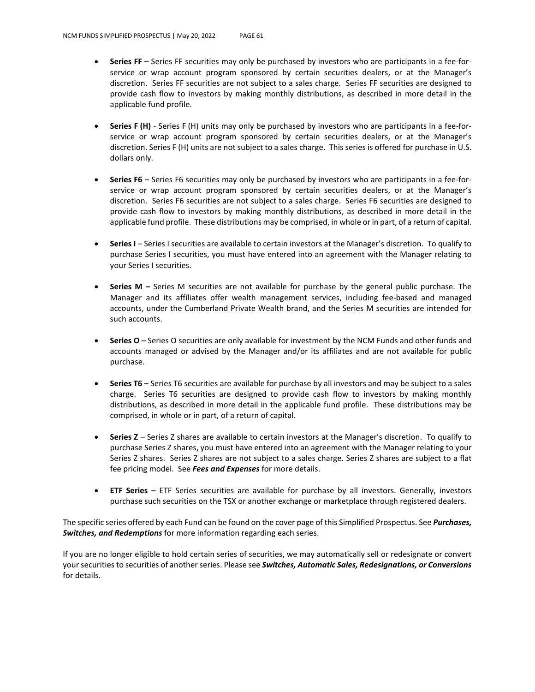- **Series FF** Series FF securities may only be purchased by investors who are participants in a fee-forservice or wrap account program sponsored by certain securities dealers, or at the Manager's discretion. Series FF securities are not subject to a sales charge. Series FF securities are designed to provide cash flow to investors by making monthly distributions, as described in more detail in the applicable fund profile.
- **Series F (H)** Series F (H) units may only be purchased by investors who are participants in a fee-forservice or wrap account program sponsored by certain securities dealers, or at the Manager's discretion. Series F (H) units are not subject to a sales charge. This series is offered for purchase in U.S. dollars only.
- **Series F6** Series F6 securities may only be purchased by investors who are participants in a fee-forservice or wrap account program sponsored by certain securities dealers, or at the Manager's discretion. Series F6 securities are not subject to a sales charge. Series F6 securities are designed to provide cash flow to investors by making monthly distributions, as described in more detail in the applicable fund profile. These distributions may be comprised, in whole or in part, of a return of capital.
- **Series I** Series I securities are available to certain investors at the Manager's discretion. To qualify to purchase Series I securities, you must have entered into an agreement with the Manager relating to your Series I securities.
- **Series M –** Series M securities are not available for purchase by the general public purchase. The Manager and its affiliates offer wealth management services, including fee-based and managed accounts, under the Cumberland Private Wealth brand, and the Series M securities are intended for such accounts.
- **Series O** Series O securities are only available for investment by the NCM Funds and other funds and accounts managed or advised by the Manager and/or its affiliates and are not available for public purchase.
- **Series T6** Series T6 securities are available for purchase by all investors and may be subject to a sales charge. Series T6 securities are designed to provide cash flow to investors by making monthly distributions, as described in more detail in the applicable fund profile. These distributions may be comprised, in whole or in part, of a return of capital.
- **Series Z** Series Z shares are available to certain investors at the Manager's discretion. To qualify to purchase Series Z shares, you must have entered into an agreement with the Manager relating to your Series Z shares. Series Z shares are not subject to a sales charge. Series Z shares are subject to a flat fee pricing model. See *Fees and Expenses* for more details.
- **ETF Series** ETF Series securities are available for purchase by all investors. Generally, investors purchase such securities on the TSX or another exchange or marketplace through registered dealers.

The specific series offered by each Fund can be found on the cover page of this Simplified Prospectus. See *Purchases, Switches, and Redemptions* for more information regarding each series.

If you are no longer eligible to hold certain series of securities, we may automatically sell or redesignate or convert your securities to securities of another series. Please see *Switches, Automatic Sales, Redesignations, or Conversions* for details.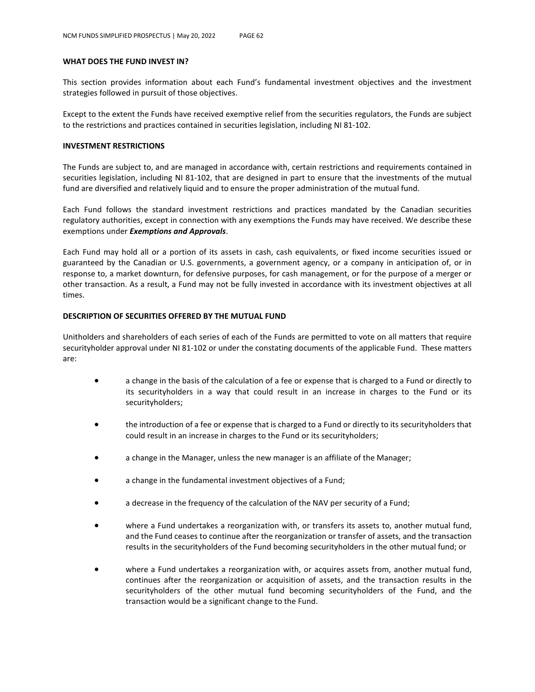#### **WHAT DOES THE FUND INVEST IN?**

This section provides information about each Fund's fundamental investment objectives and the investment strategies followed in pursuit of those objectives.

Except to the extent the Funds have received exemptive relief from the securities regulators, the Funds are subject to the restrictions and practices contained in securities legislation, including NI 81-102.

#### **INVESTMENT RESTRICTIONS**

The Funds are subject to, and are managed in accordance with, certain restrictions and requirements contained in securities legislation, including NI 81-102, that are designed in part to ensure that the investments of the mutual fund are diversified and relatively liquid and to ensure the proper administration of the mutual fund.

Each Fund follows the standard investment restrictions and practices mandated by the Canadian securities regulatory authorities, except in connection with any exemptions the Funds may have received. We describe these exemptions under *Exemptions and Approvals*.

Each Fund may hold all or a portion of its assets in cash, cash equivalents, or fixed income securities issued or guaranteed by the Canadian or U.S. governments, a government agency, or a company in anticipation of, or in response to, a market downturn, for defensive purposes, for cash management, or for the purpose of a merger or other transaction. As a result, a Fund may not be fully invested in accordance with its investment objectives at all times.

### **DESCRIPTION OF SECURITIES OFFERED BY THE MUTUAL FUND**

Unitholders and shareholders of each series of each of the Funds are permitted to vote on all matters that require securityholder approval under NI 81-102 or under the constating documents of the applicable Fund. These matters are:

- a change in the basis of the calculation of a fee or expense that is charged to a Fund or directly to its securityholders in a way that could result in an increase in charges to the Fund or its securityholders;
- the introduction of a fee or expense that is charged to a Fund or directly to its securityholders that could result in an increase in charges to the Fund or its securityholders;
- a change in the Manager, unless the new manager is an affiliate of the Manager;
- a change in the fundamental investment objectives of a Fund;
- a decrease in the frequency of the calculation of the NAV per security of a Fund;
- where a Fund undertakes a reorganization with, or transfers its assets to, another mutual fund, and the Fund ceases to continue after the reorganization or transfer of assets, and the transaction results in the securityholders of the Fund becoming securityholders in the other mutual fund; or
- where a Fund undertakes a reorganization with, or acquires assets from, another mutual fund, continues after the reorganization or acquisition of assets, and the transaction results in the securityholders of the other mutual fund becoming securityholders of the Fund, and the transaction would be a significant change to the Fund.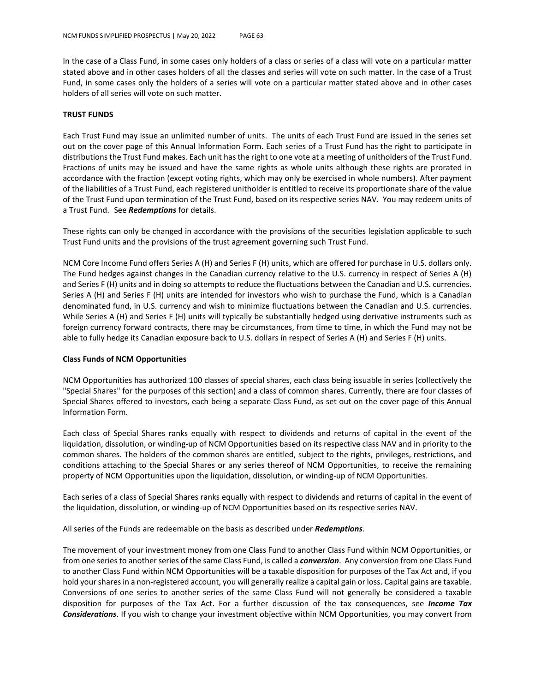In the case of a Class Fund, in some cases only holders of a class or series of a class will vote on a particular matter stated above and in other cases holders of all the classes and series will vote on such matter. In the case of a Trust Fund, in some cases only the holders of a series will vote on a particular matter stated above and in other cases holders of all series will vote on such matter.

#### **TRUST FUNDS**

Each Trust Fund may issue an unlimited number of units. The units of each Trust Fund are issued in the series set out on the cover page of this Annual Information Form. Each series of a Trust Fund has the right to participate in distributions the Trust Fund makes. Each unit has the right to one vote at a meeting of unitholders of the Trust Fund. Fractions of units may be issued and have the same rights as whole units although these rights are prorated in accordance with the fraction (except voting rights, which may only be exercised in whole numbers). After payment of the liabilities of a Trust Fund, each registered unitholder is entitled to receive its proportionate share of the value of the Trust Fund upon termination of the Trust Fund, based on its respective series NAV. You may redeem units of a Trust Fund. See *Redemptions* for details.

These rights can only be changed in accordance with the provisions of the securities legislation applicable to such Trust Fund units and the provisions of the trust agreement governing such Trust Fund.

NCM Core Income Fund offers Series A (H) and Series F (H) units, which are offered for purchase in U.S. dollars only. The Fund hedges against changes in the Canadian currency relative to the U.S. currency in respect of Series A (H) and Series F (H) units and in doing so attempts to reduce the fluctuations between the Canadian and U.S. currencies. Series A (H) and Series F (H) units are intended for investors who wish to purchase the Fund, which is a Canadian denominated fund, in U.S. currency and wish to minimize fluctuations between the Canadian and U.S. currencies. While Series A (H) and Series F (H) units will typically be substantially hedged using derivative instruments such as foreign currency forward contracts, there may be circumstances, from time to time, in which the Fund may not be able to fully hedge its Canadian exposure back to U.S. dollars in respect of Series A (H) and Series F (H) units.

### **Class Funds of NCM Opportunities**

NCM Opportunities has authorized 100 classes of special shares, each class being issuable in series (collectively the "Special Shares" for the purposes of this section) and a class of common shares. Currently, there are four classes of Special Shares offered to investors, each being a separate Class Fund, as set out on the cover page of this Annual Information Form.

Each class of Special Shares ranks equally with respect to dividends and returns of capital in the event of the liquidation, dissolution, or winding-up of NCM Opportunities based on its respective class NAV and in priority to the common shares. The holders of the common shares are entitled, subject to the rights, privileges, restrictions, and conditions attaching to the Special Shares or any series thereof of NCM Opportunities, to receive the remaining property of NCM Opportunities upon the liquidation, dissolution, or winding-up of NCM Opportunities.

Each series of a class of Special Shares ranks equally with respect to dividends and returns of capital in the event of the liquidation, dissolution, or winding-up of NCM Opportunities based on its respective series NAV.

All series of the Funds are redeemable on the basis as described under *Redemptions*.

The movement of your investment money from one Class Fund to another Class Fund within NCM Opportunities, or from one series to another series of the same Class Fund, is called a *conversion*. Any conversion from one Class Fund to another Class Fund within NCM Opportunities will be a taxable disposition for purposes of the Tax Act and, if you hold your shares in a non-registered account, you will generally realize a capital gain or loss. Capital gains are taxable. Conversions of one series to another series of the same Class Fund will not generally be considered a taxable disposition for purposes of the Tax Act. For a further discussion of the tax consequences, see *Income Tax Considerations*. If you wish to change your investment objective within NCM Opportunities, you may convert from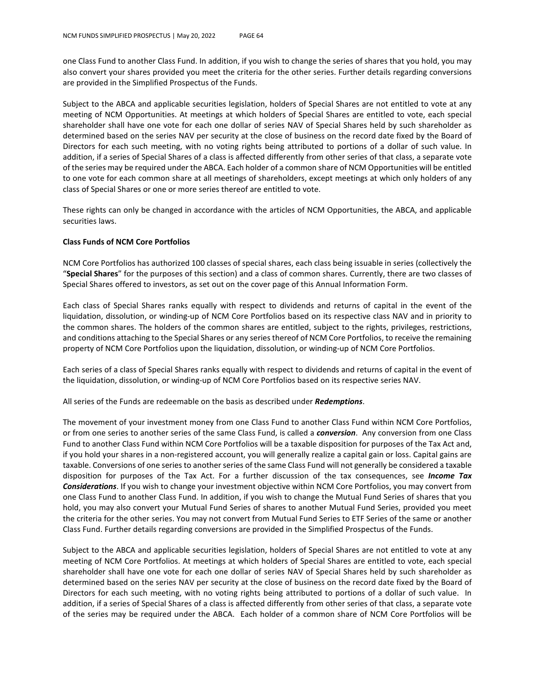one Class Fund to another Class Fund. In addition, if you wish to change the series of shares that you hold, you may also convert your shares provided you meet the criteria for the other series. Further details regarding conversions are provided in the Simplified Prospectus of the Funds.

Subject to the ABCA and applicable securities legislation, holders of Special Shares are not entitled to vote at any meeting of NCM Opportunities. At meetings at which holders of Special Shares are entitled to vote, each special shareholder shall have one vote for each one dollar of series NAV of Special Shares held by such shareholder as determined based on the series NAV per security at the close of business on the record date fixed by the Board of Directors for each such meeting, with no voting rights being attributed to portions of a dollar of such value. In addition, if a series of Special Shares of a class is affected differently from other series of that class, a separate vote of the series may be required under the ABCA. Each holder of a common share of NCM Opportunities will be entitled to one vote for each common share at all meetings of shareholders, except meetings at which only holders of any class of Special Shares or one or more series thereof are entitled to vote.

These rights can only be changed in accordance with the articles of NCM Opportunities, the ABCA, and applicable securities laws.

### **Class Funds of NCM Core Portfolios**

NCM Core Portfolios has authorized 100 classes of special shares, each class being issuable in series (collectively the "**Special Shares**" for the purposes of this section) and a class of common shares. Currently, there are two classes of Special Shares offered to investors, as set out on the cover page of this Annual Information Form.

Each class of Special Shares ranks equally with respect to dividends and returns of capital in the event of the liquidation, dissolution, or winding-up of NCM Core Portfolios based on its respective class NAV and in priority to the common shares. The holders of the common shares are entitled, subject to the rights, privileges, restrictions, and conditions attaching to the Special Shares or any series thereof of NCM Core Portfolios, to receive the remaining property of NCM Core Portfolios upon the liquidation, dissolution, or winding-up of NCM Core Portfolios.

Each series of a class of Special Shares ranks equally with respect to dividends and returns of capital in the event of the liquidation, dissolution, or winding-up of NCM Core Portfolios based on its respective series NAV.

All series of the Funds are redeemable on the basis as described under *Redemptions*.

The movement of your investment money from one Class Fund to another Class Fund within NCM Core Portfolios, or from one series to another series of the same Class Fund, is called a *conversion*. Any conversion from one Class Fund to another Class Fund within NCM Core Portfolios will be a taxable disposition for purposes of the Tax Act and, if you hold your shares in a non-registered account, you will generally realize a capital gain or loss. Capital gains are taxable. Conversions of one series to another series of the same Class Fund will not generally be considered a taxable disposition for purposes of the Tax Act. For a further discussion of the tax consequences, see *Income Tax Considerations*. If you wish to change your investment objective within NCM Core Portfolios, you may convert from one Class Fund to another Class Fund. In addition, if you wish to change the Mutual Fund Series of shares that you hold, you may also convert your Mutual Fund Series of shares to another Mutual Fund Series, provided you meet the criteria for the other series. You may not convert from Mutual Fund Series to ETF Series of the same or another Class Fund. Further details regarding conversions are provided in the Simplified Prospectus of the Funds.

Subject to the ABCA and applicable securities legislation, holders of Special Shares are not entitled to vote at any meeting of NCM Core Portfolios. At meetings at which holders of Special Shares are entitled to vote, each special shareholder shall have one vote for each one dollar of series NAV of Special Shares held by such shareholder as determined based on the series NAV per security at the close of business on the record date fixed by the Board of Directors for each such meeting, with no voting rights being attributed to portions of a dollar of such value. In addition, if a series of Special Shares of a class is affected differently from other series of that class, a separate vote of the series may be required under the ABCA. Each holder of a common share of NCM Core Portfolios will be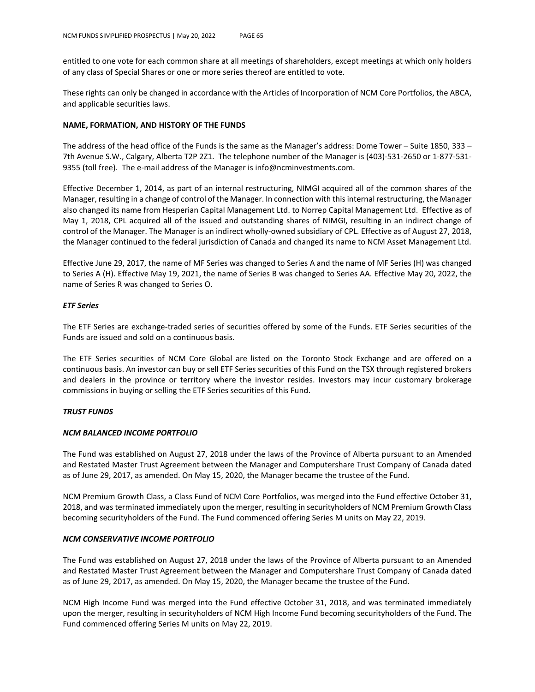entitled to one vote for each common share at all meetings of shareholders, except meetings at which only holders of any class of Special Shares or one or more series thereof are entitled to vote.

These rights can only be changed in accordance with the Articles of Incorporation of NCM Core Portfolios, the ABCA, and applicable securities laws.

#### **NAME, FORMATION, AND HISTORY OF THE FUNDS**

The address of the head office of the Funds is the same as the Manager's address: Dome Tower – Suite 1850, 333 – 7th Avenue S.W., Calgary, Alberta T2P 2Z1. The telephone number of the Manager is (403)-531-2650 or 1-877-531- 9355 (toll free). The e-mail address of the Manager is info@ncminvestments.com.

Effective December 1, 2014, as part of an internal restructuring, NIMGI acquired all of the common shares of the Manager, resulting in a change of control of the Manager. In connection with this internal restructuring, the Manager also changed its name from Hesperian Capital Management Ltd. to Norrep Capital Management Ltd. Effective as of May 1, 2018, CPL acquired all of the issued and outstanding shares of NIMGI, resulting in an indirect change of control of the Manager. The Manager is an indirect wholly-owned subsidiary of CPL. Effective as of August 27, 2018, the Manager continued to the federal jurisdiction of Canada and changed its name to NCM Asset Management Ltd.

Effective June 29, 2017, the name of MF Series was changed to Series A and the name of MF Series (H) was changed to Series A (H). Effective May 19, 2021, the name of Series B was changed to Series AA. Effective May 20, 2022, the name of Series R was changed to Series O.

#### *ETF Series*

The ETF Series are exchange-traded series of securities offered by some of the Funds. ETF Series securities of the Funds are issued and sold on a continuous basis.

The ETF Series securities of NCM Core Global are listed on the Toronto Stock Exchange and are offered on a continuous basis. An investor can buy or sell ETF Series securities of this Fund on the TSX through registered brokers and dealers in the province or territory where the investor resides. Investors may incur customary brokerage commissions in buying or selling the ETF Series securities of this Fund.

### *TRUST FUNDS*

#### *NCM BALANCED INCOME PORTFOLIO*

The Fund was established on August 27, 2018 under the laws of the Province of Alberta pursuant to an Amended and Restated Master Trust Agreement between the Manager and Computershare Trust Company of Canada dated as of June 29, 2017, as amended. On May 15, 2020, the Manager became the trustee of the Fund.

NCM Premium Growth Class, a Class Fund of NCM Core Portfolios, was merged into the Fund effective October 31, 2018, and was terminated immediately upon the merger, resulting in securityholders of NCM Premium Growth Class becoming securityholders of the Fund. The Fund commenced offering Series M units on May 22, 2019.

### *NCM CONSERVATIVE INCOME PORTFOLIO*

The Fund was established on August 27, 2018 under the laws of the Province of Alberta pursuant to an Amended and Restated Master Trust Agreement between the Manager and Computershare Trust Company of Canada dated as of June 29, 2017, as amended. On May 15, 2020, the Manager became the trustee of the Fund.

NCM High Income Fund was merged into the Fund effective October 31, 2018, and was terminated immediately upon the merger, resulting in securityholders of NCM High Income Fund becoming securityholders of the Fund. The Fund commenced offering Series M units on May 22, 2019.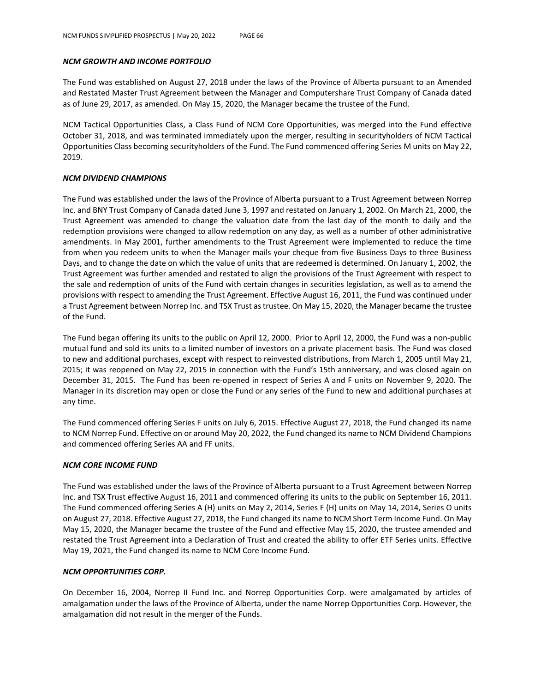### *NCM GROWTH AND INCOME PORTFOLIO*

The Fund was established on August 27, 2018 under the laws of the Province of Alberta pursuant to an Amended and Restated Master Trust Agreement between the Manager and Computershare Trust Company of Canada dated as of June 29, 2017, as amended. On May 15, 2020, the Manager became the trustee of the Fund.

NCM Tactical Opportunities Class, a Class Fund of NCM Core Opportunities, was merged into the Fund effective October 31, 2018, and was terminated immediately upon the merger, resulting in securityholders of NCM Tactical Opportunities Class becoming securityholders of the Fund. The Fund commenced offering Series M units on May 22, 2019.

### *NCM DIVIDEND CHAMPIONS*

The Fund was established under the laws of the Province of Alberta pursuant to a Trust Agreement between Norrep Inc. and BNY Trust Company of Canada dated June 3, 1997 and restated on January 1, 2002. On March 21, 2000, the Trust Agreement was amended to change the valuation date from the last day of the month to daily and the redemption provisions were changed to allow redemption on any day, as well as a number of other administrative amendments. In May 2001, further amendments to the Trust Agreement were implemented to reduce the time from when you redeem units to when the Manager mails your cheque from five Business Days to three Business Days, and to change the date on which the value of units that are redeemed is determined. On January 1, 2002, the Trust Agreement was further amended and restated to align the provisions of the Trust Agreement with respect to the sale and redemption of units of the Fund with certain changes in securities legislation, as well as to amend the provisions with respect to amending the Trust Agreement. Effective August 16, 2011, the Fund was continued under a Trust Agreement between Norrep Inc. and TSX Trust as trustee. On May 15, 2020, the Manager became the trustee of the Fund.

The Fund began offering its units to the public on April 12, 2000. Prior to April 12, 2000, the Fund was a non-public mutual fund and sold its units to a limited number of investors on a private placement basis. The Fund was closed to new and additional purchases, except with respect to reinvested distributions, from March 1, 2005 until May 21, 2015; it was reopened on May 22, 2015 in connection with the Fund's 15th anniversary, and was closed again on December 31, 2015. The Fund has been re-opened in respect of Series A and F units on November 9, 2020. The Manager in its discretion may open or close the Fund or any series of the Fund to new and additional purchases at any time.

The Fund commenced offering Series F units on July 6, 2015. Effective August 27, 2018, the Fund changed its name to NCM Norrep Fund. Effective on or around May 20, 2022, the Fund changed its name to NCM Dividend Champions and commenced offering Series AA and FF units.

### *NCM CORE INCOME FUND*

The Fund was established under the laws of the Province of Alberta pursuant to a Trust Agreement between Norrep Inc. and TSX Trust effective August 16, 2011 and commenced offering its units to the public on September 16, 2011. The Fund commenced offering Series A (H) units on May 2, 2014, Series F (H) units on May 14, 2014, Series O units on August 27, 2018. Effective August 27, 2018, the Fund changed its name to NCM Short Term Income Fund. On May May 15, 2020, the Manager became the trustee of the Fund and effective May 15, 2020, the trustee amended and restated the Trust Agreement into a Declaration of Trust and created the ability to offer ETF Series units. Effective May 19, 2021, the Fund changed its name to NCM Core Income Fund.

### *NCM OPPORTUNITIES CORP.*

On December 16, 2004, Norrep II Fund Inc. and Norrep Opportunities Corp. were amalgamated by articles of amalgamation under the laws of the Province of Alberta, under the name Norrep Opportunities Corp. However, the amalgamation did not result in the merger of the Funds.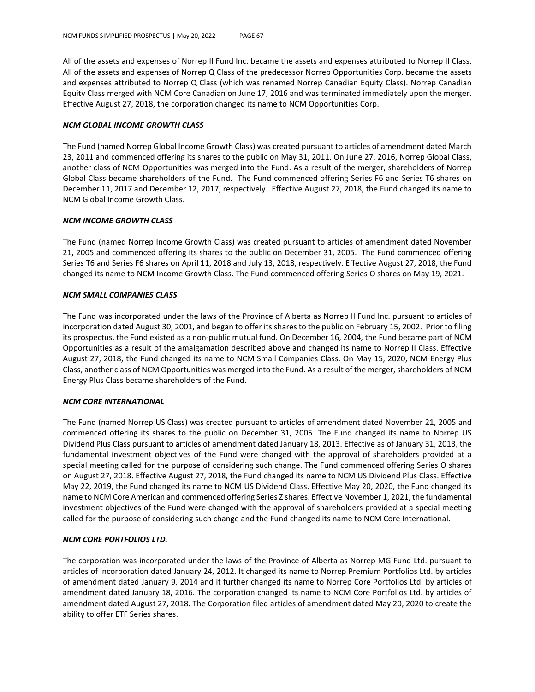All of the assets and expenses of Norrep II Fund Inc. became the assets and expenses attributed to Norrep II Class. All of the assets and expenses of Norrep Q Class of the predecessor Norrep Opportunities Corp. became the assets and expenses attributed to Norrep Q Class (which was renamed Norrep Canadian Equity Class). Norrep Canadian Equity Class merged with NCM Core Canadian on June 17, 2016 and was terminated immediately upon the merger. Effective August 27, 2018, the corporation changed its name to NCM Opportunities Corp.

### *NCM GLOBAL INCOME GROWTH CLASS*

The Fund (named Norrep Global Income Growth Class) was created pursuant to articles of amendment dated March 23, 2011 and commenced offering its shares to the public on May 31, 2011. On June 27, 2016, Norrep Global Class, another class of NCM Opportunities was merged into the Fund. As a result of the merger, shareholders of Norrep Global Class became shareholders of the Fund. The Fund commenced offering Series F6 and Series T6 shares on December 11, 2017 and December 12, 2017, respectively. Effective August 27, 2018, the Fund changed its name to NCM Global Income Growth Class.

### *NCM INCOME GROWTH CLASS*

The Fund (named Norrep Income Growth Class) was created pursuant to articles of amendment dated November 21, 2005 and commenced offering its shares to the public on December 31, 2005. The Fund commenced offering Series T6 and Series F6 shares on April 11, 2018 and July 13, 2018, respectively. Effective August 27, 2018, the Fund changed its name to NCM Income Growth Class. The Fund commenced offering Series O shares on May 19, 2021.

### *NCM SMALL COMPANIES CLASS*

The Fund was incorporated under the laws of the Province of Alberta as Norrep II Fund Inc. pursuant to articles of incorporation dated August 30, 2001, and began to offer its shares to the public on February 15, 2002. Prior to filing its prospectus, the Fund existed as a non-public mutual fund. On December 16, 2004, the Fund became part of NCM Opportunities as a result of the amalgamation described above and changed its name to Norrep II Class. Effective August 27, 2018, the Fund changed its name to NCM Small Companies Class. On May 15, 2020, NCM Energy Plus Class, another class of NCM Opportunities was merged into the Fund. As a result of the merger, shareholders of NCM Energy Plus Class became shareholders of the Fund.

### *NCM CORE INTERNATIONAL*

The Fund (named Norrep US Class) was created pursuant to articles of amendment dated November 21, 2005 and commenced offering its shares to the public on December 31, 2005. The Fund changed its name to Norrep US Dividend Plus Class pursuant to articles of amendment dated January 18, 2013. Effective as of January 31, 2013, the fundamental investment objectives of the Fund were changed with the approval of shareholders provided at a special meeting called for the purpose of considering such change. The Fund commenced offering Series O shares on August 27, 2018. Effective August 27, 2018, the Fund changed its name to NCM US Dividend Plus Class. Effective May 22, 2019, the Fund changed its name to NCM US Dividend Class. Effective May 20, 2020, the Fund changed its name to NCM Core American and commenced offering Series Z shares. Effective November 1, 2021, the fundamental investment objectives of the Fund were changed with the approval of shareholders provided at a special meeting called for the purpose of considering such change and the Fund changed its name to NCM Core International.

### *NCM CORE PORTFOLIOS LTD.*

The corporation was incorporated under the laws of the Province of Alberta as Norrep MG Fund Ltd. pursuant to articles of incorporation dated January 24, 2012. It changed its name to Norrep Premium Portfolios Ltd. by articles of amendment dated January 9, 2014 and it further changed its name to Norrep Core Portfolios Ltd. by articles of amendment dated January 18, 2016. The corporation changed its name to NCM Core Portfolios Ltd. by articles of amendment dated August 27, 2018. The Corporation filed articles of amendment dated May 20, 2020 to create the ability to offer ETF Series shares.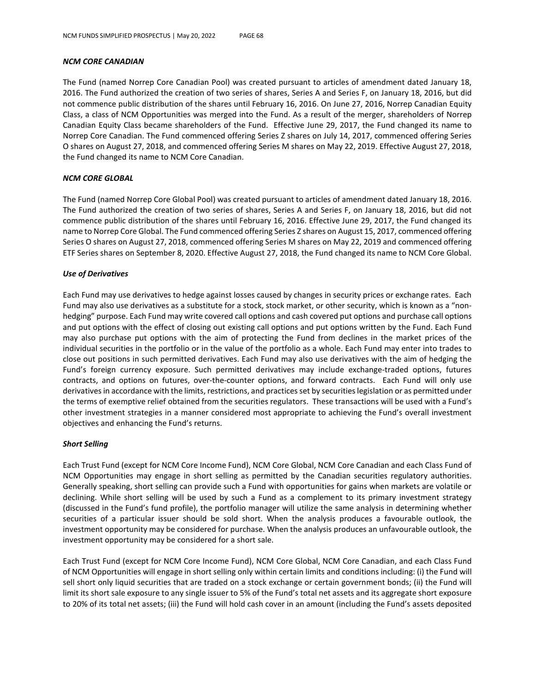### *NCM CORE CANADIAN*

The Fund (named Norrep Core Canadian Pool) was created pursuant to articles of amendment dated January 18, 2016. The Fund authorized the creation of two series of shares, Series A and Series F, on January 18, 2016, but did not commence public distribution of the shares until February 16, 2016. On June 27, 2016, Norrep Canadian Equity Class, a class of NCM Opportunities was merged into the Fund. As a result of the merger, shareholders of Norrep Canadian Equity Class became shareholders of the Fund. Effective June 29, 2017, the Fund changed its name to Norrep Core Canadian. The Fund commenced offering Series Z shares on July 14, 2017, commenced offering Series O shares on August 27, 2018, and commenced offering Series M shares on May 22, 2019. Effective August 27, 2018, the Fund changed its name to NCM Core Canadian.

### *NCM CORE GLOBAL*

The Fund (named Norrep Core Global Pool) was created pursuant to articles of amendment dated January 18, 2016. The Fund authorized the creation of two series of shares, Series A and Series F, on January 18, 2016, but did not commence public distribution of the shares until February 16, 2016. Effective June 29, 2017, the Fund changed its name to Norrep Core Global. The Fund commenced offering Series Z shares on August 15, 2017, commenced offering Series O shares on August 27, 2018, commenced offering Series M shares on May 22, 2019 and commenced offering ETF Series shares on September 8, 2020. Effective August 27, 2018, the Fund changed its name to NCM Core Global.

### *Use of Derivatives*

Each Fund may use derivatives to hedge against losses caused by changes in security prices or exchange rates. Each Fund may also use derivatives as a substitute for a stock, stock market, or other security, which is known as a "nonhedging" purpose. Each Fund may write covered call options and cash covered put options and purchase call options and put options with the effect of closing out existing call options and put options written by the Fund. Each Fund may also purchase put options with the aim of protecting the Fund from declines in the market prices of the individual securities in the portfolio or in the value of the portfolio as a whole. Each Fund may enter into trades to close out positions in such permitted derivatives. Each Fund may also use derivatives with the aim of hedging the Fund's foreign currency exposure. Such permitted derivatives may include exchange-traded options, futures contracts, and options on futures, over-the-counter options, and forward contracts. Each Fund will only use derivatives in accordance with the limits, restrictions, and practices set by securities legislation or as permitted under the terms of exemptive relief obtained from the securities regulators. These transactions will be used with a Fund's other investment strategies in a manner considered most appropriate to achieving the Fund's overall investment objectives and enhancing the Fund's returns.

### *Short Selling*

Each Trust Fund (except for NCM Core Income Fund), NCM Core Global, NCM Core Canadian and each Class Fund of NCM Opportunities may engage in short selling as permitted by the Canadian securities regulatory authorities. Generally speaking, short selling can provide such a Fund with opportunities for gains when markets are volatile or declining. While short selling will be used by such a Fund as a complement to its primary investment strategy (discussed in the Fund's fund profile), the portfolio manager will utilize the same analysis in determining whether securities of a particular issuer should be sold short. When the analysis produces a favourable outlook, the investment opportunity may be considered for purchase. When the analysis produces an unfavourable outlook, the investment opportunity may be considered for a short sale.

Each Trust Fund (except for NCM Core Income Fund), NCM Core Global, NCM Core Canadian, and each Class Fund of NCM Opportunities will engage in short selling only within certain limits and conditions including: (i) the Fund will sell short only liquid securities that are traded on a stock exchange or certain government bonds; (ii) the Fund will limit its short sale exposure to any single issuer to 5% of the Fund's total net assets and its aggregate short exposure to 20% of its total net assets; (iii) the Fund will hold cash cover in an amount (including the Fund's assets deposited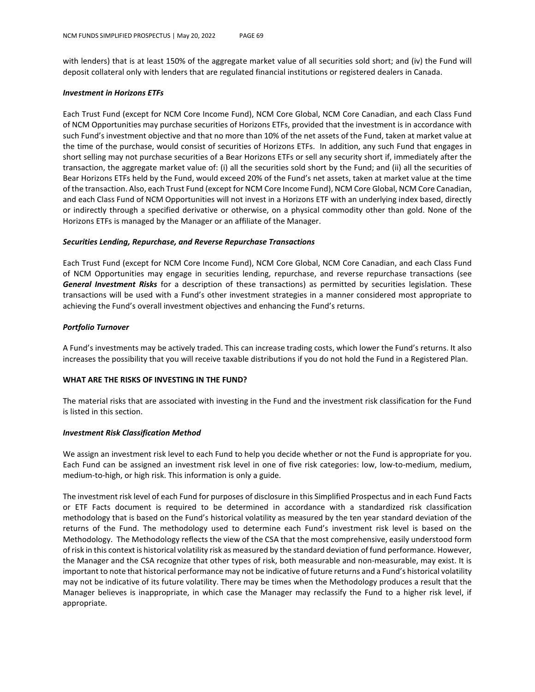with lenders) that is at least 150% of the aggregate market value of all securities sold short; and (iv) the Fund will deposit collateral only with lenders that are regulated financial institutions or registered dealers in Canada.

#### *Investment in Horizons ETFs*

Each Trust Fund (except for NCM Core Income Fund), NCM Core Global, NCM Core Canadian, and each Class Fund of NCM Opportunities may purchase securities of Horizons ETFs, provided that the investment is in accordance with such Fund's investment objective and that no more than 10% of the net assets of the Fund, taken at market value at the time of the purchase, would consist of securities of Horizons ETFs. In addition, any such Fund that engages in short selling may not purchase securities of a Bear Horizons ETFs or sell any security short if, immediately after the transaction, the aggregate market value of: (i) all the securities sold short by the Fund; and (ii) all the securities of Bear Horizons ETFs held by the Fund, would exceed 20% of the Fund's net assets, taken at market value at the time of the transaction. Also, each Trust Fund (except for NCM Core Income Fund), NCM Core Global, NCM Core Canadian, and each Class Fund of NCM Opportunities will not invest in a Horizons ETF with an underlying index based, directly or indirectly through a specified derivative or otherwise, on a physical commodity other than gold. None of the Horizons ETFs is managed by the Manager or an affiliate of the Manager.

#### *Securities Lending, Repurchase, and Reverse Repurchase Transactions*

Each Trust Fund (except for NCM Core Income Fund), NCM Core Global, NCM Core Canadian, and each Class Fund of NCM Opportunities may engage in securities lending, repurchase, and reverse repurchase transactions (see *General Investment Risks* for a description of these transactions) as permitted by securities legislation. These transactions will be used with a Fund's other investment strategies in a manner considered most appropriate to achieving the Fund's overall investment objectives and enhancing the Fund's returns.

### *Portfolio Turnover*

A Fund's investments may be actively traded. This can increase trading costs, which lower the Fund's returns. It also increases the possibility that you will receive taxable distributions if you do not hold the Fund in a Registered Plan.

### **WHAT ARE THE RISKS OF INVESTING IN THE FUND?**

The material risks that are associated with investing in the Fund and the investment risk classification for the Fund is listed in this section.

### *Investment Risk Classification Method*

We assign an investment risk level to each Fund to help you decide whether or not the Fund is appropriate for you. Each Fund can be assigned an investment risk level in one of five risk categories: low, low-to-medium, medium, medium-to-high, or high risk. This information is only a guide.

The investment risk level of each Fund for purposes of disclosure in this Simplified Prospectus and in each Fund Facts or ETF Facts document is required to be determined in accordance with a standardized risk classification methodology that is based on the Fund's historical volatility as measured by the ten year standard deviation of the returns of the Fund. The methodology used to determine each Fund's investment risk level is based on the Methodology. The Methodology reflects the view of the CSA that the most comprehensive, easily understood form of risk in this context is historical volatility risk as measured by the standard deviation of fund performance. However, the Manager and the CSA recognize that other types of risk, both measurable and non-measurable, may exist. It is important to note that historical performance may not be indicative of future returns and a Fund's historical volatility may not be indicative of its future volatility. There may be times when the Methodology produces a result that the Manager believes is inappropriate, in which case the Manager may reclassify the Fund to a higher risk level, if appropriate.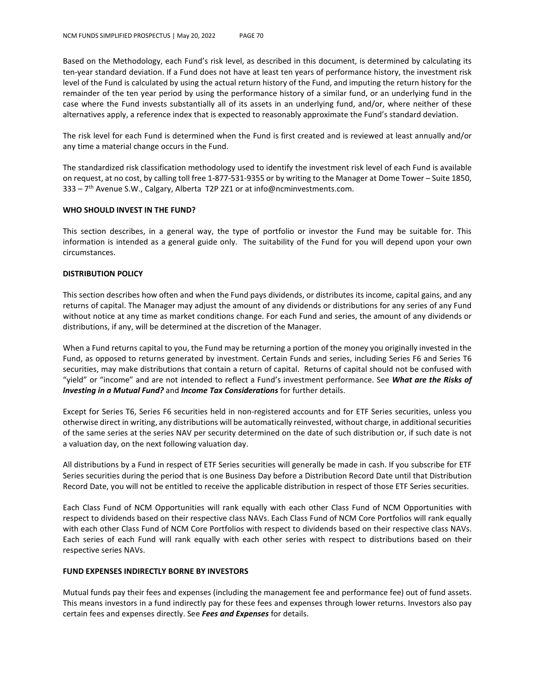Based on the Methodology, each Fund's risk level, as described in this document, is determined by calculating its ten-year standard deviation. If a Fund does not have at least ten years of performance history, the investment risk level of the Fund is calculated by using the actual return history of the Fund, and imputing the return history for the remainder of the ten year period by using the performance history of a similar fund, or an underlying fund in the case where the Fund invests substantially all of its assets in an underlying fund, and/or, where neither of these alternatives apply, a reference index that is expected to reasonably approximate the Fund's standard deviation.

The risk level for each Fund is determined when the Fund is first created and is reviewed at least annually and/or any time a material change occurs in the Fund.

The standardized risk classification methodology used to identify the investment risk level of each Fund is available on request, at no cost, by calling toll free 1-877-531-9355 or by writing to the Manager at Dome Tower – Suite 1850,  $333 - 7$ <sup>th</sup> Avenue S.W., Calgary, Alberta T2P 2Z1 or at info@ncminvestments.com.

#### **WHO SHOULD INVEST IN THE FUND?**

This section describes, in a general way, the type of portfolio or investor the Fund may be suitable for. This information is intended as a general guide only. The suitability of the Fund for you will depend upon your own circumstances.

### **DISTRIBUTION POLICY**

This section describes how often and when the Fund pays dividends, or distributes its income, capital gains, and any returns of capital. The Manager may adjust the amount of any dividends or distributions for any series of any Fund without notice at any time as market conditions change. For each Fund and series, the amount of any dividends or distributions, if any, will be determined at the discretion of the Manager.

When a Fund returns capital to you, the Fund may be returning a portion of the money you originally invested in the Fund, as opposed to returns generated by investment. Certain Funds and series, including Series F6 and Series T6 securities, may make distributions that contain a return of capital. Returns of capital should not be confused with "yield" or "income" and are not intended to reflect a Fund's investment performance. See *What are the Risks of Investing in a Mutual Fund?* and *Income Tax Considerations* for further details.

Except for Series T6, Series F6 securities held in non-registered accounts and for ETF Series securities, unless you otherwise direct in writing, any distributions will be automatically reinvested, without charge, in additional securities of the same series at the series NAV per security determined on the date of such distribution or, if such date is not a valuation day, on the next following valuation day.

All distributions by a Fund in respect of ETF Series securities will generally be made in cash. If you subscribe for ETF Series securities during the period that is one Business Day before a Distribution Record Date until that Distribution Record Date, you will not be entitled to receive the applicable distribution in respect of those ETF Series securities.

Each Class Fund of NCM Opportunities will rank equally with each other Class Fund of NCM Opportunities with respect to dividends based on their respective class NAVs. Each Class Fund of NCM Core Portfolios will rank equally with each other Class Fund of NCM Core Portfolios with respect to dividends based on their respective class NAVs. Each series of each Fund will rank equally with each other series with respect to distributions based on their respective series NAVs.

### **FUND EXPENSES INDIRECTLY BORNE BY INVESTORS**

Mutual funds pay their fees and expenses (including the management fee and performance fee) out of fund assets. This means investors in a fund indirectly pay for these fees and expenses through lower returns. Investors also pay certain fees and expenses directly. See *Fees and Expenses* for details.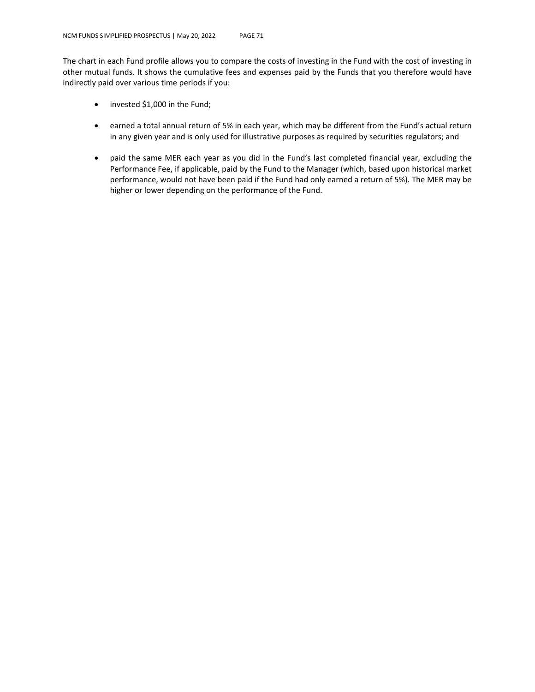The chart in each Fund profile allows you to compare the costs of investing in the Fund with the cost of investing in other mutual funds. It shows the cumulative fees and expenses paid by the Funds that you therefore would have indirectly paid over various time periods if you:

- invested \$1,000 in the Fund;
- earned a total annual return of 5% in each year, which may be different from the Fund's actual return in any given year and is only used for illustrative purposes as required by securities regulators; and
- paid the same MER each year as you did in the Fund's last completed financial year, excluding the Performance Fee, if applicable, paid by the Fund to the Manager (which, based upon historical market performance, would not have been paid if the Fund had only earned a return of 5%). The MER may be higher or lower depending on the performance of the Fund.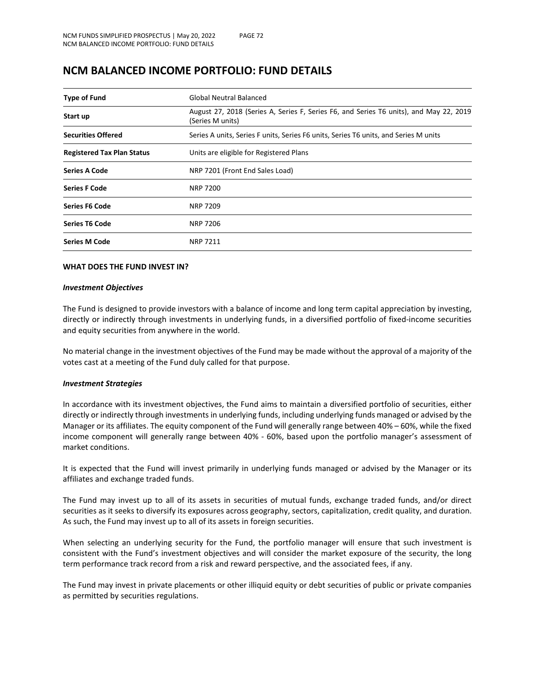| <b>Type of Fund</b>               | Global Neutral Balanced                                                                                    |  |  |  |  |  |
|-----------------------------------|------------------------------------------------------------------------------------------------------------|--|--|--|--|--|
| Start up                          | August 27, 2018 (Series A, Series F, Series F6, and Series T6 units), and May 22, 2019<br>(Series M units) |  |  |  |  |  |
| <b>Securities Offered</b>         | Series A units, Series F units, Series F6 units, Series T6 units, and Series M units                       |  |  |  |  |  |
| <b>Registered Tax Plan Status</b> | Units are eligible for Registered Plans                                                                    |  |  |  |  |  |
| <b>Series A Code</b>              | NRP 7201 (Front End Sales Load)                                                                            |  |  |  |  |  |
| <b>Series F Code</b>              | <b>NRP 7200</b>                                                                                            |  |  |  |  |  |
| <b>Series F6 Code</b>             | <b>NRP 7209</b>                                                                                            |  |  |  |  |  |
| <b>Series T6 Code</b>             | <b>NRP 7206</b>                                                                                            |  |  |  |  |  |
| <b>Series M Code</b>              | <b>NRP 7211</b>                                                                                            |  |  |  |  |  |

# **NCM BALANCED INCOME PORTFOLIO: FUND DETAILS**

### **WHAT DOES THE FUND INVEST IN?**

### *Investment Objectives*

The Fund is designed to provide investors with a balance of income and long term capital appreciation by investing, directly or indirectly through investments in underlying funds, in a diversified portfolio of fixed-income securities and equity securities from anywhere in the world.

No material change in the investment objectives of the Fund may be made without the approval of a majority of the votes cast at a meeting of the Fund duly called for that purpose.

### *Investment Strategies*

In accordance with its investment objectives, the Fund aims to maintain a diversified portfolio of securities, either directly or indirectly through investments in underlying funds, including underlying funds managed or advised by the Manager or its affiliates. The equity component of the Fund will generally range between 40% – 60%, while the fixed income component will generally range between 40% - 60%, based upon the portfolio manager's assessment of market conditions.

It is expected that the Fund will invest primarily in underlying funds managed or advised by the Manager or its affiliates and exchange traded funds.

The Fund may invest up to all of its assets in securities of mutual funds, exchange traded funds, and/or direct securities as it seeks to diversify its exposures across geography, sectors, capitalization, credit quality, and duration. As such, the Fund may invest up to all of its assets in foreign securities.

When selecting an underlying security for the Fund, the portfolio manager will ensure that such investment is consistent with the Fund's investment objectives and will consider the market exposure of the security, the long term performance track record from a risk and reward perspective, and the associated fees, if any.

The Fund may invest in private placements or other illiquid equity or debt securities of public or private companies as permitted by securities regulations.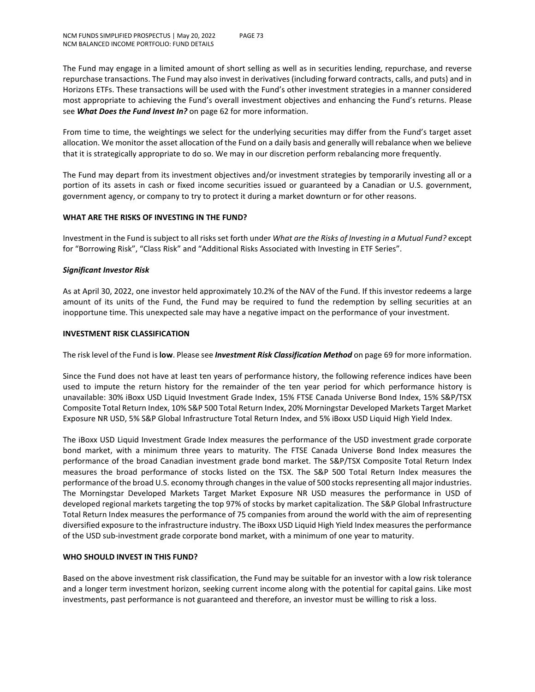The Fund may engage in a limited amount of short selling as well as in securities lending, repurchase, and reverse repurchase transactions. The Fund may also invest in derivatives (including forward contracts, calls, and puts) and in Horizons ETFs. These transactions will be used with the Fund's other investment strategies in a manner considered most appropriate to achieving the Fund's overall investment objectives and enhancing the Fund's returns. Please see *What Does the Fund Invest In?* on page 62 for more information.

From time to time, the weightings we select for the underlying securities may differ from the Fund's target asset allocation. We monitor the asset allocation of the Fund on a daily basis and generally will rebalance when we believe that it is strategically appropriate to do so. We may in our discretion perform rebalancing more frequently.

The Fund may depart from its investment objectives and/or investment strategies by temporarily investing all or a portion of its assets in cash or fixed income securities issued or guaranteed by a Canadian or U.S. government, government agency, or company to try to protect it during a market downturn or for other reasons.

## **WHAT ARE THE RISKS OF INVESTING IN THE FUND?**

Investment in the Fund is subject to all risks set forth under *What are the Risks of Investing in a Mutual Fund?* except for "Borrowing Risk", "Class Risk" and "Additional Risks Associated with Investing in ETF Series".

## *Significant Investor Risk*

As at April 30, 2022, one investor held approximately 10.2% of the NAV of the Fund. If this investor redeems a large amount of its units of the Fund, the Fund may be required to fund the redemption by selling securities at an inopportune time. This unexpected sale may have a negative impact on the performance of your investment.

#### **INVESTMENT RISK CLASSIFICATION**

The risk level of the Fund is **low**. Please see *Investment Risk Classification Method* on page 69 for more information.

Since the Fund does not have at least ten years of performance history, the following reference indices have been used to impute the return history for the remainder of the ten year period for which performance history is unavailable: 30% iBoxx USD Liquid Investment Grade Index, 15% FTSE Canada Universe Bond Index, 15% S&P/TSX Composite Total Return Index, 10% S&P 500 Total Return Index, 20% Morningstar Developed Markets Target Market Exposure NR USD, 5% S&P Global Infrastructure Total Return Index, and 5% iBoxx USD Liquid High Yield Index.

The iBoxx USD Liquid Investment Grade Index measures the performance of the USD investment grade corporate bond market, with a minimum three years to maturity. The FTSE Canada Universe Bond Index measures the performance of the broad Canadian investment grade bond market. The S&P/TSX Composite Total Return Index measures the broad performance of stocks listed on the TSX. The S&P 500 Total Return Index measures the performance of the broad U.S. economy through changes in the value of 500 stocks representing all major industries. The Morningstar Developed Markets Target Market Exposure NR USD measures the performance in USD of developed regional markets targeting the top 97% of stocks by market capitalization. The S&P Global Infrastructure Total Return Index measures the performance of 75 companies from around the world with the aim of representing diversified exposure to the infrastructure industry. The iBoxx USD Liquid High Yield Index measures the performance of the USD sub-investment grade corporate bond market, with a minimum of one year to maturity.

#### **WHO SHOULD INVEST IN THIS FUND?**

Based on the above investment risk classification, the Fund may be suitable for an investor with a low risk tolerance and a longer term investment horizon, seeking current income along with the potential for capital gains. Like most investments, past performance is not guaranteed and therefore, an investor must be willing to risk a loss.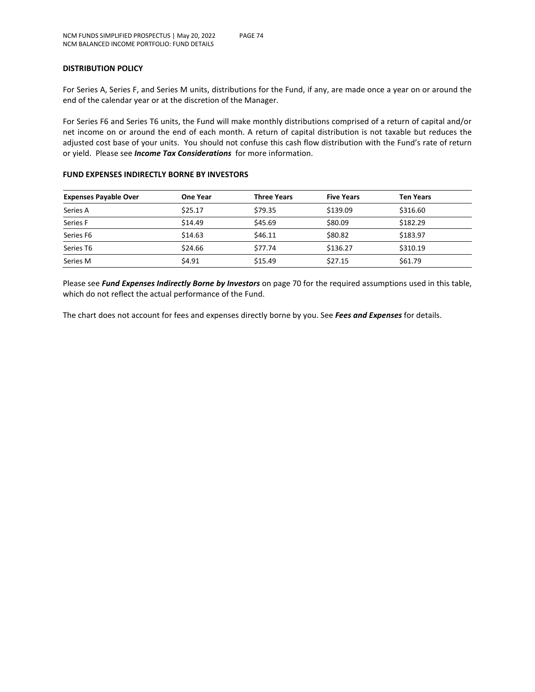## **DISTRIBUTION POLICY**

For Series A, Series F, and Series M units, distributions for the Fund, if any, are made once a year on or around the end of the calendar year or at the discretion of the Manager.

For Series F6 and Series T6 units, the Fund will make monthly distributions comprised of a return of capital and/or net income on or around the end of each month. A return of capital distribution is not taxable but reduces the adjusted cost base of your units. You should not confuse this cash flow distribution with the Fund's rate of return or yield. Please see *Income Tax Considerations* for more information.

#### **FUND EXPENSES INDIRECTLY BORNE BY INVESTORS**

| <b>Expenses Payable Over</b> | <b>One Year</b> | <b>Three Years</b> | <b>Five Years</b> | <b>Ten Years</b> |
|------------------------------|-----------------|--------------------|-------------------|------------------|
| Series A                     | \$25.17         | \$79.35            | \$139.09          | \$316.60         |
| Series F                     | \$14.49         | \$45.69            | \$80.09           | \$182.29         |
| Series F6                    | \$14.63         | \$46.11            | \$80.82           | \$183.97         |
| Series T6                    | \$24.66         | \$77.74            | \$136.27          | \$310.19         |
| Series M                     | \$4.91          | \$15.49            | \$27.15           | \$61.79          |

Please see *Fund Expenses Indirectly Borne by Investors* on page 70 for the required assumptions used in this table, which do not reflect the actual performance of the Fund.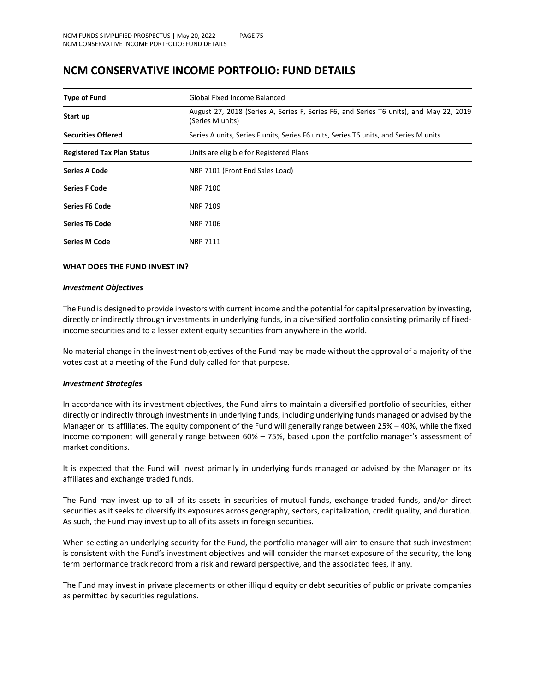## **NCM CONSERVATIVE INCOME PORTFOLIO: FUND DETAILS**

| <b>Type of Fund</b>               | Global Fixed Income Balanced                                                                               |  |  |
|-----------------------------------|------------------------------------------------------------------------------------------------------------|--|--|
| Start up                          | August 27, 2018 (Series A, Series F, Series F6, and Series T6 units), and May 22, 2019<br>(Series M units) |  |  |
| <b>Securities Offered</b>         | Series A units, Series F units, Series F6 units, Series T6 units, and Series M units                       |  |  |
| <b>Registered Tax Plan Status</b> | Units are eligible for Registered Plans                                                                    |  |  |
| <b>Series A Code</b>              | NRP 7101 (Front End Sales Load)                                                                            |  |  |
| <b>Series F Code</b>              | <b>NRP 7100</b>                                                                                            |  |  |
| <b>Series F6 Code</b>             | NRP 7109                                                                                                   |  |  |
| <b>Series T6 Code</b>             | NRP 7106                                                                                                   |  |  |
| <b>Series M Code</b>              | <b>NRP 7111</b>                                                                                            |  |  |

#### **WHAT DOES THE FUND INVEST IN?**

#### *Investment Objectives*

The Fund is designed to provide investors with current income and the potential for capital preservation by investing, directly or indirectly through investments in underlying funds, in a diversified portfolio consisting primarily of fixedincome securities and to a lesser extent equity securities from anywhere in the world.

No material change in the investment objectives of the Fund may be made without the approval of a majority of the votes cast at a meeting of the Fund duly called for that purpose.

#### *Investment Strategies*

In accordance with its investment objectives, the Fund aims to maintain a diversified portfolio of securities, either directly or indirectly through investments in underlying funds, including underlying funds managed or advised by the Manager or its affiliates. The equity component of the Fund will generally range between 25% – 40%, while the fixed income component will generally range between 60% – 75%, based upon the portfolio manager's assessment of market conditions.

It is expected that the Fund will invest primarily in underlying funds managed or advised by the Manager or its affiliates and exchange traded funds.

The Fund may invest up to all of its assets in securities of mutual funds, exchange traded funds, and/or direct securities as it seeks to diversify its exposures across geography, sectors, capitalization, credit quality, and duration. As such, the Fund may invest up to all of its assets in foreign securities.

When selecting an underlying security for the Fund, the portfolio manager will aim to ensure that such investment is consistent with the Fund's investment objectives and will consider the market exposure of the security, the long term performance track record from a risk and reward perspective, and the associated fees, if any.

The Fund may invest in private placements or other illiquid equity or debt securities of public or private companies as permitted by securities regulations.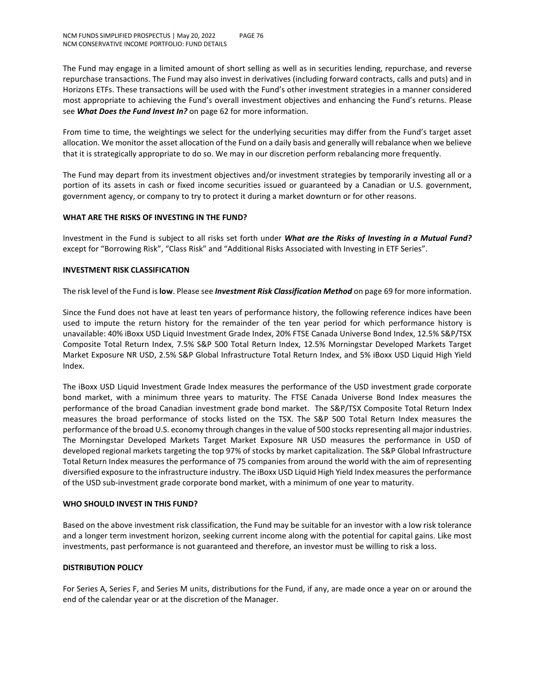The Fund may engage in a limited amount of short selling as well as in securities lending, repurchase, and reverse repurchase transactions. The Fund may also invest in derivatives (including forward contracts, calls and puts) and in Horizons ETFs. These transactions will be used with the Fund's other investment strategies in a manner considered most appropriate to achieving the Fund's overall investment objectives and enhancing the Fund's returns. Please see *What Does the Fund Invest In?* on page 62 for more information.

From time to time, the weightings we select for the underlying securities may differ from the Fund's target asset allocation. We monitor the asset allocation of the Fund on a daily basis and generally will rebalance when we believe that it is strategically appropriate to do so. We may in our discretion perform rebalancing more frequently.

The Fund may depart from its investment objectives and/or investment strategies by temporarily investing all or a portion of its assets in cash or fixed income securities issued or guaranteed by a Canadian or U.S. government, government agency, or company to try to protect it during a market downturn or for other reasons.

## **WHAT ARE THE RISKS OF INVESTING IN THE FUND?**

Investment in the Fund is subject to all risks set forth under *What are the Risks of Investing in a Mutual Fund?* except for "Borrowing Risk", "Class Risk" and "Additional Risks Associated with Investing in ETF Series".

## **INVESTMENT RISK CLASSIFICATION**

The risk level of the Fund is **low**. Please see *Investment Risk Classification Method* on page 69 for more information.

Since the Fund does not have at least ten years of performance history, the following reference indices have been used to impute the return history for the remainder of the ten year period for which performance history is unavailable: 40% iBoxx USD Liquid Investment Grade Index, 20% FTSE Canada Universe Bond Index, 12.5% S&P/TSX Composite Total Return Index, 7.5% S&P 500 Total Return Index, 12.5% Morningstar Developed Markets Target Market Exposure NR USD, 2.5% S&P Global Infrastructure Total Return Index, and 5% iBoxx USD Liquid High Yield Index.

The iBoxx USD Liquid Investment Grade Index measures the performance of the USD investment grade corporate bond market, with a minimum three years to maturity. The FTSE Canada Universe Bond Index measures the performance of the broad Canadian investment grade bond market. The S&P/TSX Composite Total Return Index measures the broad performance of stocks listed on the TSX. The S&P 500 Total Return Index measures the performance of the broad U.S. economy through changes in the value of 500 stocks representing all major industries. The Morningstar Developed Markets Target Market Exposure NR USD measures the performance in USD of developed regional markets targeting the top 97% of stocks by market capitalization. The S&P Global Infrastructure Total Return Index measures the performance of 75 companies from around the world with the aim of representing diversified exposure to the infrastructure industry. The iBoxx USD Liquid High Yield Index measures the performance of the USD sub-investment grade corporate bond market, with a minimum of one year to maturity.

#### **WHO SHOULD INVEST IN THIS FUND?**

Based on the above investment risk classification, the Fund may be suitable for an investor with a low risk tolerance and a longer term investment horizon, seeking current income along with the potential for capital gains. Like most investments, past performance is not guaranteed and therefore, an investor must be willing to risk a loss.

## **DISTRIBUTION POLICY**

For Series A, Series F, and Series M units, distributions for the Fund, if any, are made once a year on or around the end of the calendar year or at the discretion of the Manager.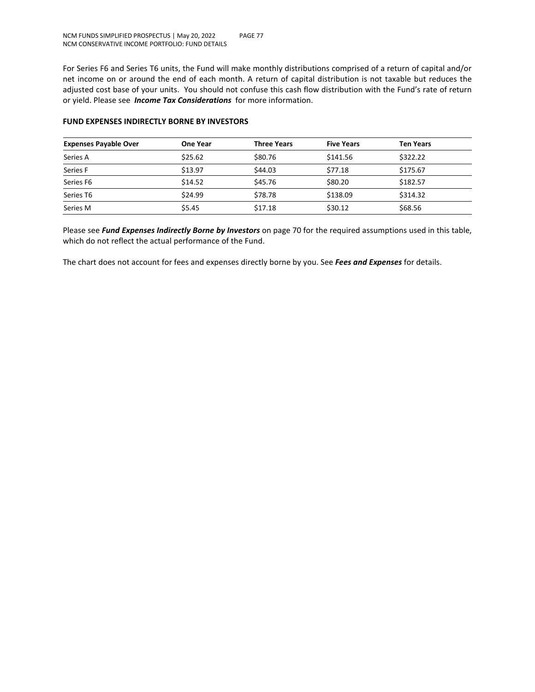For Series F6 and Series T6 units, the Fund will make monthly distributions comprised of a return of capital and/or net income on or around the end of each month. A return of capital distribution is not taxable but reduces the adjusted cost base of your units. You should not confuse this cash flow distribution with the Fund's rate of return or yield. Please see *Income Tax Considerations* for more information.

| <b>Expenses Payable Over</b> | One Year | <b>Three Years</b> | <b>Five Years</b> | <b>Ten Years</b> |
|------------------------------|----------|--------------------|-------------------|------------------|
| Series A                     | \$25.62  | \$80.76            | \$141.56          | \$322.22         |
| Series F                     | \$13.97  | \$44.03            | \$77.18           | \$175.67         |
| Series F6                    | \$14.52  | \$45.76            | \$80.20           | \$182.57         |
| Series T6                    | \$24.99  | \$78.78            | \$138.09          | \$314.32         |
| Series M                     | \$5.45   | \$17.18            | \$30.12           | \$68.56          |

## **FUND EXPENSES INDIRECTLY BORNE BY INVESTORS**

Please see *Fund Expenses Indirectly Borne by Investors* on page 70 for the required assumptions used in this table, which do not reflect the actual performance of the Fund.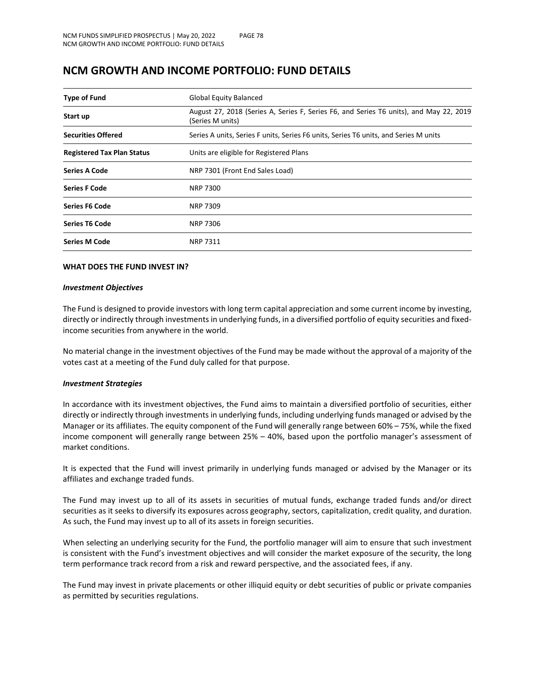| <b>Type of Fund</b>               | <b>Global Equity Balanced</b>                                                                              |  |  |
|-----------------------------------|------------------------------------------------------------------------------------------------------------|--|--|
| Start up                          | August 27, 2018 (Series A, Series F, Series F6, and Series T6 units), and May 22, 2019<br>(Series M units) |  |  |
| <b>Securities Offered</b>         | Series A units, Series F units, Series F6 units, Series T6 units, and Series M units                       |  |  |
| <b>Registered Tax Plan Status</b> | Units are eligible for Registered Plans                                                                    |  |  |
| Series A Code                     | NRP 7301 (Front End Sales Load)                                                                            |  |  |
| <b>Series F Code</b>              | <b>NRP 7300</b>                                                                                            |  |  |
| <b>Series F6 Code</b>             | <b>NRP 7309</b>                                                                                            |  |  |
| <b>Series T6 Code</b>             | <b>NRP 7306</b>                                                                                            |  |  |
| <b>Series M Code</b>              | <b>NRP 7311</b>                                                                                            |  |  |

## **NCM GROWTH AND INCOME PORTFOLIO: FUND DETAILS**

#### **WHAT DOES THE FUND INVEST IN?**

#### *Investment Objectives*

The Fund is designed to provide investors with long term capital appreciation and some current income by investing, directly or indirectly through investments in underlying funds, in a diversified portfolio of equity securities and fixedincome securities from anywhere in the world.

No material change in the investment objectives of the Fund may be made without the approval of a majority of the votes cast at a meeting of the Fund duly called for that purpose.

#### *Investment Strategies*

In accordance with its investment objectives, the Fund aims to maintain a diversified portfolio of securities, either directly or indirectly through investments in underlying funds, including underlying funds managed or advised by the Manager or its affiliates. The equity component of the Fund will generally range between 60% – 75%, while the fixed income component will generally range between 25% – 40%, based upon the portfolio manager's assessment of market conditions.

It is expected that the Fund will invest primarily in underlying funds managed or advised by the Manager or its affiliates and exchange traded funds.

The Fund may invest up to all of its assets in securities of mutual funds, exchange traded funds and/or direct securities as it seeks to diversify its exposures across geography, sectors, capitalization, credit quality, and duration. As such, the Fund may invest up to all of its assets in foreign securities.

When selecting an underlying security for the Fund, the portfolio manager will aim to ensure that such investment is consistent with the Fund's investment objectives and will consider the market exposure of the security, the long term performance track record from a risk and reward perspective, and the associated fees, if any.

The Fund may invest in private placements or other illiquid equity or debt securities of public or private companies as permitted by securities regulations.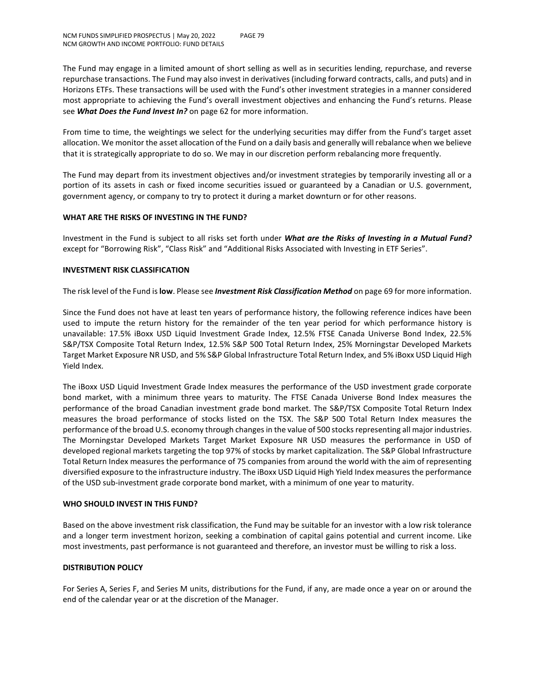The Fund may engage in a limited amount of short selling as well as in securities lending, repurchase, and reverse repurchase transactions. The Fund may also invest in derivatives (including forward contracts, calls, and puts) and in Horizons ETFs. These transactions will be used with the Fund's other investment strategies in a manner considered most appropriate to achieving the Fund's overall investment objectives and enhancing the Fund's returns. Please see *What Does the Fund Invest In?* on page 62 for more information.

From time to time, the weightings we select for the underlying securities may differ from the Fund's target asset allocation. We monitor the asset allocation of the Fund on a daily basis and generally will rebalance when we believe that it is strategically appropriate to do so. We may in our discretion perform rebalancing more frequently.

The Fund may depart from its investment objectives and/or investment strategies by temporarily investing all or a portion of its assets in cash or fixed income securities issued or guaranteed by a Canadian or U.S. government, government agency, or company to try to protect it during a market downturn or for other reasons.

## **WHAT ARE THE RISKS OF INVESTING IN THE FUND?**

Investment in the Fund is subject to all risks set forth under *What are the Risks of Investing in a Mutual Fund?* except for "Borrowing Risk", "Class Risk" and "Additional Risks Associated with Investing in ETF Series".

## **INVESTMENT RISK CLASSIFICATION**

The risk level of the Fund is **low**. Please see *Investment Risk Classification Method* on page 69 for more information.

Since the Fund does not have at least ten years of performance history, the following reference indices have been used to impute the return history for the remainder of the ten year period for which performance history is unavailable: 17.5% iBoxx USD Liquid Investment Grade Index, 12.5% FTSE Canada Universe Bond Index, 22.5% S&P/TSX Composite Total Return Index, 12.5% S&P 500 Total Return Index, 25% Morningstar Developed Markets Target Market Exposure NR USD, and 5% S&P Global Infrastructure Total Return Index, and 5% iBoxx USD Liquid High Yield Index.

The iBoxx USD Liquid Investment Grade Index measures the performance of the USD investment grade corporate bond market, with a minimum three years to maturity. The FTSE Canada Universe Bond Index measures the performance of the broad Canadian investment grade bond market. The S&P/TSX Composite Total Return Index measures the broad performance of stocks listed on the TSX. The S&P 500 Total Return Index measures the performance of the broad U.S. economy through changes in the value of 500 stocks representing all major industries. The Morningstar Developed Markets Target Market Exposure NR USD measures the performance in USD of developed regional markets targeting the top 97% of stocks by market capitalization. The S&P Global Infrastructure Total Return Index measures the performance of 75 companies from around the world with the aim of representing diversified exposure to the infrastructure industry. The iBoxx USD Liquid High Yield Index measures the performance of the USD sub-investment grade corporate bond market, with a minimum of one year to maturity.

#### **WHO SHOULD INVEST IN THIS FUND?**

Based on the above investment risk classification, the Fund may be suitable for an investor with a low risk tolerance and a longer term investment horizon, seeking a combination of capital gains potential and current income. Like most investments, past performance is not guaranteed and therefore, an investor must be willing to risk a loss.

#### **DISTRIBUTION POLICY**

For Series A, Series F, and Series M units, distributions for the Fund, if any, are made once a year on or around the end of the calendar year or at the discretion of the Manager.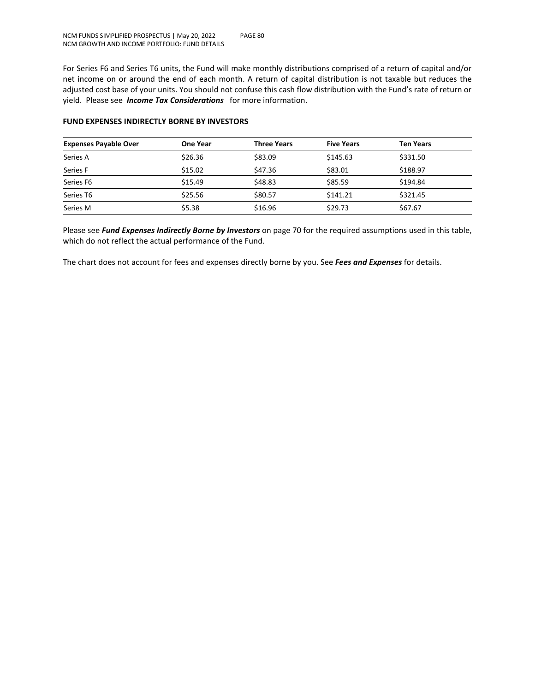For Series F6 and Series T6 units, the Fund will make monthly distributions comprised of a return of capital and/or net income on or around the end of each month. A return of capital distribution is not taxable but reduces the adjusted cost base of your units. You should not confuse this cash flow distribution with the Fund's rate of return or yield. Please see *Income Tax Considerations* for more information.

| <b>Expenses Payable Over</b> | One Year | <b>Three Years</b> | <b>Five Years</b> | <b>Ten Years</b> |  |
|------------------------------|----------|--------------------|-------------------|------------------|--|
| Series A                     | \$26.36  | \$83.09            | \$145.63          | \$331.50         |  |
| Series F                     | \$15.02  | \$47.36            | \$83.01           | \$188.97         |  |
| Series F6                    | \$15.49  | \$48.83            | \$85.59           | \$194.84         |  |
| Series T6                    | \$25.56  | \$80.57            | \$141.21          | \$321.45         |  |
| Series M                     | \$5.38   | \$16.96            | \$29.73           | \$67.67          |  |

## **FUND EXPENSES INDIRECTLY BORNE BY INVESTORS**

Please see *Fund Expenses Indirectly Borne by Investors* on page 70 for the required assumptions used in this table, which do not reflect the actual performance of the Fund.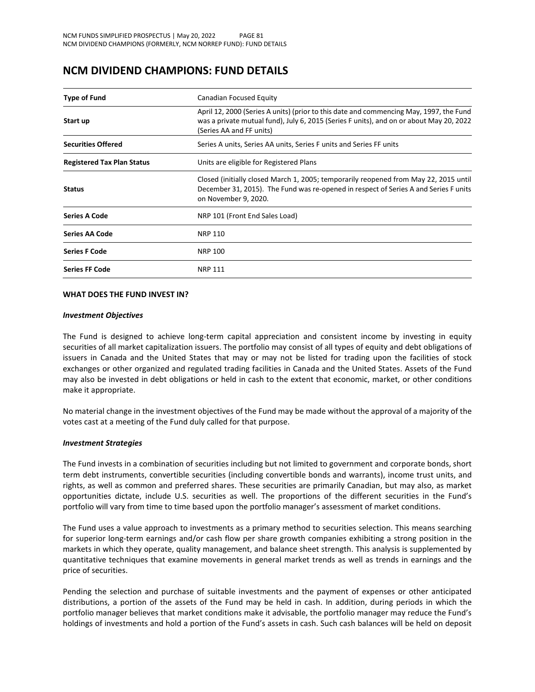## **NCM DIVIDEND CHAMPIONS: FUND DETAILS**

| <b>Type of Fund</b>               | Canadian Focused Equity                                                                                                                                                                                       |  |
|-----------------------------------|---------------------------------------------------------------------------------------------------------------------------------------------------------------------------------------------------------------|--|
| Start up                          | April 12, 2000 (Series A units) (prior to this date and commencing May, 1997, the Fund<br>was a private mutual fund), July 6, 2015 (Series F units), and on or about May 20, 2022<br>(Series AA and FF units) |  |
| <b>Securities Offered</b>         | Series A units, Series AA units, Series F units and Series FF units                                                                                                                                           |  |
| <b>Registered Tax Plan Status</b> | Units are eligible for Registered Plans                                                                                                                                                                       |  |
| <b>Status</b>                     | Closed (initially closed March 1, 2005; temporarily reopened from May 22, 2015 until<br>December 31, 2015). The Fund was re-opened in respect of Series A and Series F units<br>on November 9, 2020.          |  |
| <b>Series A Code</b>              | NRP 101 (Front End Sales Load)                                                                                                                                                                                |  |
| Series AA Code                    | NRP 110                                                                                                                                                                                                       |  |
| <b>Series F Code</b>              | NRP 100                                                                                                                                                                                                       |  |
| <b>Series FF Code</b>             | <b>NRP 111</b>                                                                                                                                                                                                |  |

#### **WHAT DOES THE FUND INVEST IN?**

#### *Investment Objectives*

The Fund is designed to achieve long-term capital appreciation and consistent income by investing in equity securities of all market capitalization issuers. The portfolio may consist of all types of equity and debt obligations of issuers in Canada and the United States that may or may not be listed for trading upon the facilities of stock exchanges or other organized and regulated trading facilities in Canada and the United States. Assets of the Fund may also be invested in debt obligations or held in cash to the extent that economic, market, or other conditions make it appropriate.

No material change in the investment objectives of the Fund may be made without the approval of a majority of the votes cast at a meeting of the Fund duly called for that purpose.

#### *Investment Strategies*

The Fund invests in a combination of securities including but not limited to government and corporate bonds, short term debt instruments, convertible securities (including convertible bonds and warrants), income trust units, and rights, as well as common and preferred shares. These securities are primarily Canadian, but may also, as market opportunities dictate, include U.S. securities as well. The proportions of the different securities in the Fund's portfolio will vary from time to time based upon the portfolio manager's assessment of market conditions.

The Fund uses a value approach to investments as a primary method to securities selection. This means searching for superior long-term earnings and/or cash flow per share growth companies exhibiting a strong position in the markets in which they operate, quality management, and balance sheet strength. This analysis is supplemented by quantitative techniques that examine movements in general market trends as well as trends in earnings and the price of securities.

Pending the selection and purchase of suitable investments and the payment of expenses or other anticipated distributions, a portion of the assets of the Fund may be held in cash. In addition, during periods in which the portfolio manager believes that market conditions make it advisable, the portfolio manager may reduce the Fund's holdings of investments and hold a portion of the Fund's assets in cash. Such cash balances will be held on deposit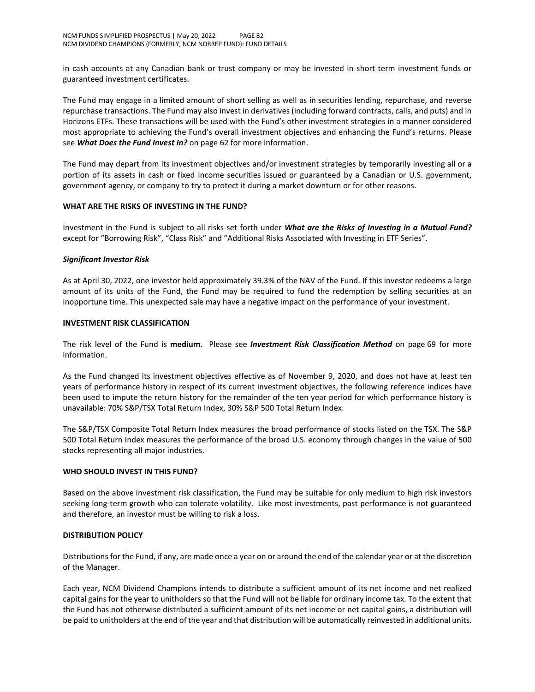in cash accounts at any Canadian bank or trust company or may be invested in short term investment funds or guaranteed investment certificates.

The Fund may engage in a limited amount of short selling as well as in securities lending, repurchase, and reverse repurchase transactions. The Fund may also invest in derivatives (including forward contracts, calls, and puts) and in Horizons ETFs. These transactions will be used with the Fund's other investment strategies in a manner considered most appropriate to achieving the Fund's overall investment objectives and enhancing the Fund's returns. Please see *What Does the Fund Invest In?* on page 62 for more information.

The Fund may depart from its investment objectives and/or investment strategies by temporarily investing all or a portion of its assets in cash or fixed income securities issued or guaranteed by a Canadian or U.S. government, government agency, or company to try to protect it during a market downturn or for other reasons.

## **WHAT ARE THE RISKS OF INVESTING IN THE FUND?**

Investment in the Fund is subject to all risks set forth under *What are the Risks of Investing in a Mutual Fund?* except for "Borrowing Risk", "Class Risk" and "Additional Risks Associated with Investing in ETF Series".

## *Significant Investor Risk*

As at April 30, 2022, one investor held approximately 39.3% of the NAV of the Fund. If this investor redeems a large amount of its units of the Fund, the Fund may be required to fund the redemption by selling securities at an inopportune time. This unexpected sale may have a negative impact on the performance of your investment.

#### **INVESTMENT RISK CLASSIFICATION**

The risk level of the Fund is **medium**. Please see *Investment Risk Classification Method* on page 69 for more information.

As the Fund changed its investment objectives effective as of November 9, 2020, and does not have at least ten years of performance history in respect of its current investment objectives, the following reference indices have been used to impute the return history for the remainder of the ten year period for which performance history is unavailable: 70% S&P/TSX Total Return Index, 30% S&P 500 Total Return Index.

The S&P/TSX Composite Total Return Index measures the broad performance of stocks listed on the TSX. The S&P 500 Total Return Index measures the performance of the broad U.S. economy through changes in the value of 500 stocks representing all major industries.

#### **WHO SHOULD INVEST IN THIS FUND?**

Based on the above investment risk classification, the Fund may be suitable for only medium to high risk investors seeking long-term growth who can tolerate volatility. Like most investments, past performance is not guaranteed and therefore, an investor must be willing to risk a loss.

## **DISTRIBUTION POLICY**

Distributions for the Fund, if any, are made once a year on or around the end of the calendar year or at the discretion of the Manager.

Each year, NCM Dividend Champions intends to distribute a sufficient amount of its net income and net realized capital gains for the year to unitholders so that the Fund will not be liable for ordinary income tax. To the extent that the Fund has not otherwise distributed a sufficient amount of its net income or net capital gains, a distribution will be paid to unitholders at the end of the year and that distribution will be automatically reinvested in additional units.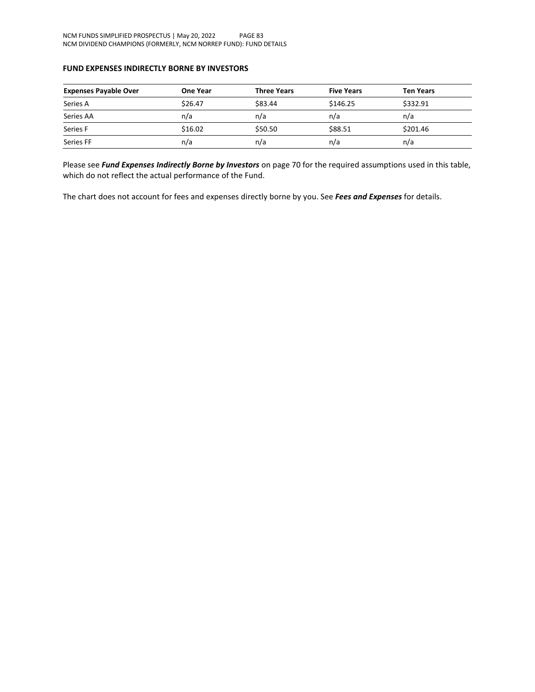## **FUND EXPENSES INDIRECTLY BORNE BY INVESTORS**

| <b>Expenses Payable Over</b> | <b>One Year</b> | <b>Three Years</b> | <b>Five Years</b> | <b>Ten Years</b> |
|------------------------------|-----------------|--------------------|-------------------|------------------|
| Series A                     | \$26.47         | \$83.44            | \$146.25          | \$332.91         |
| Series AA                    | n/a             | n/a                | n/a               | n/a              |
| Series F                     | \$16.02         | \$50.50            | \$88.51           | \$201.46         |
| Series FF                    | n/a             | n/a                | n/a               | n/a              |

Please see *Fund Expenses Indirectly Borne by Investors* on page 70 for the required assumptions used in this table, which do not reflect the actual performance of the Fund.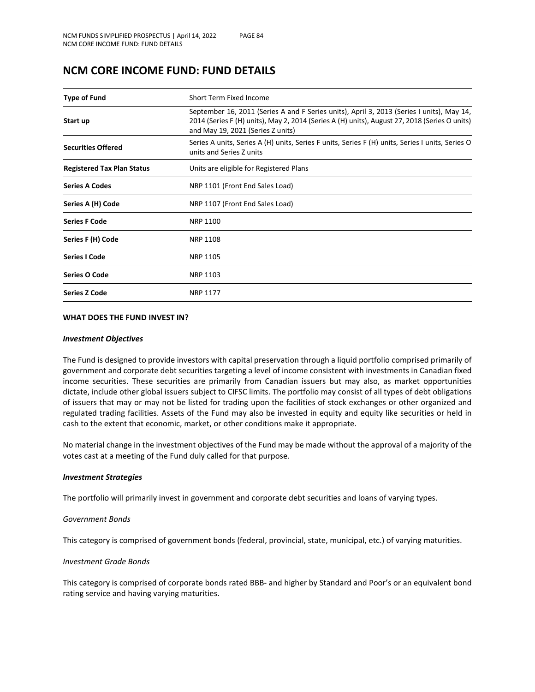## **NCM CORE INCOME FUND: FUND DETAILS**

| <b>Type of Fund</b>               | Short Term Fixed Income                                                                                                                                                                                                         |  |  |  |
|-----------------------------------|---------------------------------------------------------------------------------------------------------------------------------------------------------------------------------------------------------------------------------|--|--|--|
| Start up                          | September 16, 2011 (Series A and F Series units), April 3, 2013 (Series I units), May 14,<br>2014 (Series F (H) units), May 2, 2014 (Series A (H) units), August 27, 2018 (Series O units)<br>and May 19, 2021 (Series Z units) |  |  |  |
| <b>Securities Offered</b>         | Series A units, Series A (H) units, Series F units, Series F (H) units, Series I units, Series O<br>units and Series Z units                                                                                                    |  |  |  |
| <b>Registered Tax Plan Status</b> | Units are eligible for Registered Plans                                                                                                                                                                                         |  |  |  |
| <b>Series A Codes</b>             | NRP 1101 (Front End Sales Load)                                                                                                                                                                                                 |  |  |  |
| Series A (H) Code                 | NRP 1107 (Front End Sales Load)                                                                                                                                                                                                 |  |  |  |
| <b>Series F Code</b>              | NRP 1100                                                                                                                                                                                                                        |  |  |  |
| Series F (H) Code                 | <b>NRP 1108</b>                                                                                                                                                                                                                 |  |  |  |
| <b>Series I Code</b>              | <b>NRP 1105</b>                                                                                                                                                                                                                 |  |  |  |
| Series O Code                     | NRP 1103                                                                                                                                                                                                                        |  |  |  |
| <b>Series Z Code</b>              | <b>NRP 1177</b>                                                                                                                                                                                                                 |  |  |  |

## **WHAT DOES THE FUND INVEST IN?**

#### *Investment Objectives*

The Fund is designed to provide investors with capital preservation through a liquid portfolio comprised primarily of government and corporate debt securities targeting a level of income consistent with investments in Canadian fixed income securities. These securities are primarily from Canadian issuers but may also, as market opportunities dictate, include other global issuers subject to CIFSC limits. The portfolio may consist of all types of debt obligations of issuers that may or may not be listed for trading upon the facilities of stock exchanges or other organized and regulated trading facilities. Assets of the Fund may also be invested in equity and equity like securities or held in cash to the extent that economic, market, or other conditions make it appropriate.

No material change in the investment objectives of the Fund may be made without the approval of a majority of the votes cast at a meeting of the Fund duly called for that purpose.

#### *Investment Strategies*

The portfolio will primarily invest in government and corporate debt securities and loans of varying types.

#### *Government Bonds*

This category is comprised of government bonds (federal, provincial, state, municipal, etc.) of varying maturities.

#### *Investment Grade Bonds*

This category is comprised of corporate bonds rated BBB- and higher by Standard and Poor's or an equivalent bond rating service and having varying maturities.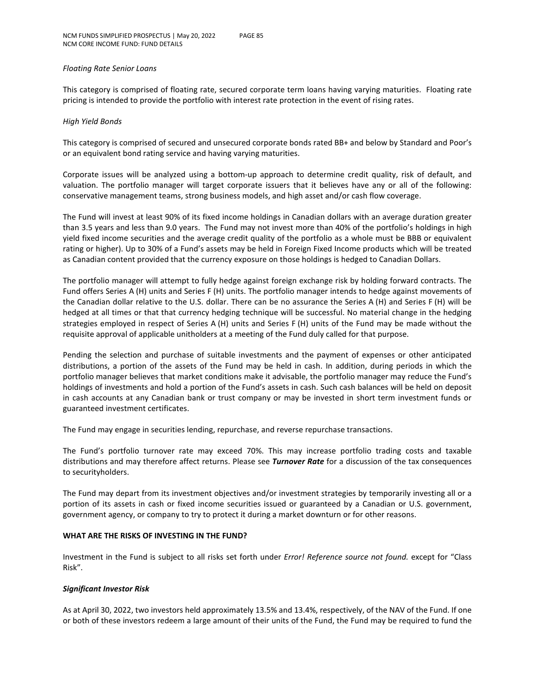#### *Floating Rate Senior Loans*

This category is comprised of floating rate, secured corporate term loans having varying maturities. Floating rate pricing is intended to provide the portfolio with interest rate protection in the event of rising rates.

## *High Yield Bonds*

This category is comprised of secured and unsecured corporate bonds rated BB+ and below by Standard and Poor's or an equivalent bond rating service and having varying maturities.

Corporate issues will be analyzed using a bottom-up approach to determine credit quality, risk of default, and valuation. The portfolio manager will target corporate issuers that it believes have any or all of the following: conservative management teams, strong business models, and high asset and/or cash flow coverage.

The Fund will invest at least 90% of its fixed income holdings in Canadian dollars with an average duration greater than 3.5 years and less than 9.0 years. The Fund may not invest more than 40% of the portfolio's holdings in high yield fixed income securities and the average credit quality of the portfolio as a whole must be BBB or equivalent rating or higher). Up to 30% of a Fund's assets may be held in Foreign Fixed Income products which will be treated as Canadian content provided that the currency exposure on those holdings is hedged to Canadian Dollars.

The portfolio manager will attempt to fully hedge against foreign exchange risk by holding forward contracts. The Fund offers Series A (H) units and Series F (H) units. The portfolio manager intends to hedge against movements of the Canadian dollar relative to the U.S. dollar. There can be no assurance the Series A (H) and Series F (H) will be hedged at all times or that that currency hedging technique will be successful. No material change in the hedging strategies employed in respect of Series A (H) units and Series F (H) units of the Fund may be made without the requisite approval of applicable unitholders at a meeting of the Fund duly called for that purpose.

Pending the selection and purchase of suitable investments and the payment of expenses or other anticipated distributions, a portion of the assets of the Fund may be held in cash. In addition, during periods in which the portfolio manager believes that market conditions make it advisable, the portfolio manager may reduce the Fund's holdings of investments and hold a portion of the Fund's assets in cash. Such cash balances will be held on deposit in cash accounts at any Canadian bank or trust company or may be invested in short term investment funds or guaranteed investment certificates.

The Fund may engage in securities lending, repurchase, and reverse repurchase transactions.

The Fund's portfolio turnover rate may exceed 70%. This may increase portfolio trading costs and taxable distributions and may therefore affect returns. Please see *Turnover Rate* for a discussion of the tax consequences to securityholders.

The Fund may depart from its investment objectives and/or investment strategies by temporarily investing all or a portion of its assets in cash or fixed income securities issued or guaranteed by a Canadian or U.S. government, government agency, or company to try to protect it during a market downturn or for other reasons.

## **WHAT ARE THE RISKS OF INVESTING IN THE FUND?**

Investment in the Fund is subject to all risks set forth under *Error! Reference source not found.* except for "Class Risk".

## *Significant Investor Risk*

As at April 30, 2022, two investors held approximately 13.5% and 13.4%, respectively, of the NAV of the Fund. If one or both of these investors redeem a large amount of their units of the Fund, the Fund may be required to fund the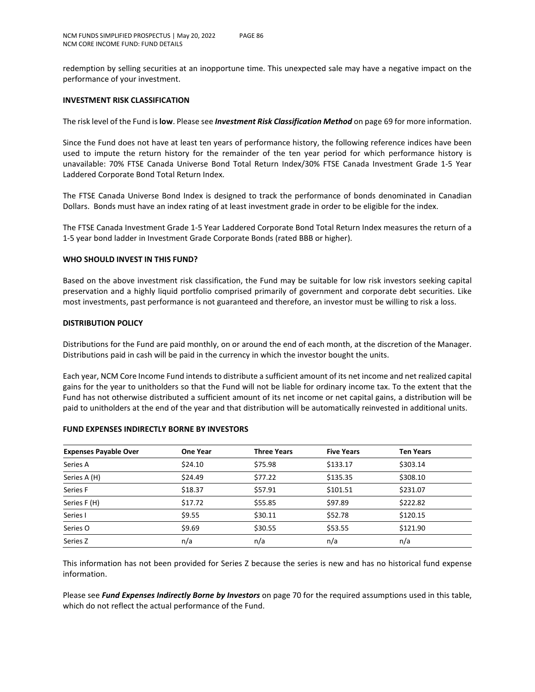redemption by selling securities at an inopportune time. This unexpected sale may have a negative impact on the performance of your investment.

## **INVESTMENT RISK CLASSIFICATION**

The risk level of the Fund is **low**. Please see *Investment Risk Classification Method* on page 69 for more information.

Since the Fund does not have at least ten years of performance history, the following reference indices have been used to impute the return history for the remainder of the ten year period for which performance history is unavailable: 70% FTSE Canada Universe Bond Total Return Index/30% FTSE Canada Investment Grade 1-5 Year Laddered Corporate Bond Total Return Index.

The FTSE Canada Universe Bond Index is designed to track the performance of bonds denominated in Canadian Dollars. Bonds must have an index rating of at least investment grade in order to be eligible for the index.

The FTSE Canada Investment Grade 1-5 Year Laddered Corporate Bond Total Return Index measures the return of a 1-5 year bond ladder in Investment Grade Corporate Bonds (rated BBB or higher).

## **WHO SHOULD INVEST IN THIS FUND?**

Based on the above investment risk classification, the Fund may be suitable for low risk investors seeking capital preservation and a highly liquid portfolio comprised primarily of government and corporate debt securities. Like most investments, past performance is not guaranteed and therefore, an investor must be willing to risk a loss.

#### **DISTRIBUTION POLICY**

Distributions for the Fund are paid monthly, on or around the end of each month, at the discretion of the Manager. Distributions paid in cash will be paid in the currency in which the investor bought the units.

Each year, NCM Core Income Fund intends to distribute a sufficient amount of its net income and net realized capital gains for the year to unitholders so that the Fund will not be liable for ordinary income tax. To the extent that the Fund has not otherwise distributed a sufficient amount of its net income or net capital gains, a distribution will be paid to unitholders at the end of the year and that distribution will be automatically reinvested in additional units.

| <b>Expenses Payable Over</b> | <b>One Year</b> | <b>Three Years</b> | <b>Five Years</b> | <b>Ten Years</b> |
|------------------------------|-----------------|--------------------|-------------------|------------------|
| Series A                     | \$24.10         | \$75.98            | \$133.17          | \$303.14         |
| Series A (H)                 | \$24.49         | \$77.22            | \$135.35          | \$308.10         |
| Series F                     | \$18.37         | \$57.91            | \$101.51          | \$231.07         |
| Series F (H)                 | \$17.72         | \$55.85            | \$97.89           | \$222.82         |
| Series I                     | \$9.55          | \$30.11            | \$52.78           | \$120.15         |
| Series O                     | \$9.69          | \$30.55            | \$53.55           | \$121.90         |
| Series Z                     | n/a             | n/a                | n/a               | n/a              |

#### **FUND EXPENSES INDIRECTLY BORNE BY INVESTORS**

This information has not been provided for Series Z because the series is new and has no historical fund expense information.

Please see *Fund Expenses Indirectly Borne by Investors* on page 70 for the required assumptions used in this table, which do not reflect the actual performance of the Fund.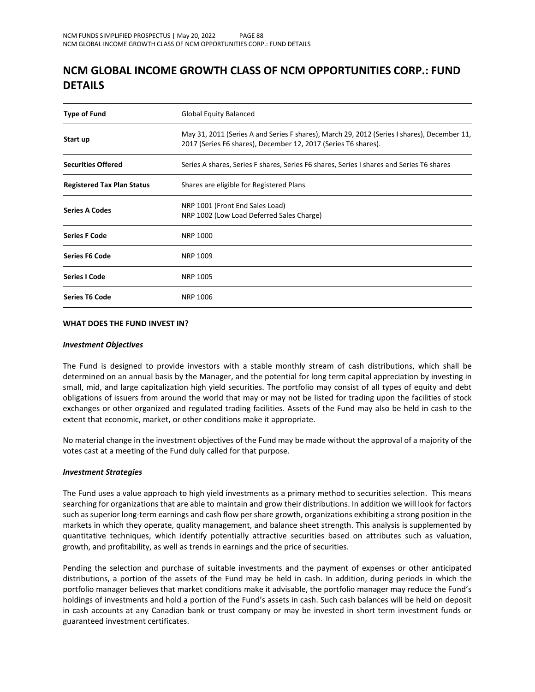# **NCM GLOBAL INCOME GROWTH CLASS OF NCM OPPORTUNITIES CORP.: FUND DETAILS**

| <b>Type of Fund</b>               | Global Equity Balanced                                                                                                                                        |  |  |
|-----------------------------------|---------------------------------------------------------------------------------------------------------------------------------------------------------------|--|--|
| Start up                          | May 31, 2011 (Series A and Series F shares), March 29, 2012 (Series I shares), December 11,<br>2017 (Series F6 shares), December 12, 2017 (Series T6 shares). |  |  |
| <b>Securities Offered</b>         | Series A shares, Series F shares, Series F6 shares, Series I shares and Series T6 shares                                                                      |  |  |
| <b>Registered Tax Plan Status</b> | Shares are eligible for Registered Plans                                                                                                                      |  |  |
| <b>Series A Codes</b>             | NRP 1001 (Front End Sales Load)<br>NRP 1002 (Low Load Deferred Sales Charge)                                                                                  |  |  |
| <b>Series F Code</b>              | NRP 1000                                                                                                                                                      |  |  |
| <b>Series F6 Code</b>             | NRP 1009                                                                                                                                                      |  |  |
| <b>Series I Code</b>              | <b>NRP 1005</b>                                                                                                                                               |  |  |
| <b>Series T6 Code</b>             | <b>NRP 1006</b>                                                                                                                                               |  |  |

## **WHAT DOES THE FUND INVEST IN?**

#### *Investment Objectives*

The Fund is designed to provide investors with a stable monthly stream of cash distributions, which shall be determined on an annual basis by the Manager, and the potential for long term capital appreciation by investing in small, mid, and large capitalization high yield securities. The portfolio may consist of all types of equity and debt obligations of issuers from around the world that may or may not be listed for trading upon the facilities of stock exchanges or other organized and regulated trading facilities. Assets of the Fund may also be held in cash to the extent that economic, market, or other conditions make it appropriate.

No material change in the investment objectives of the Fund may be made without the approval of a majority of the votes cast at a meeting of the Fund duly called for that purpose.

#### *Investment Strategies*

The Fund uses a value approach to high yield investments as a primary method to securities selection. This means searching for organizations that are able to maintain and grow their distributions. In addition we will look for factors such as superior long-term earnings and cash flow per share growth, organizations exhibiting a strong position in the markets in which they operate, quality management, and balance sheet strength. This analysis is supplemented by quantitative techniques, which identify potentially attractive securities based on attributes such as valuation, growth, and profitability, as well as trends in earnings and the price of securities.

Pending the selection and purchase of suitable investments and the payment of expenses or other anticipated distributions, a portion of the assets of the Fund may be held in cash. In addition, during periods in which the portfolio manager believes that market conditions make it advisable, the portfolio manager may reduce the Fund's holdings of investments and hold a portion of the Fund's assets in cash. Such cash balances will be held on deposit in cash accounts at any Canadian bank or trust company or may be invested in short term investment funds or guaranteed investment certificates.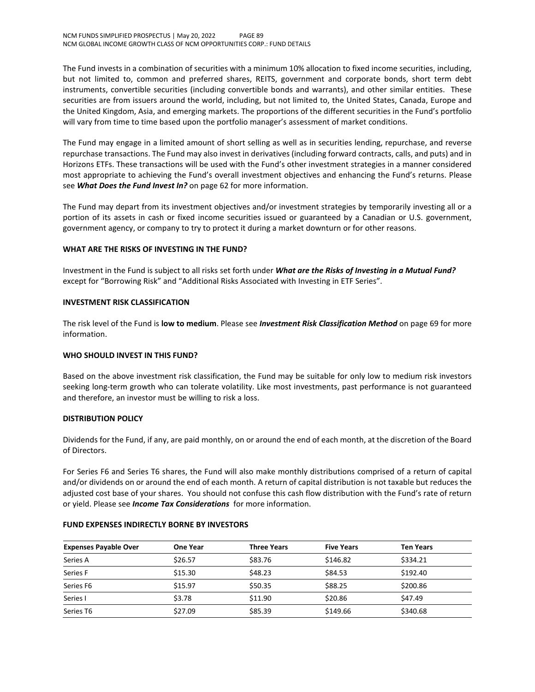The Fund invests in a combination of securities with a minimum 10% allocation to fixed income securities, including, but not limited to, common and preferred shares, REITS, government and corporate bonds, short term debt instruments, convertible securities (including convertible bonds and warrants), and other similar entities. These securities are from issuers around the world, including, but not limited to, the United States, Canada, Europe and the United Kingdom, Asia, and emerging markets. The proportions of the different securities in the Fund's portfolio will vary from time to time based upon the portfolio manager's assessment of market conditions.

The Fund may engage in a limited amount of short selling as well as in securities lending, repurchase, and reverse repurchase transactions. The Fund may also invest in derivatives (including forward contracts, calls, and puts) and in Horizons ETFs. These transactions will be used with the Fund's other investment strategies in a manner considered most appropriate to achieving the Fund's overall investment objectives and enhancing the Fund's returns. Please see *What Does the Fund Invest In?* on page 62 for more information.

The Fund may depart from its investment objectives and/or investment strategies by temporarily investing all or a portion of its assets in cash or fixed income securities issued or guaranteed by a Canadian or U.S. government, government agency, or company to try to protect it during a market downturn or for other reasons.

## **WHAT ARE THE RISKS OF INVESTING IN THE FUND?**

Investment in the Fund is subject to all risks set forth under *What are the Risks of Investing in a Mutual Fund?* except for "Borrowing Risk" and "Additional Risks Associated with Investing in ETF Series".

## **INVESTMENT RISK CLASSIFICATION**

The risk level of the Fund is **low to medium**. Please see *Investment Risk Classification Method* on page 69 for more information.

## **WHO SHOULD INVEST IN THIS FUND?**

Based on the above investment risk classification, the Fund may be suitable for only low to medium risk investors seeking long-term growth who can tolerate volatility. Like most investments, past performance is not guaranteed and therefore, an investor must be willing to risk a loss.

## **DISTRIBUTION POLICY**

Dividends for the Fund, if any, are paid monthly, on or around the end of each month, at the discretion of the Board of Directors.

For Series F6 and Series T6 shares, the Fund will also make monthly distributions comprised of a return of capital and/or dividends on or around the end of each month. A return of capital distribution is not taxable but reduces the adjusted cost base of your shares. You should not confuse this cash flow distribution with the Fund's rate of return or yield. Please see *Income Tax Considerations* for more information.

#### **FUND EXPENSES INDIRECTLY BORNE BY INVESTORS**

| <b>Expenses Payable Over</b> | One Year | <b>Three Years</b> | <b>Five Years</b> | <b>Ten Years</b> |
|------------------------------|----------|--------------------|-------------------|------------------|
| Series A                     | \$26.57  | \$83.76            | \$146.82          | \$334.21         |
| Series F                     | \$15.30  | \$48.23            | \$84.53           | \$192.40         |
| Series F6                    | \$15.97  | \$50.35            | \$88.25           | \$200.86         |
| Series I                     | \$3.78   | \$11.90            | \$20.86           | \$47.49          |
| Series T6                    | \$27.09  | \$85.39            | \$149.66          | \$340.68         |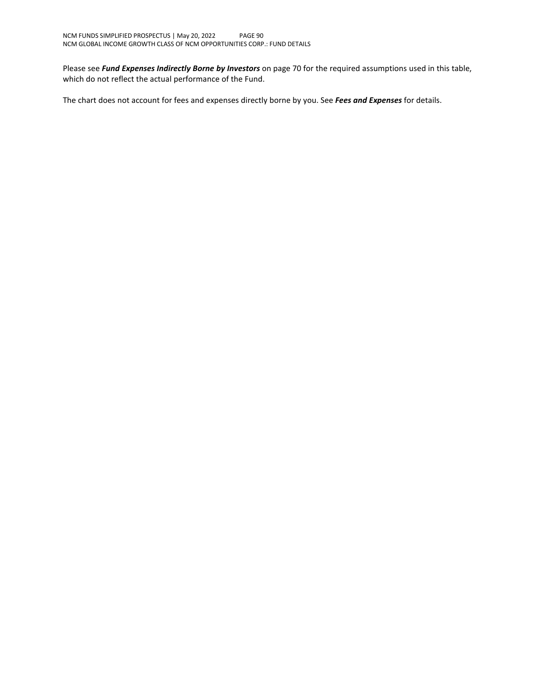Please see *Fund Expenses Indirectly Borne by Investors* on page 70 for the required assumptions used in this table, which do not reflect the actual performance of the Fund.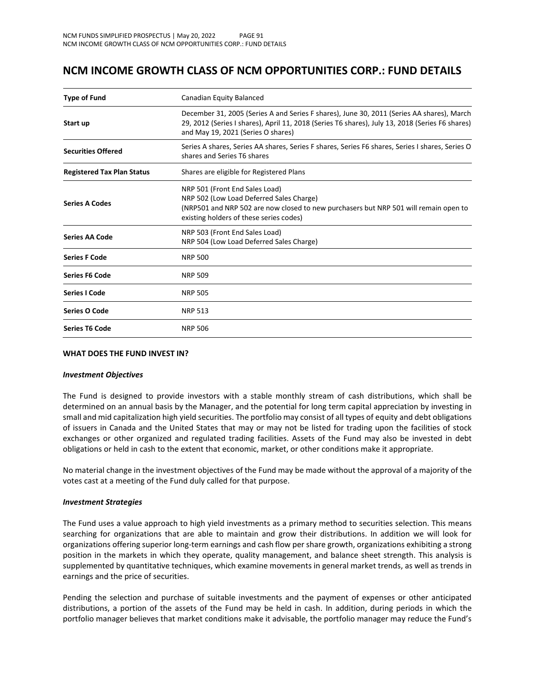## **NCM INCOME GROWTH CLASS OF NCM OPPORTUNITIES CORP.: FUND DETAILS**

| <b>Type of Fund</b>               | Canadian Equity Balanced                                                                                                                                                                                                           |  |  |
|-----------------------------------|------------------------------------------------------------------------------------------------------------------------------------------------------------------------------------------------------------------------------------|--|--|
| Start up                          | December 31, 2005 (Series A and Series F shares), June 30, 2011 (Series AA shares), March<br>29, 2012 (Series I shares), April 11, 2018 (Series T6 shares), July 13, 2018 (Series F6 shares)<br>and May 19, 2021 (Series O shares) |  |  |
| <b>Securities Offered</b>         | Series A shares, Series AA shares, Series F shares, Series F6 shares, Series I shares, Series O<br>shares and Series T6 shares                                                                                                     |  |  |
| <b>Registered Tax Plan Status</b> | Shares are eligible for Registered Plans                                                                                                                                                                                           |  |  |
| <b>Series A Codes</b>             | NRP 501 (Front End Sales Load)<br>NRP 502 (Low Load Deferred Sales Charge)<br>(NRP501 and NRP 502 are now closed to new purchasers but NRP 501 will remain open to<br>existing holders of these series codes)                      |  |  |
| <b>Series AA Code</b>             | NRP 503 (Front End Sales Load)<br>NRP 504 (Low Load Deferred Sales Charge)                                                                                                                                                         |  |  |
| <b>Series F Code</b>              | <b>NRP 500</b>                                                                                                                                                                                                                     |  |  |
| <b>Series F6 Code</b>             | <b>NRP 509</b>                                                                                                                                                                                                                     |  |  |
| <b>Series I Code</b>              | <b>NRP 505</b>                                                                                                                                                                                                                     |  |  |
| Series O Code                     | <b>NRP 513</b>                                                                                                                                                                                                                     |  |  |
| <b>Series T6 Code</b>             | <b>NRP 506</b>                                                                                                                                                                                                                     |  |  |

#### **WHAT DOES THE FUND INVEST IN?**

#### *Investment Objectives*

The Fund is designed to provide investors with a stable monthly stream of cash distributions, which shall be determined on an annual basis by the Manager, and the potential for long term capital appreciation by investing in small and mid capitalization high yield securities. The portfolio may consist of all types of equity and debt obligations of issuers in Canada and the United States that may or may not be listed for trading upon the facilities of stock exchanges or other organized and regulated trading facilities. Assets of the Fund may also be invested in debt obligations or held in cash to the extent that economic, market, or other conditions make it appropriate.

No material change in the investment objectives of the Fund may be made without the approval of a majority of the votes cast at a meeting of the Fund duly called for that purpose.

#### *Investment Strategies*

The Fund uses a value approach to high yield investments as a primary method to securities selection. This means searching for organizations that are able to maintain and grow their distributions. In addition we will look for organizations offering superior long-term earnings and cash flow per share growth, organizations exhibiting a strong position in the markets in which they operate, quality management, and balance sheet strength. This analysis is supplemented by quantitative techniques, which examine movements in general market trends, as well as trends in earnings and the price of securities.

Pending the selection and purchase of suitable investments and the payment of expenses or other anticipated distributions, a portion of the assets of the Fund may be held in cash. In addition, during periods in which the portfolio manager believes that market conditions make it advisable, the portfolio manager may reduce the Fund's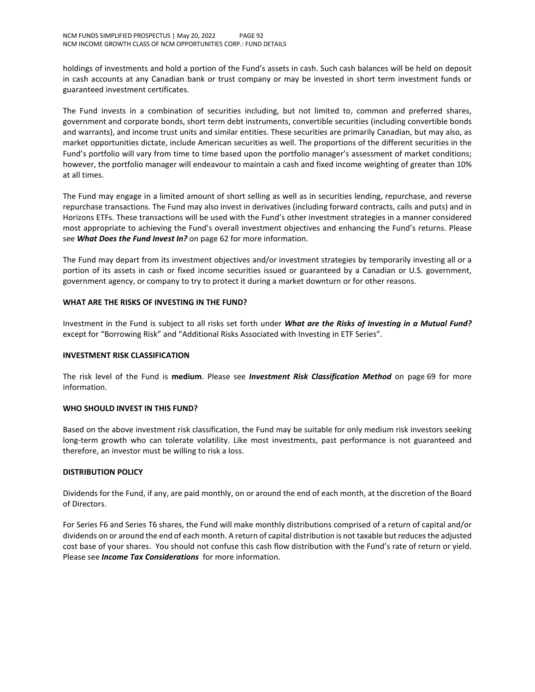holdings of investments and hold a portion of the Fund's assets in cash. Such cash balances will be held on deposit in cash accounts at any Canadian bank or trust company or may be invested in short term investment funds or guaranteed investment certificates.

The Fund invests in a combination of securities including, but not limited to, common and preferred shares, government and corporate bonds, short term debt instruments, convertible securities (including convertible bonds and warrants), and income trust units and similar entities. These securities are primarily Canadian, but may also, as market opportunities dictate, include American securities as well. The proportions of the different securities in the Fund's portfolio will vary from time to time based upon the portfolio manager's assessment of market conditions; however, the portfolio manager will endeavour to maintain a cash and fixed income weighting of greater than 10% at all times.

The Fund may engage in a limited amount of short selling as well as in securities lending, repurchase, and reverse repurchase transactions. The Fund may also invest in derivatives (including forward contracts, calls and puts) and in Horizons ETFs. These transactions will be used with the Fund's other investment strategies in a manner considered most appropriate to achieving the Fund's overall investment objectives and enhancing the Fund's returns. Please see *What Does the Fund Invest In?* on page 62 for more information.

The Fund may depart from its investment objectives and/or investment strategies by temporarily investing all or a portion of its assets in cash or fixed income securities issued or guaranteed by a Canadian or U.S. government, government agency, or company to try to protect it during a market downturn or for other reasons.

## **WHAT ARE THE RISKS OF INVESTING IN THE FUND?**

Investment in the Fund is subject to all risks set forth under *What are the Risks of Investing in a Mutual Fund?* except for "Borrowing Risk" and "Additional Risks Associated with Investing in ETF Series".

#### **INVESTMENT RISK CLASSIFICATION**

The risk level of the Fund is **medium**. Please see *Investment Risk Classification Method* on page 69 for more information.

#### **WHO SHOULD INVEST IN THIS FUND?**

Based on the above investment risk classification, the Fund may be suitable for only medium risk investors seeking long-term growth who can tolerate volatility. Like most investments, past performance is not guaranteed and therefore, an investor must be willing to risk a loss.

#### **DISTRIBUTION POLICY**

Dividends for the Fund, if any, are paid monthly, on or around the end of each month, at the discretion of the Board of Directors.

For Series F6 and Series T6 shares, the Fund will make monthly distributions comprised of a return of capital and/or dividends on or around the end of each month. A return of capital distribution is not taxable but reduces the adjusted cost base of your shares. You should not confuse this cash flow distribution with the Fund's rate of return or yield. Please see *Income Tax Considerations* for more information.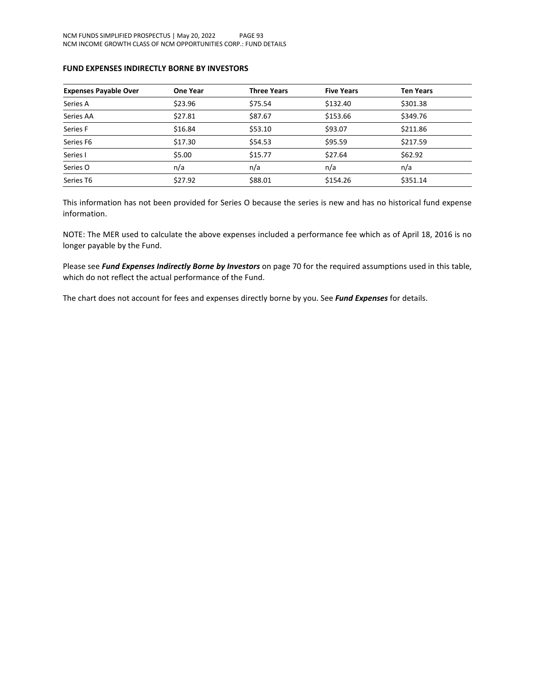## **FUND EXPENSES INDIRECTLY BORNE BY INVESTORS**

| <b>Expenses Payable Over</b> | <b>One Year</b> | <b>Three Years</b> | <b>Five Years</b> | <b>Ten Years</b> |
|------------------------------|-----------------|--------------------|-------------------|------------------|
| Series A                     | \$23.96         | \$75.54            | \$132.40          | \$301.38         |
| Series AA                    | \$27.81         | \$87.67            | \$153.66          | \$349.76         |
| Series F                     | \$16.84         | \$53.10            | \$93.07           | \$211.86         |
| Series F6                    | \$17.30         | \$54.53            | \$95.59           | \$217.59         |
| Series I                     | \$5.00          | \$15.77            | \$27.64           | \$62.92          |
| Series O                     | n/a             | n/a                | n/a               | n/a              |
| Series T6                    | \$27.92         | \$88.01            | \$154.26          | \$351.14         |

This information has not been provided for Series O because the series is new and has no historical fund expense information.

NOTE: The MER used to calculate the above expenses included a performance fee which as of April 18, 2016 is no longer payable by the Fund.

Please see *Fund Expenses Indirectly Borne by Investors* on page 70 for the required assumptions used in this table, which do not reflect the actual performance of the Fund.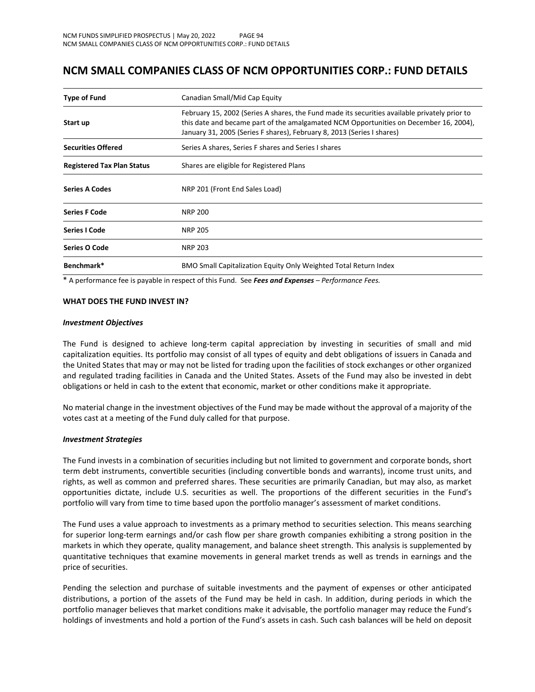## **NCM SMALL COMPANIES CLASS OF NCM OPPORTUNITIES CORP.: FUND DETAILS**

| <b>Type of Fund</b>               | Canadian Small/Mid Cap Equity                                                                                                                                                                                                                                    |  |
|-----------------------------------|------------------------------------------------------------------------------------------------------------------------------------------------------------------------------------------------------------------------------------------------------------------|--|
| Start up                          | February 15, 2002 (Series A shares, the Fund made its securities available privately prior to<br>this date and became part of the amalgamated NCM Opportunities on December 16, 2004),<br>January 31, 2005 (Series F shares), February 8, 2013 (Series I shares) |  |
| <b>Securities Offered</b>         | Series A shares, Series F shares and Series I shares                                                                                                                                                                                                             |  |
| <b>Registered Tax Plan Status</b> | Shares are eligible for Registered Plans                                                                                                                                                                                                                         |  |
| <b>Series A Codes</b>             | NRP 201 (Front End Sales Load)                                                                                                                                                                                                                                   |  |
| <b>Series F Code</b>              | <b>NRP 200</b>                                                                                                                                                                                                                                                   |  |
| <b>Series I Code</b>              | <b>NRP 205</b>                                                                                                                                                                                                                                                   |  |
| Series O Code                     | <b>NRP 203</b>                                                                                                                                                                                                                                                   |  |
| Benchmark*                        | BMO Small Capitalization Equity Only Weighted Total Return Index                                                                                                                                                                                                 |  |

\* A performance fee is payable in respect of this Fund. See *Fees and Expenses – Performance Fees.*

#### **WHAT DOES THE FUND INVEST IN?**

#### *Investment Objectives*

The Fund is designed to achieve long-term capital appreciation by investing in securities of small and mid capitalization equities. Its portfolio may consist of all types of equity and debt obligations of issuers in Canada and the United States that may or may not be listed for trading upon the facilities of stock exchanges or other organized and regulated trading facilities in Canada and the United States. Assets of the Fund may also be invested in debt obligations or held in cash to the extent that economic, market or other conditions make it appropriate.

No material change in the investment objectives of the Fund may be made without the approval of a majority of the votes cast at a meeting of the Fund duly called for that purpose.

#### *Investment Strategies*

The Fund invests in a combination of securities including but not limited to government and corporate bonds, short term debt instruments, convertible securities (including convertible bonds and warrants), income trust units, and rights, as well as common and preferred shares. These securities are primarily Canadian, but may also, as market opportunities dictate, include U.S. securities as well. The proportions of the different securities in the Fund's portfolio will vary from time to time based upon the portfolio manager's assessment of market conditions.

The Fund uses a value approach to investments as a primary method to securities selection. This means searching for superior long-term earnings and/or cash flow per share growth companies exhibiting a strong position in the markets in which they operate, quality management, and balance sheet strength. This analysis is supplemented by quantitative techniques that examine movements in general market trends as well as trends in earnings and the price of securities.

Pending the selection and purchase of suitable investments and the payment of expenses or other anticipated distributions, a portion of the assets of the Fund may be held in cash. In addition, during periods in which the portfolio manager believes that market conditions make it advisable, the portfolio manager may reduce the Fund's holdings of investments and hold a portion of the Fund's assets in cash. Such cash balances will be held on deposit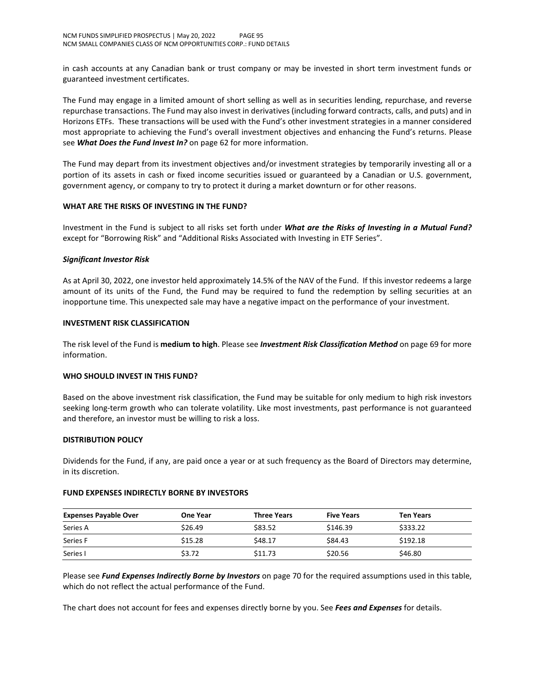in cash accounts at any Canadian bank or trust company or may be invested in short term investment funds or guaranteed investment certificates.

The Fund may engage in a limited amount of short selling as well as in securities lending, repurchase, and reverse repurchase transactions. The Fund may also invest in derivatives (including forward contracts, calls, and puts) and in Horizons ETFs. These transactions will be used with the Fund's other investment strategies in a manner considered most appropriate to achieving the Fund's overall investment objectives and enhancing the Fund's returns. Please see *What Does the Fund Invest In?* on page 62 for more information.

The Fund may depart from its investment objectives and/or investment strategies by temporarily investing all or a portion of its assets in cash or fixed income securities issued or guaranteed by a Canadian or U.S. government, government agency, or company to try to protect it during a market downturn or for other reasons.

## **WHAT ARE THE RISKS OF INVESTING IN THE FUND?**

Investment in the Fund is subject to all risks set forth under *What are the Risks of Investing in a Mutual Fund?* except for "Borrowing Risk" and "Additional Risks Associated with Investing in ETF Series".

## *Significant Investor Risk*

As at April 30, 2022, one investor held approximately 14.5% of the NAV of the Fund. If this investor redeems a large amount of its units of the Fund, the Fund may be required to fund the redemption by selling securities at an inopportune time. This unexpected sale may have a negative impact on the performance of your investment.

#### **INVESTMENT RISK CLASSIFICATION**

The risk level of the Fund is **medium to high**. Please see *Investment Risk Classification Method* on page 69 for more information.

#### **WHO SHOULD INVEST IN THIS FUND?**

Based on the above investment risk classification, the Fund may be suitable for only medium to high risk investors seeking long-term growth who can tolerate volatility. Like most investments, past performance is not guaranteed and therefore, an investor must be willing to risk a loss.

#### **DISTRIBUTION POLICY**

Dividends for the Fund, if any, are paid once a year or at such frequency as the Board of Directors may determine, in its discretion.

#### **FUND EXPENSES INDIRECTLY BORNE BY INVESTORS**

| <b>Expenses Payable Over</b> | <b>One Year</b> | <b>Three Years</b> | <b>Five Years</b> | <b>Ten Years</b> |  |
|------------------------------|-----------------|--------------------|-------------------|------------------|--|
| Series A                     | \$26.49         | \$83.52            | \$146.39          | \$333.22         |  |
| Series F                     | \$15.28         | \$48.17            | \$84.43           | \$192.18         |  |
| Series I                     | \$3.72          | \$11.73            | \$20.56           | \$46.80          |  |

Please see *Fund Expenses Indirectly Borne by Investors* on page 70 for the required assumptions used in this table, which do not reflect the actual performance of the Fund.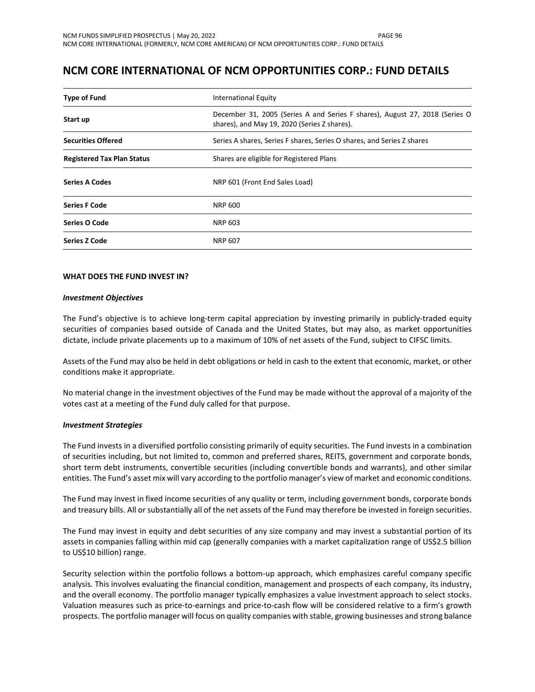## **NCM CORE INTERNATIONAL OF NCM OPPORTUNITIES CORP.: FUND DETAILS**

| <b>Type of Fund</b>                                                           | <b>International Equity</b>                                                                                                 |  |
|-------------------------------------------------------------------------------|-----------------------------------------------------------------------------------------------------------------------------|--|
| Start up                                                                      | December 31, 2005 (Series A and Series F shares), August 27, 2018 (Series O<br>shares), and May 19, 2020 (Series Z shares). |  |
| <b>Securities Offered</b>                                                     | Series A shares, Series F shares, Series O shares, and Series Z shares                                                      |  |
| <b>Registered Tax Plan Status</b><br>Shares are eligible for Registered Plans |                                                                                                                             |  |
| <b>Series A Codes</b>                                                         | NRP 601 (Front End Sales Load)                                                                                              |  |
| <b>Series F Code</b>                                                          | NRP 600                                                                                                                     |  |
| Series O Code                                                                 | NRP 603                                                                                                                     |  |
| <b>Series Z Code</b>                                                          | <b>NRP 607</b>                                                                                                              |  |

## **WHAT DOES THE FUND INVEST IN?**

#### *Investment Objectives*

The Fund's objective is to achieve long-term capital appreciation by investing primarily in publicly-traded equity securities of companies based outside of Canada and the United States, but may also, as market opportunities dictate, include private placements up to a maximum of 10% of net assets of the Fund, subject to CIFSC limits.

Assets of the Fund may also be held in debt obligations or held in cash to the extent that economic, market, or other conditions make it appropriate.

No material change in the investment objectives of the Fund may be made without the approval of a majority of the votes cast at a meeting of the Fund duly called for that purpose.

#### *Investment Strategies*

The Fund invests in a diversified portfolio consisting primarily of equity securities. The Fund invests in a combination of securities including, but not limited to, common and preferred shares, REITS, government and corporate bonds, short term debt instruments, convertible securities (including convertible bonds and warrants), and other similar entities. The Fund's asset mix will vary according to the portfolio manager's view of market and economic conditions.

The Fund may invest in fixed income securities of any quality or term, including government bonds, corporate bonds and treasury bills. All or substantially all of the net assets of the Fund may therefore be invested in foreign securities.

The Fund may invest in equity and debt securities of any size company and may invest a substantial portion of its assets in companies falling within mid cap (generally companies with a market capitalization range of US\$2.5 billion to US\$10 billion) range.

Security selection within the portfolio follows a bottom-up approach, which emphasizes careful company specific analysis. This involves evaluating the financial condition, management and prospects of each company, its industry, and the overall economy. The portfolio manager typically emphasizes a value investment approach to select stocks. Valuation measures such as price-to-earnings and price-to-cash flow will be considered relative to a firm's growth prospects. The portfolio manager will focus on quality companies with stable, growing businesses and strong balance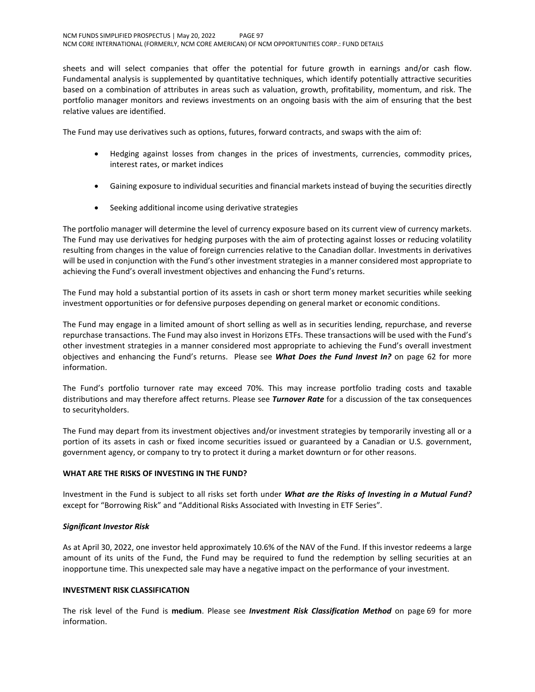sheets and will select companies that offer the potential for future growth in earnings and/or cash flow. Fundamental analysis is supplemented by quantitative techniques, which identify potentially attractive securities based on a combination of attributes in areas such as valuation, growth, profitability, momentum, and risk. The portfolio manager monitors and reviews investments on an ongoing basis with the aim of ensuring that the best relative values are identified.

The Fund may use derivatives such as options, futures, forward contracts, and swaps with the aim of:

- Hedging against losses from changes in the prices of investments, currencies, commodity prices, interest rates, or market indices
- Gaining exposure to individual securities and financial markets instead of buying the securities directly
- Seeking additional income using derivative strategies

The portfolio manager will determine the level of currency exposure based on its current view of currency markets. The Fund may use derivatives for hedging purposes with the aim of protecting against losses or reducing volatility resulting from changes in the value of foreign currencies relative to the Canadian dollar. Investments in derivatives will be used in conjunction with the Fund's other investment strategies in a manner considered most appropriate to achieving the Fund's overall investment objectives and enhancing the Fund's returns.

The Fund may hold a substantial portion of its assets in cash or short term money market securities while seeking investment opportunities or for defensive purposes depending on general market or economic conditions.

The Fund may engage in a limited amount of short selling as well as in securities lending, repurchase, and reverse repurchase transactions. The Fund may also invest in Horizons ETFs. These transactions will be used with the Fund's other investment strategies in a manner considered most appropriate to achieving the Fund's overall investment objectives and enhancing the Fund's returns. Please see *What Does the Fund Invest In?* on page 62 for more information.

The Fund's portfolio turnover rate may exceed 70%. This may increase portfolio trading costs and taxable distributions and may therefore affect returns. Please see *Turnover Rate* for a discussion of the tax consequences to securityholders.

The Fund may depart from its investment objectives and/or investment strategies by temporarily investing all or a portion of its assets in cash or fixed income securities issued or guaranteed by a Canadian or U.S. government, government agency, or company to try to protect it during a market downturn or for other reasons.

## **WHAT ARE THE RISKS OF INVESTING IN THE FUND?**

Investment in the Fund is subject to all risks set forth under *What are the Risks of Investing in a Mutual Fund?* except for "Borrowing Risk" and "Additional Risks Associated with Investing in ETF Series".

## *Significant Investor Risk*

As at April 30, 2022, one investor held approximately 10.6% of the NAV of the Fund. If this investor redeems a large amount of its units of the Fund, the Fund may be required to fund the redemption by selling securities at an inopportune time. This unexpected sale may have a negative impact on the performance of your investment.

## **INVESTMENT RISK CLASSIFICATION**

The risk level of the Fund is **medium**. Please see *Investment Risk Classification Method* on page 69 for more information.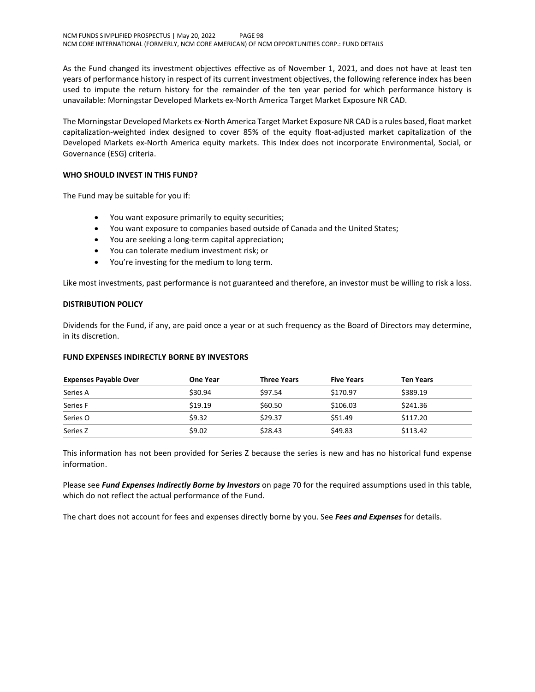As the Fund changed its investment objectives effective as of November 1, 2021, and does not have at least ten years of performance history in respect of its current investment objectives, the following reference index has been used to impute the return history for the remainder of the ten year period for which performance history is unavailable: Morningstar Developed Markets ex-North America Target Market Exposure NR CAD.

The Morningstar Developed Markets ex-North America Target Market Exposure NR CAD is a rules based, float market capitalization-weighted index designed to cover 85% of the equity float-adjusted market capitalization of the Developed Markets ex-North America equity markets. This Index does not incorporate Environmental, Social, or Governance (ESG) criteria.

## **WHO SHOULD INVEST IN THIS FUND?**

The Fund may be suitable for you if:

- You want exposure primarily to equity securities;
- You want exposure to companies based outside of Canada and the United States;
- You are seeking a long-term capital appreciation;
- You can tolerate medium investment risk; or
- You're investing for the medium to long term.

Like most investments, past performance is not guaranteed and therefore, an investor must be willing to risk a loss.

## **DISTRIBUTION POLICY**

Dividends for the Fund, if any, are paid once a year or at such frequency as the Board of Directors may determine, in its discretion.

## **FUND EXPENSES INDIRECTLY BORNE BY INVESTORS**

| <b>Expenses Payable Over</b> | <b>One Year</b> | <b>Three Years</b> | <b>Five Years</b> | <b>Ten Years</b> |
|------------------------------|-----------------|--------------------|-------------------|------------------|
| Series A                     | \$30.94         | \$97.54            | \$170.97          | \$389.19         |
| Series F                     | \$19.19         | \$60.50            | \$106.03          | \$241.36         |
| Series O                     | \$9.32          | \$29.37            | \$51.49           | \$117.20         |
| Series Z                     | \$9.02          | \$28.43            | \$49.83           | \$113.42         |

This information has not been provided for Series Z because the series is new and has no historical fund expense information.

Please see *Fund Expenses Indirectly Borne by Investors* on page 70 for the required assumptions used in this table, which do not reflect the actual performance of the Fund.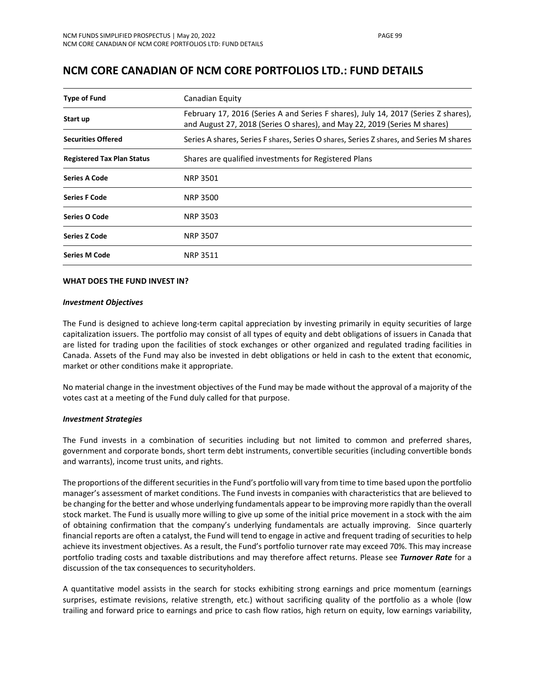## **NCM CORE CANADIAN OF NCM CORE PORTFOLIOS LTD.: FUND DETAILS**

| <b>Type of Fund</b>               | Canadian Equity                                                                                                                                                 |  |  |
|-----------------------------------|-----------------------------------------------------------------------------------------------------------------------------------------------------------------|--|--|
| Start up                          | February 17, 2016 (Series A and Series F shares), July 14, 2017 (Series Z shares),<br>and August 27, 2018 (Series O shares), and May 22, 2019 (Series M shares) |  |  |
| <b>Securities Offered</b>         | Series A shares, Series F shares, Series O shares, Series Z shares, and Series M shares                                                                         |  |  |
| <b>Registered Tax Plan Status</b> | Shares are qualified investments for Registered Plans                                                                                                           |  |  |
| <b>Series A Code</b>              | <b>NRP 3501</b>                                                                                                                                                 |  |  |
| <b>Series F Code</b>              | <b>NRP 3500</b>                                                                                                                                                 |  |  |
| Series O Code                     | <b>NRP 3503</b>                                                                                                                                                 |  |  |
| <b>Series Z Code</b>              | <b>NRP 3507</b>                                                                                                                                                 |  |  |
| <b>Series M Code</b>              | <b>NRP 3511</b>                                                                                                                                                 |  |  |

## **WHAT DOES THE FUND INVEST IN?**

#### *Investment Objectives*

The Fund is designed to achieve long-term capital appreciation by investing primarily in equity securities of large capitalization issuers. The portfolio may consist of all types of equity and debt obligations of issuers in Canada that are listed for trading upon the facilities of stock exchanges or other organized and regulated trading facilities in Canada. Assets of the Fund may also be invested in debt obligations or held in cash to the extent that economic, market or other conditions make it appropriate.

No material change in the investment objectives of the Fund may be made without the approval of a majority of the votes cast at a meeting of the Fund duly called for that purpose.

#### *Investment Strategies*

The Fund invests in a combination of securities including but not limited to common and preferred shares, government and corporate bonds, short term debt instruments, convertible securities (including convertible bonds and warrants), income trust units, and rights.

The proportions of the different securities in the Fund's portfolio will vary from time to time based upon the portfolio manager's assessment of market conditions. The Fund invests in companies with characteristics that are believed to be changing for the better and whose underlying fundamentals appear to be improving more rapidly than the overall stock market. The Fund is usually more willing to give up some of the initial price movement in a stock with the aim of obtaining confirmation that the company's underlying fundamentals are actually improving. Since quarterly financial reports are often a catalyst, the Fund will tend to engage in active and frequent trading of securities to help achieve its investment objectives. As a result, the Fund's portfolio turnover rate may exceed 70%. This may increase portfolio trading costs and taxable distributions and may therefore affect returns. Please see *Turnover Rate* for a discussion of the tax consequences to securityholders.

A quantitative model assists in the search for stocks exhibiting strong earnings and price momentum (earnings surprises, estimate revisions, relative strength, etc.) without sacrificing quality of the portfolio as a whole (low trailing and forward price to earnings and price to cash flow ratios, high return on equity, low earnings variability,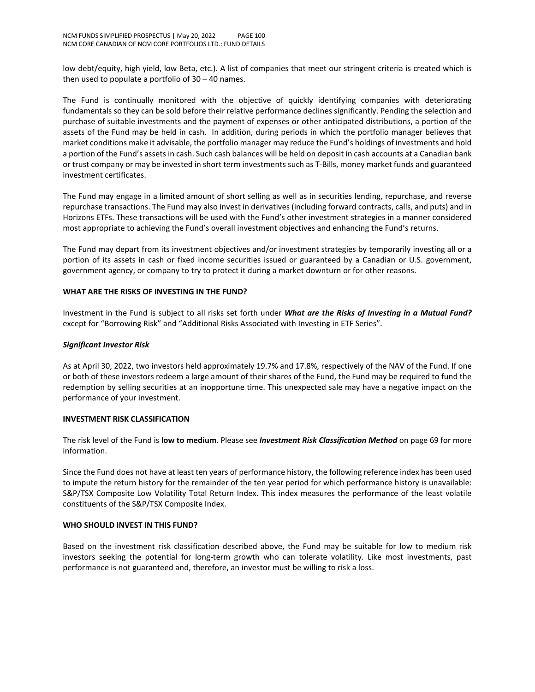low debt/equity, high yield, low Beta, etc.). A list of companies that meet our stringent criteria is created which is then used to populate a portfolio of 30 – 40 names.

The Fund is continually monitored with the objective of quickly identifying companies with deteriorating fundamentals so they can be sold before their relative performance declines significantly. Pending the selection and purchase of suitable investments and the payment of expenses or other anticipated distributions, a portion of the assets of the Fund may be held in cash. In addition, during periods in which the portfolio manager believes that market conditions make it advisable, the portfolio manager may reduce the Fund's holdings of investments and hold a portion of the Fund's assets in cash. Such cash balances will be held on deposit in cash accounts at a Canadian bank or trust company or may be invested in short term investments such as T-Bills, money market funds and guaranteed investment certificates.

The Fund may engage in a limited amount of short selling as well as in securities lending, repurchase, and reverse repurchase transactions. The Fund may also invest in derivatives (including forward contracts, calls, and puts) and in Horizons ETFs. These transactions will be used with the Fund's other investment strategies in a manner considered most appropriate to achieving the Fund's overall investment objectives and enhancing the Fund's returns.

The Fund may depart from its investment objectives and/or investment strategies by temporarily investing all or a portion of its assets in cash or fixed income securities issued or guaranteed by a Canadian or U.S. government, government agency, or company to try to protect it during a market downturn or for other reasons.

## **WHAT ARE THE RISKS OF INVESTING IN THE FUND?**

Investment in the Fund is subject to all risks set forth under *What are the Risks of Investing in a Mutual Fund?* except for "Borrowing Risk" and "Additional Risks Associated with Investing in ETF Series".

## *Significant Investor Risk*

As at April 30, 2022, two investors held approximately 19.7% and 17.8%, respectively of the NAV of the Fund. If one or both of these investors redeem a large amount of their shares of the Fund, the Fund may be required to fund the redemption by selling securities at an inopportune time. This unexpected sale may have a negative impact on the performance of your investment.

#### **INVESTMENT RISK CLASSIFICATION**

The risk level of the Fund is **low to medium**. Please see *Investment Risk Classification Method* on page 69 for more information.

Since the Fund does not have at least ten years of performance history, the following reference index has been used to impute the return history for the remainder of the ten year period for which performance history is unavailable: S&P/TSX Composite Low Volatility Total Return Index. This index measures the performance of the least volatile constituents of the S&P/TSX Composite Index.

#### **WHO SHOULD INVEST IN THIS FUND?**

Based on the investment risk classification described above, the Fund may be suitable for low to medium risk investors seeking the potential for long-term growth who can tolerate volatility. Like most investments, past performance is not guaranteed and, therefore, an investor must be willing to risk a loss.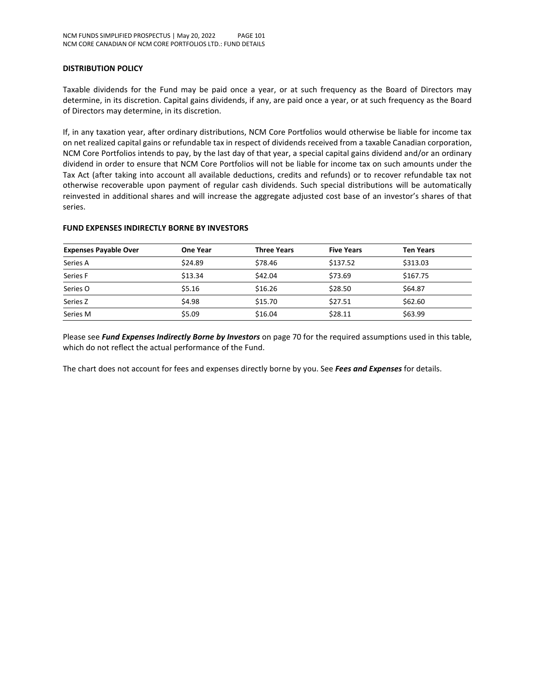### **DISTRIBUTION POLICY**

Taxable dividends for the Fund may be paid once a year, or at such frequency as the Board of Directors may determine, in its discretion. Capital gains dividends, if any, are paid once a year, or at such frequency as the Board of Directors may determine, in its discretion.

If, in any taxation year, after ordinary distributions, NCM Core Portfolios would otherwise be liable for income tax on net realized capital gains or refundable tax in respect of dividends received from a taxable Canadian corporation, NCM Core Portfolios intends to pay, by the last day of that year, a special capital gains dividend and/or an ordinary dividend in order to ensure that NCM Core Portfolios will not be liable for income tax on such amounts under the Tax Act (after taking into account all available deductions, credits and refunds) or to recover refundable tax not otherwise recoverable upon payment of regular cash dividends. Such special distributions will be automatically reinvested in additional shares and will increase the aggregate adjusted cost base of an investor's shares of that series.

| <b>One Year</b> | <b>Three Years</b> | <b>Five Years</b> | <b>Ten Years</b> |
|-----------------|--------------------|-------------------|------------------|
| \$24.89         | \$78.46            | \$137.52          | \$313.03         |
| \$13.34         | \$42.04            | \$73.69           | \$167.75         |
| \$5.16          | \$16.26            | \$28.50           | \$64.87          |
| \$4.98          | \$15.70            | \$27.51           | \$62.60          |
| \$5.09          | \$16.04            | \$28.11           | \$63.99          |
|                 |                    |                   |                  |

#### **FUND EXPENSES INDIRECTLY BORNE BY INVESTORS**

Please see *Fund Expenses Indirectly Borne by Investors* on page 70 for the required assumptions used in this table, which do not reflect the actual performance of the Fund.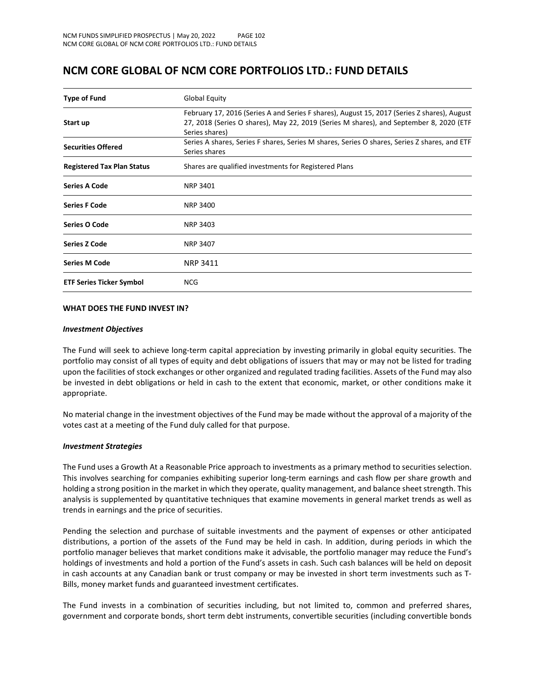## **NCM CORE GLOBAL OF NCM CORE PORTFOLIOS LTD.: FUND DETAILS**

| <b>Type of Fund</b>               | Global Equity                                                                                                                                                                                           |  |  |
|-----------------------------------|---------------------------------------------------------------------------------------------------------------------------------------------------------------------------------------------------------|--|--|
| Start up                          | February 17, 2016 (Series A and Series F shares), August 15, 2017 (Series Z shares), August<br>27, 2018 (Series O shares), May 22, 2019 (Series M shares), and September 8, 2020 (ETF<br>Series shares) |  |  |
| <b>Securities Offered</b>         | Series A shares, Series F shares, Series M shares, Series O shares, Series Z shares, and ETF<br>Series shares                                                                                           |  |  |
| <b>Registered Tax Plan Status</b> | Shares are qualified investments for Registered Plans                                                                                                                                                   |  |  |
| <b>Series A Code</b>              | <b>NRP 3401</b>                                                                                                                                                                                         |  |  |
| <b>Series F Code</b>              | <b>NRP 3400</b>                                                                                                                                                                                         |  |  |
| Series O Code                     | <b>NRP 3403</b>                                                                                                                                                                                         |  |  |
| <b>Series Z Code</b>              | <b>NRP 3407</b>                                                                                                                                                                                         |  |  |
| <b>Series M Code</b>              | <b>NRP 3411</b>                                                                                                                                                                                         |  |  |
| <b>ETF Series Ticker Symbol</b>   | NCG.                                                                                                                                                                                                    |  |  |

#### **WHAT DOES THE FUND INVEST IN?**

#### *Investment Objectives*

The Fund will seek to achieve long-term capital appreciation by investing primarily in global equity securities. The portfolio may consist of all types of equity and debt obligations of issuers that may or may not be listed for trading upon the facilities of stock exchanges or other organized and regulated trading facilities. Assets of the Fund may also be invested in debt obligations or held in cash to the extent that economic, market, or other conditions make it appropriate.

No material change in the investment objectives of the Fund may be made without the approval of a majority of the votes cast at a meeting of the Fund duly called for that purpose.

#### *Investment Strategies*

The Fund uses a Growth At a Reasonable Price approach to investments as a primary method to securities selection. This involves searching for companies exhibiting superior long-term earnings and cash flow per share growth and holding a strong position in the market in which they operate, quality management, and balance sheet strength. This analysis is supplemented by quantitative techniques that examine movements in general market trends as well as trends in earnings and the price of securities.

Pending the selection and purchase of suitable investments and the payment of expenses or other anticipated distributions, a portion of the assets of the Fund may be held in cash. In addition, during periods in which the portfolio manager believes that market conditions make it advisable, the portfolio manager may reduce the Fund's holdings of investments and hold a portion of the Fund's assets in cash. Such cash balances will be held on deposit in cash accounts at any Canadian bank or trust company or may be invested in short term investments such as T-Bills, money market funds and guaranteed investment certificates.

The Fund invests in a combination of securities including, but not limited to, common and preferred shares, government and corporate bonds, short term debt instruments, convertible securities (including convertible bonds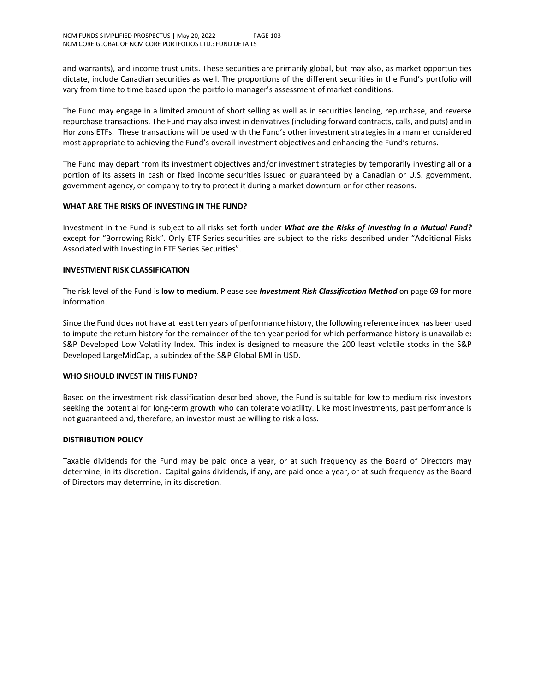and warrants), and income trust units. These securities are primarily global, but may also, as market opportunities dictate, include Canadian securities as well. The proportions of the different securities in the Fund's portfolio will vary from time to time based upon the portfolio manager's assessment of market conditions.

The Fund may engage in a limited amount of short selling as well as in securities lending, repurchase, and reverse repurchase transactions. The Fund may also invest in derivatives (including forward contracts, calls, and puts) and in Horizons ETFs. These transactions will be used with the Fund's other investment strategies in a manner considered most appropriate to achieving the Fund's overall investment objectives and enhancing the Fund's returns.

The Fund may depart from its investment objectives and/or investment strategies by temporarily investing all or a portion of its assets in cash or fixed income securities issued or guaranteed by a Canadian or U.S. government, government agency, or company to try to protect it during a market downturn or for other reasons.

## **WHAT ARE THE RISKS OF INVESTING IN THE FUND?**

Investment in the Fund is subject to all risks set forth under *What are the Risks of Investing in a Mutual Fund?* except for "Borrowing Risk". Only ETF Series securities are subject to the risks described under "Additional Risks Associated with Investing in ETF Series Securities".

## **INVESTMENT RISK CLASSIFICATION**

The risk level of the Fund is **low to medium**. Please see *Investment Risk Classification Method* on page 69 for more information.

Since the Fund does not have at least ten years of performance history, the following reference index has been used to impute the return history for the remainder of the ten-year period for which performance history is unavailable: S&P Developed Low Volatility Index. This index is designed to measure the 200 least volatile stocks in the S&P Developed LargeMidCap, a subindex of the S&P Global BMI in USD.

#### **WHO SHOULD INVEST IN THIS FUND?**

Based on the investment risk classification described above, the Fund is suitable for low to medium risk investors seeking the potential for long-term growth who can tolerate volatility. Like most investments, past performance is not guaranteed and, therefore, an investor must be willing to risk a loss.

## **DISTRIBUTION POLICY**

Taxable dividends for the Fund may be paid once a year, or at such frequency as the Board of Directors may determine, in its discretion. Capital gains dividends, if any, are paid once a year, or at such frequency as the Board of Directors may determine, in its discretion.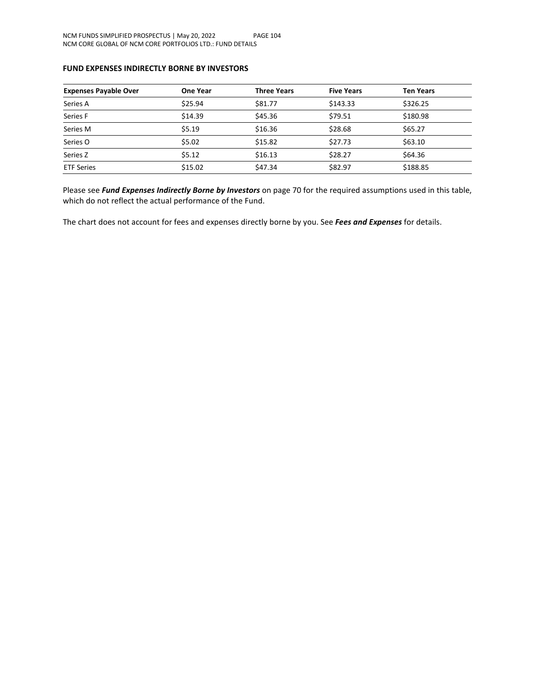## **FUND EXPENSES INDIRECTLY BORNE BY INVESTORS**

| <b>Expenses Payable Over</b> | One Year | <b>Three Years</b> | <b>Five Years</b> | <b>Ten Years</b> |
|------------------------------|----------|--------------------|-------------------|------------------|
| Series A                     | \$25.94  | \$81.77            | \$143.33          | \$326.25         |
| Series F                     | \$14.39  | \$45.36            | \$79.51           | \$180.98         |
| Series M                     | \$5.19   | \$16.36            | \$28.68           | \$65.27          |
| Series O                     | \$5.02   | \$15.82            | \$27.73           | \$63.10          |
| Series Z                     | \$5.12   | \$16.13            | \$28.27           | \$64.36          |
| <b>ETF Series</b>            | \$15.02  | \$47.34            | \$82.97           | \$188.85         |

Please see *Fund Expenses Indirectly Borne by Investors* on page 70 for the required assumptions used in this table, which do not reflect the actual performance of the Fund.